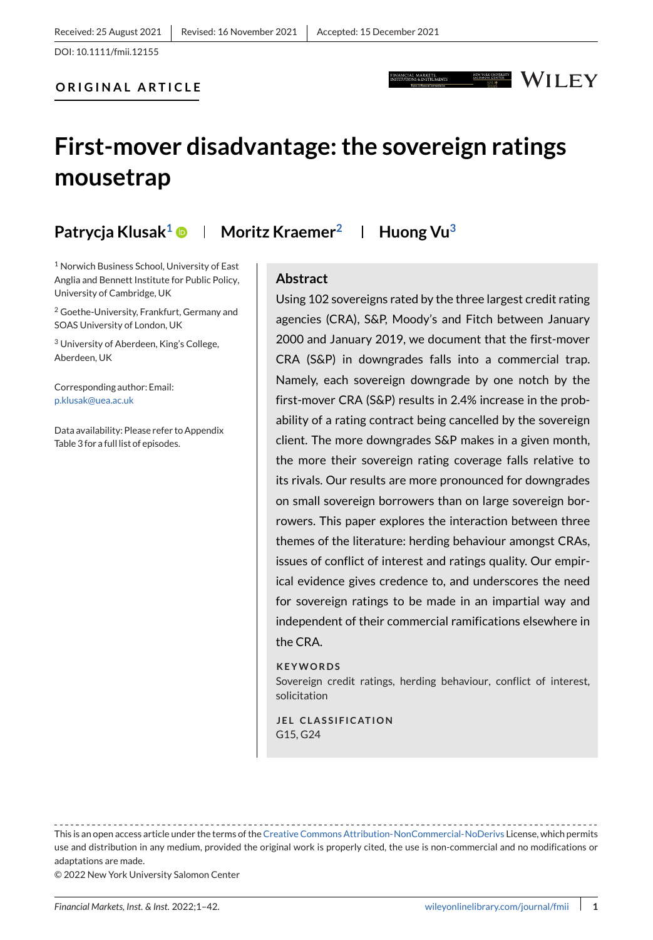**ORIGINAL ARTICLE**

## WILEY

## **First-mover disadvantage: the sovereign ratings mousetrap**

**Patrycja Klusak<sup>1</sup> © | Moritz Kraemer<sup>2</sup> | Huong Vu<sup>3</sup>** 

<sup>1</sup> Norwich Business School, University of East Anglia and Bennett Institute for Public Policy, University of Cambridge, UK

<sup>2</sup> Goethe-University, Frankfurt, Germany and SOAS University of London, UK

<sup>3</sup> University of Aberdeen, King's College, Aberdeen, UK

Corresponding author: Email: [p.klusak@uea.ac.uk](mailto:p.klusak@uea.ac.uk)

Data availability: Please refer to Appendix Table 3 for a full list of episodes.

## **Abstract**

Using 102 sovereigns rated by the three largest credit rating agencies (CRA), S&P, Moody's and Fitch between January 2000 and January 2019, we document that the first-mover CRA (S&P) in downgrades falls into a commercial trap. Namely, each sovereign downgrade by one notch by the first-mover CRA (S&P) results in 2.4% increase in the probability of a rating contract being cancelled by the sovereign client. The more downgrades S&P makes in a given month, the more their sovereign rating coverage falls relative to its rivals. Our results are more pronounced for downgrades on small sovereign borrowers than on large sovereign borrowers. This paper explores the interaction between three themes of the literature: herding behaviour amongst CRAs, issues of conflict of interest and ratings quality. Our empirical evidence gives credence to, and underscores the need for sovereign ratings to be made in an impartial way and independent of their commercial ramifications elsewhere in the CRA.

#### **KEYWORDS**

Sovereign credit ratings, herding behaviour, conflict of interest, solicitation

**JEL CLASSIFICATION** G15, G24

This is an open access article under the terms of the [Creative Commons Attribution-NonCommercial-NoDerivs](http://creativecommons.org/licenses/by-nc-nd/4.0/) License, which permits use and distribution in any medium, provided the original work is properly cited, the use is non-commercial and no modifications or adaptations are made.

© 2022 New York University Salomon Center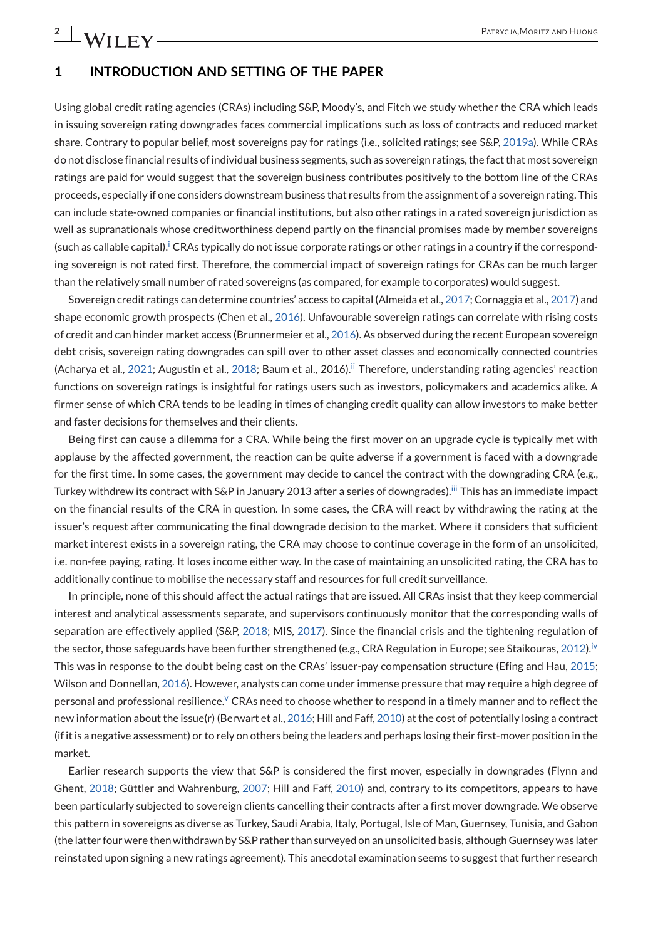## **1 INTRODUCTION AND SETTING OF THE PAPER**

Using global credit rating agencies (CRAs) including S&P, Moody's, and Fitch we study whether the CRA which leads in issuing sovereign rating downgrades faces commercial implications such as loss of contracts and reduced market share. Contrary to popular belief, most sovereigns pay for ratings (i.e., solicited ratings; see S&P, [2019a\)](#page-29-0). While CRAs do not disclose financial results of individual business segments, such as sovereign ratings, the fact that most sovereign ratings are paid for would suggest that the sovereign business contributes positively to the bottom line of the CRAs proceeds, especially if one considers downstream business that results from the assignment of a sovereign rating. This can include state-owned companies or financial institutions, but also other ratings in a rated sovereign jurisdiction as well as supranationals whose creditworthiness depend partly on the financial promises made by member sovereigns (such as callable capital)[.](#page-26-0)<sup>i</sup> CRAs typically do not issue corporate ratings or other ratings in a country if the corresponding sovereign is not rated first. Therefore, the commercial impact of sovereign ratings for CRAs can be much larger than the relatively small number of rated sovereigns (as compared, for example to corporates) would suggest.

Sovereign credit ratings can determine countries' access to capital (Almeida et al., [2017;](#page-28-0) Cornaggia et al., [2017\)](#page-28-0) and shape economic growth prospects (Chen et al., [2016\)](#page-28-0). Unfavourable sovereign ratings can correlate with rising costs of credit and can hinder market access (Brunnermeier et al., [2016\)](#page-28-0). As observed during the recent European sovereign debt crisis, sovereign rating downgrades can spill over to other asset classes and economically connected countries (Acharya et al., [2021;](#page-28-0) Augustin et al., [2018;](#page-28-0) Baum et al[.](#page-26-0), 2016).<sup>ii</sup> Therefore, understanding rating agencies' reaction functions on sovereign ratings is insightful for ratings users such as investors, policymakers and academics alike. A firmer sense of which CRA tends to be leading in times of changing credit quality can allow investors to make better and faster decisions for themselves and their clients.

Being first can cause a dilemma for a CRA. While being the first mover on an upgrade cycle is typically met with applause by the affected government, the reaction can be quite adverse if a government is faced with a downgrade for the first time. In some cases, the government may decide to cancel the contract with the downgrading CRA (e.g., Turkey withdrew its contract with S&P in January 2013 after a series of downgrades)[.](#page-26-0)<sup>iii</sup> This has an immediate impact on the financial results of the CRA in question. In some cases, the CRA will react by withdrawing the rating at the issuer's request after communicating the final downgrade decision to the market. Where it considers that sufficient market interest exists in a sovereign rating, the CRA may choose to continue coverage in the form of an unsolicited, i.e. non-fee paying, rating. It loses income either way. In the case of maintaining an unsolicited rating, the CRA has to additionally continue to mobilise the necessary staff and resources for full credit surveillance.

In principle, none of this should affect the actual ratings that are issued. All CRAs insist that they keep commercial interest and analytical assessments separate, and supervisors continuously monitor that the corresponding walls of separation are effectively applied (S&P, [2018;](#page-29-0) MIS, [2017\)](#page-29-0). Since the financial crisis and the tightening regulation of the sector, those safeguards have been further strengthened (e.g., CRA Regulation in Europe; see Staikouras, [2012\)](#page-29-0)[.](#page-26-0)<sup>iv</sup> This was in response to the doubt being cast on the CRAs' issuer-pay compensation structure (Efing and Hau, [2015;](#page-28-0) Wilson and Donnellan, [2016\)](#page-29-0). However, analysts can come under immense pressure that may require a high degree of personal and professional resilience[.](#page-26-0)<sup>V</sup> CRAs need to choose whether to respond in a timely manner and to reflect the new information about the issue(r) (Berwart et al., [2016;](#page-28-0) Hill and Faff, [2010\)](#page-29-0) at the cost of potentially losing a contract (if it is a negative assessment) or to rely on others being the leaders and perhaps losing their first-mover position in the market.

Earlier research supports the view that S&P is considered the first mover, especially in downgrades (Flynn and Ghent, [2018;](#page-28-0) Güttler and Wahrenburg, [2007;](#page-29-0) Hill and Faff, [2010\)](#page-29-0) and, contrary to its competitors, appears to have been particularly subjected to sovereign clients cancelling their contracts after a first mover downgrade. We observe this pattern in sovereigns as diverse as Turkey, Saudi Arabia, Italy, Portugal, Isle of Man, Guernsey, Tunisia, and Gabon (the latter four were then withdrawn by S&P rather than surveyed on an unsolicited basis, although Guernsey was later reinstated upon signing a new ratings agreement). This anecdotal examination seems to suggest that further research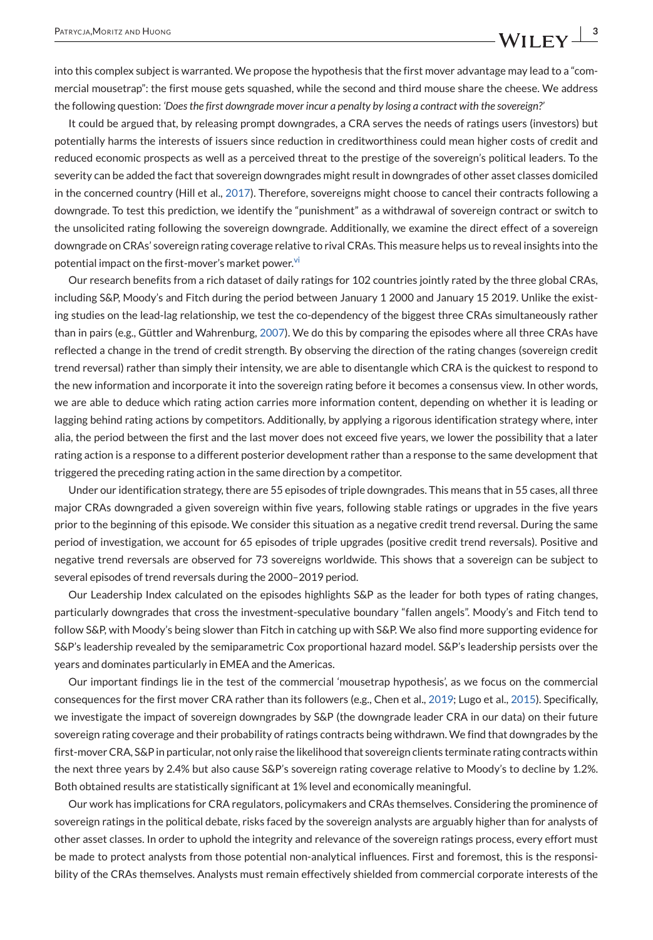into this complex subject is warranted. We propose the hypothesis that the first mover advantage may lead to a "commercial mousetrap": the first mouse gets squashed, while the second and third mouse share the cheese. We address the following question: *'Does the first downgrade mover incur a penalty by losing a contract with the sovereign?'*

It could be argued that, by releasing prompt downgrades, a CRA serves the needs of ratings users (investors) but potentially harms the interests of issuers since reduction in creditworthiness could mean higher costs of credit and reduced economic prospects as well as a perceived threat to the prestige of the sovereign's political leaders. To the severity can be added the fact that sovereign downgrades might result in downgrades of other asset classes domiciled in the concerned country (Hill et al., [2017\)](#page-29-0). Therefore, sovereigns might choose to cancel their contracts following a downgrade. To test this prediction, we identify the "punishment" as a withdrawal of sovereign contract or switch to the unsolicited rating following the sovereign downgrade. Additionally, we examine the direct effect of a sovereign downgrade on CRAs' sovereign rating coverage relative to rival CRAs. This measure helps us to reveal insights into the potential impact on the first-mover's market powe[r.](#page-26-0)<sup>vi</sup>

Our research benefits from a rich dataset of daily ratings for 102 countries jointly rated by the three global CRAs, including S&P, Moody's and Fitch during the period between January 1 2000 and January 15 2019. Unlike the existing studies on the lead-lag relationship, we test the co-dependency of the biggest three CRAs simultaneously rather than in pairs (e.g., Güttler and Wahrenburg, [2007\)](#page-29-0). We do this by comparing the episodes where all three CRAs have reflected a change in the trend of credit strength. By observing the direction of the rating changes (sovereign credit trend reversal) rather than simply their intensity, we are able to disentangle which CRA is the quickest to respond to the new information and incorporate it into the sovereign rating before it becomes a consensus view. In other words, we are able to deduce which rating action carries more information content, depending on whether it is leading or lagging behind rating actions by competitors. Additionally, by applying a rigorous identification strategy where, inter alia, the period between the first and the last mover does not exceed five years, we lower the possibility that a later rating action is a response to a different posterior development rather than a response to the same development that triggered the preceding rating action in the same direction by a competitor.

Under our identification strategy, there are 55 episodes of triple downgrades. This means that in 55 cases, all three major CRAs downgraded a given sovereign within five years, following stable ratings or upgrades in the five years prior to the beginning of this episode. We consider this situation as a negative credit trend reversal. During the same period of investigation, we account for 65 episodes of triple upgrades (positive credit trend reversals). Positive and negative trend reversals are observed for 73 sovereigns worldwide. This shows that a sovereign can be subject to several episodes of trend reversals during the 2000–2019 period.

Our Leadership Index calculated on the episodes highlights S&P as the leader for both types of rating changes, particularly downgrades that cross the investment-speculative boundary "fallen angels". Moody's and Fitch tend to follow S&P, with Moody's being slower than Fitch in catching up with S&P. We also find more supporting evidence for S&P's leadership revealed by the semiparametric Cox proportional hazard model. S&P's leadership persists over the years and dominates particularly in EMEA and the Americas.

Our important findings lie in the test of the commercial 'mousetrap hypothesis', as we focus on the commercial consequences for the first mover CRA rather than its followers (e.g., Chen et al., [2019;](#page-28-0) Lugo et al., [2015\)](#page-29-0). Specifically, we investigate the impact of sovereign downgrades by S&P (the downgrade leader CRA in our data) on their future sovereign rating coverage and their probability of ratings contracts being withdrawn. We find that downgrades by the first-mover CRA, S&P in particular, not only raise the likelihood that sovereign clients terminate rating contracts within the next three years by 2.4% but also cause S&P's sovereign rating coverage relative to Moody's to decline by 1.2%. Both obtained results are statistically significant at 1% level and economically meaningful.

Our work has implications for CRA regulators, policymakers and CRAs themselves. Considering the prominence of sovereign ratings in the political debate, risks faced by the sovereign analysts are arguably higher than for analysts of other asset classes. In order to uphold the integrity and relevance of the sovereign ratings process, every effort must be made to protect analysts from those potential non-analytical influences. First and foremost, this is the responsibility of the CRAs themselves. Analysts must remain effectively shielded from commercial corporate interests of the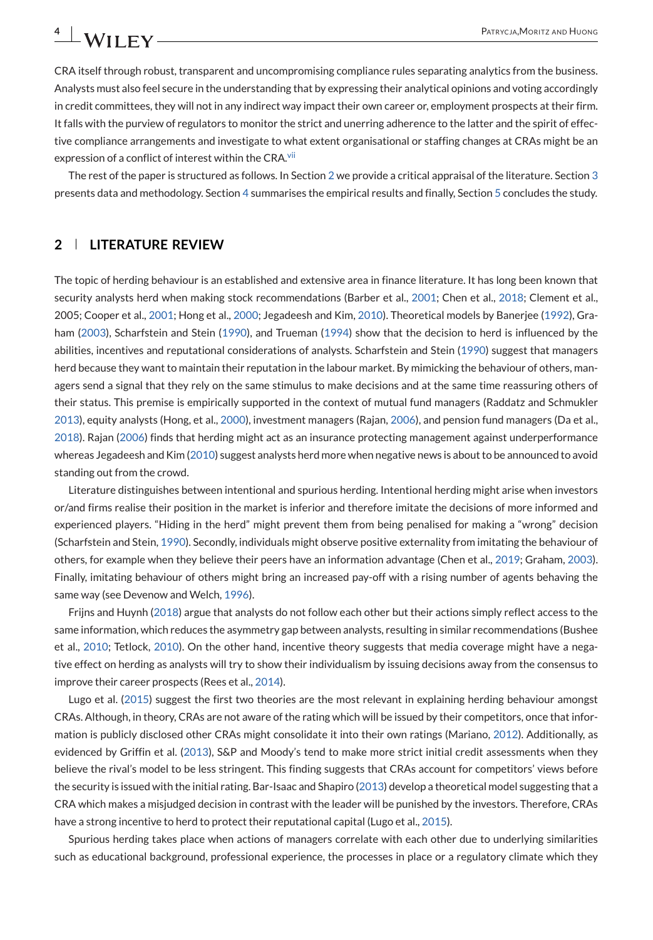CRA itself through robust, transparent and uncompromising compliance rules separating analytics from the business. Analysts must also feel secure in the understanding that by expressing their analytical opinions and voting accordingly in credit committees, they will not in any indirect way impact their own career or, employment prospects at their firm. It falls with the purview of regulators to monitor the strict and unerring adherence to the latter and the spirit of effective compliance arrangements and investigate to what extent organisational or staffing changes at CRAs might be an expression of a conflict of interest within the CRA[.](#page-26-0)<sup>vii</sup>

The rest of the paper is structured as follows. In Section 2 we provide a critical appraisal of the literature. Section [3](#page-4-0) presents data and methodology. Section [4](#page-19-0) summarises the empirical results and finally, Section [5](#page-25-0) concludes the study.

## **2 LITERATURE REVIEW**

The topic of herding behaviour is an established and extensive area in finance literature. It has long been known that security analysts herd when making stock recommendations (Barber et al., [2001;](#page-28-0) Chen et al., [2018;](#page-28-0) Clement et al., 2005; Cooper et al., [2001;](#page-28-0) Hong et al., [2000;](#page-29-0) Jegadeesh and Kim, [2010\)](#page-29-0). Theoretical models by Banerjee [\(1992\)](#page-28-0), Graham [\(2003\)](#page-28-0), Scharfstein and Stein [\(1990\)](#page-29-0), and Trueman [\(1994\)](#page-29-0) show that the decision to herd is influenced by the abilities, incentives and reputational considerations of analysts. Scharfstein and Stein [\(1990\)](#page-29-0) suggest that managers herd because they want to maintain their reputation in the labour market. By mimicking the behaviour of others, managers send a signal that they rely on the same stimulus to make decisions and at the same time reassuring others of their status. This premise is empirically supported in the context of mutual fund managers (Raddatz and Schmukler [2013\)](#page-29-0), equity analysts (Hong, et al., [2000\)](#page-29-0), investment managers (Rajan, [2006\)](#page-29-0), and pension fund managers (Da et al., [2018\)](#page-28-0). Rajan [\(2006\)](#page-29-0) finds that herding might act as an insurance protecting management against underperformance whereas Jegadeesh and Kim [\(2010\)](#page-29-0) suggest analysts herd more when negative news is about to be announced to avoid standing out from the crowd.

Literature distinguishes between intentional and spurious herding. Intentional herding might arise when investors or/and firms realise their position in the market is inferior and therefore imitate the decisions of more informed and experienced players. "Hiding in the herd" might prevent them from being penalised for making a "wrong" decision (Scharfstein and Stein, [1990\)](#page-29-0). Secondly, individuals might observe positive externality from imitating the behaviour of others, for example when they believe their peers have an information advantage (Chen et al., [2019;](#page-28-0) Graham, [2003\)](#page-28-0). Finally, imitating behaviour of others might bring an increased pay-off with a rising number of agents behaving the same way (see Devenow and Welch, [1996\)](#page-28-0).

Frijns and Huynh [\(2018\)](#page-28-0) argue that analysts do not follow each other but their actions simply reflect access to the same information, which reduces the asymmetry gap between analysts, resulting in similar recommendations (Bushee et al., [2010;](#page-28-0) Tetlock, [2010\)](#page-29-0). On the other hand, incentive theory suggests that media coverage might have a negative effect on herding as analysts will try to show their individualism by issuing decisions away from the consensus to improve their career prospects (Rees et al., [2014\)](#page-29-0).

Lugo et al. [\(2015\)](#page-29-0) suggest the first two theories are the most relevant in explaining herding behaviour amongst CRAs. Although, in theory, CRAs are not aware of the rating which will be issued by their competitors, once that information is publicly disclosed other CRAs might consolidate it into their own ratings (Mariano, [2012\)](#page-29-0). Additionally, as evidenced by Griffin et al. [\(2013\)](#page-29-0), S&P and Moody's tend to make more strict initial credit assessments when they believe the rival's model to be less stringent. This finding suggests that CRAs account for competitors' views before the security is issued with the initial rating. Bar-Isaac and Shapiro [\(2013\)](#page-28-0) develop a theoretical model suggesting that a CRA which makes a misjudged decision in contrast with the leader will be punished by the investors. Therefore, CRAs have a strong incentive to herd to protect their reputational capital (Lugo et al., [2015\)](#page-29-0).

Spurious herding takes place when actions of managers correlate with each other due to underlying similarities such as educational background, professional experience, the processes in place or a regulatory climate which they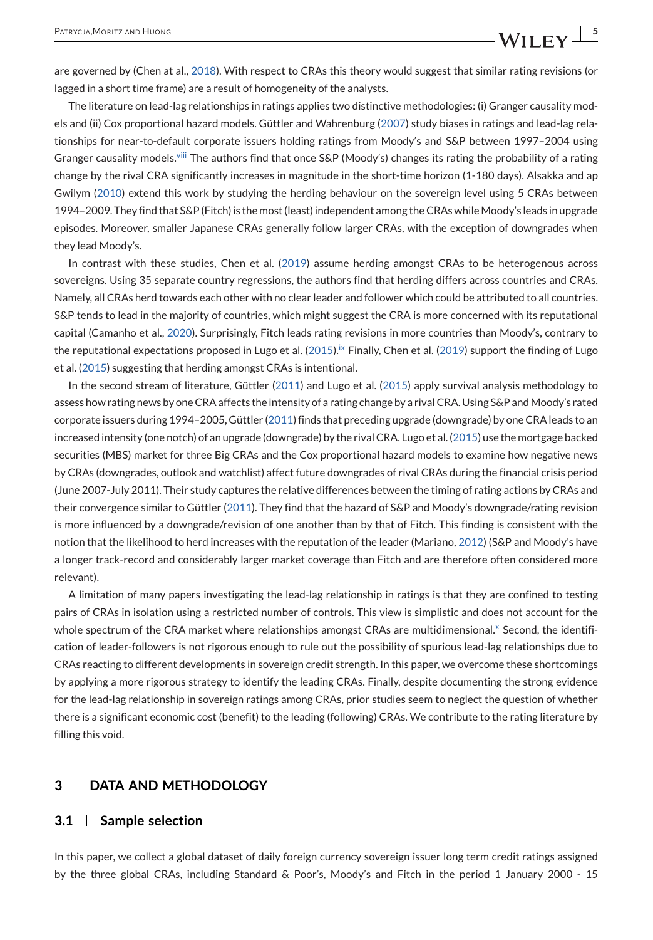<span id="page-4-0"></span>are governed by (Chen at al., [2018\)](#page-28-0). With respect to CRAs this theory would suggest that similar rating revisions (or lagged in a short time frame) are a result of homogeneity of the analysts.

The literature on lead-lag relationships in ratings applies two distinctive methodologies: (i) Granger causality models and (ii) Cox proportional hazard models. Güttler and Wahrenburg [\(2007\)](#page-29-0) study biases in ratings and lead-lag relationships for near-to-default corporate issuers holding ratings from Moody's and S&P between 1997–2004 using Granger causality models[.](#page-26-0)<sup>viii</sup> The authors find that once S&P (Moody's) changes its rating the probability of a rating change by the rival CRA significantly increases in magnitude in the short-time horizon (1-180 days). Alsakka and ap Gwilym [\(2010\)](#page-28-0) extend this work by studying the herding behaviour on the sovereign level using 5 CRAs between 1994–2009. They find that S&P (Fitch) is the most (least) independent among the CRAs whileMoody's leads in upgrade episodes. Moreover, smaller Japanese CRAs generally follow larger CRAs, with the exception of downgrades when they lead Moody's.

In contrast with these studies, Chen et al. [\(2019\)](#page-28-0) assume herding amongst CRAs to be heterogenous across sovereigns. Using 35 separate country regressions, the authors find that herding differs across countries and CRAs. Namely, all CRAs herd towards each other with no clear leader and follower which could be attributed to all countries. S&P tends to lead in the majority of countries, which might suggest the CRA is more concerned with its reputational capital (Camanho et al., [2020\)](#page-28-0). Surprisingly, Fitch leads rating revisions in more countries than Moody's, contrary to the reputational expectations proposed in Lugo et al. [\(2015\)](#page-29-0)[.](#page-26-0)<sup>ix</sup> Finally, Chen et al. [\(2019\)](#page-28-0) support the finding of Lugo et al. [\(2015\)](#page-29-0) suggesting that herding amongst CRAs is intentional.

In the second stream of literature, Güttler [\(2011\)](#page-29-0) and Lugo et al. [\(2015\)](#page-29-0) apply survival analysis methodology to assess how rating news by one CRA affects the intensity of a rating change by a rival CRA. Using S&P and Moody's rated corporate issuers during 1994–2005, Güttler [\(2011\)](#page-29-0) finds that preceding upgrade (downgrade) by one CRA leads to an increased intensity (one notch) of an upgrade (downgrade) by the rival CRA. Lugo et al. [\(2015\)](#page-29-0) use the mortgage backed securities (MBS) market for three Big CRAs and the Cox proportional hazard models to examine how negative news by CRAs (downgrades, outlook and watchlist) affect future downgrades of rival CRAs during the financial crisis period (June 2007-July 2011). Their study captures the relative differences between the timing of rating actions by CRAs and their convergence similar to Güttler [\(2011\)](#page-29-0). They find that the hazard of S&P and Moody's downgrade/rating revision is more influenced by a downgrade/revision of one another than by that of Fitch. This finding is consistent with the notion that the likelihood to herd increases with the reputation of the leader (Mariano, [2012\)](#page-29-0) (S&P and Moody's have a longer track-record and considerably larger market coverage than Fitch and are therefore often considered more relevant).

A limitation of many papers investigating the lead-lag relationship in ratings is that they are confined to testing pairs of CRAs in isolation using a restricted number of controls. This view is simplistic and does not account for the whole spectrum of the CRA market where relationships amongst CRAs are multidimensional[.](#page-26-0)<sup>x</sup> Second, the identification of leader-followers is not rigorous enough to rule out the possibility of spurious lead-lag relationships due to CRAs reacting to different developments in sovereign credit strength. In this paper, we overcome these shortcomings by applying a more rigorous strategy to identify the leading CRAs. Finally, despite documenting the strong evidence for the lead-lag relationship in sovereign ratings among CRAs, prior studies seem to neglect the question of whether there is a significant economic cost (benefit) to the leading (following) CRAs. We contribute to the rating literature by filling this void.

## **3 DATA AND METHODOLOGY**

#### **3.1 Sample selection**

In this paper, we collect a global dataset of daily foreign currency sovereign issuer long term credit ratings assigned by the three global CRAs, including Standard & Poor's, Moody's and Fitch in the period 1 January 2000 - 15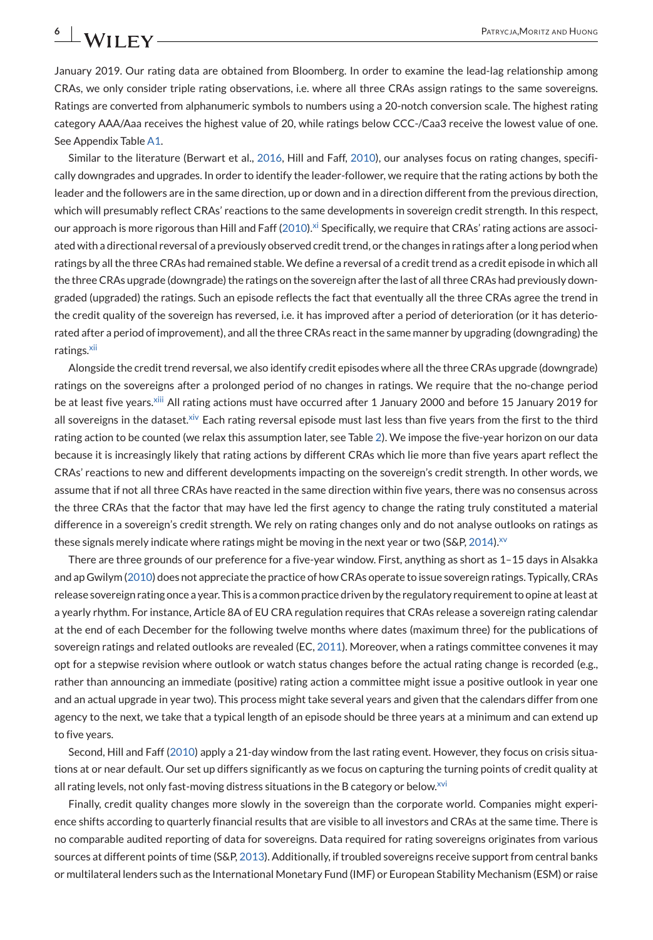January 2019. Our rating data are obtained from Bloomberg. In order to examine the lead-lag relationship among CRAs, we only consider triple rating observations, i.e. where all three CRAs assign ratings to the same sovereigns. Ratings are converted from alphanumeric symbols to numbers using a 20-notch conversion scale. The highest rating category AAA/Aaa receives the highest value of 20, while ratings below CCC-/Caa3 receive the lowest value of one. See Appendix Table [A1.](#page-30-0)

Similar to the literature (Berwart et al., [2016,](#page-28-0) Hill and Faff, [2010\)](#page-29-0), our analyses focus on rating changes, specifically downgrades and upgrades. In order to identify the leader-follower, we require that the rating actions by both the leader and the followers are in the same direction, up or down and in a direction different from the previous direction, which will presumably reflect CRAs' reactions to the same developments in sovereign credit strength. In this respect, our approach is more rigorous than Hill and Faff [\(2010\)](#page-29-0)[.](#page-27-0)<sup>xi</sup> Specifically, we require that CRAs' rating actions are associated with a directional reversal of a previously observed credit trend, or the changes in ratings after a long period when ratings by all the three CRAs had remained stable. We define a reversal of a credit trend as a credit episode in which all the three CRAs upgrade (downgrade) the ratings on the sovereign after the last of all three CRAs had previously downgraded (upgraded) the ratings. Such an episode reflects the fact that eventually all the three CRAs agree the trend in the credit quality of the sovereign has reversed, i.e. it has improved after a period of deterioration (or it has deteriorated after a period of improvement), and all the three CRAs react in the same manner by upgrading (downgrading) the ratings[.](#page-27-0)<sup>xii</sup>

Alongside the credit trend reversal, we also identify credit episodes where all the three CRAs upgrade (downgrade) ratings on the sovereigns after a prolonged period of no changes in ratings. We require that the no-change period be at least five years[.](#page-27-0)<sup>xiii</sup> All rating actions must have occurred after 1 January 2000 and before 15 January 2019 for all sovereigns in the dataset[.](#page-27-0)<sup>xiv</sup> Each rating reversal episode must last less than five years from the first to the third rating action to be counted (we relax this assumption later, see Table [2\)](#page-11-0). We impose the five-year horizon on our data because it is increasingly likely that rating actions by different CRAs which lie more than five years apart reflect the CRAs' reactions to new and different developments impacting on the sovereign's credit strength. In other words, we assume that if not all three CRAs have reacted in the same direction within five years, there was no consensus across the three CRAs that the factor that may have led the first agency to change the rating truly constituted a material difference in a sovereign's credit strength. We rely on rating changes only and do not analyse outlooks on ratings as these signals merely indicate where ratings might be moving in the next year or two (S&P, [2014\)](#page-29-0)[.](#page-27-0)<sup>XV</sup>

There are three grounds of our preference for a five-year window. First, anything as short as 1–15 days in Alsakka and ap Gwilym [\(2010\)](#page-28-0) does not appreciate the practice of how CRAs operate to issue sovereign ratings. Typically, CRAs release sovereign rating once a year. This is a common practice driven by the regulatory requirement to opine at least at a yearly rhythm. For instance, Article 8A of EU CRA regulation requires that CRAs release a sovereign rating calendar at the end of each December for the following twelve months where dates (maximum three) for the publications of sovereign ratings and related outlooks are revealed (EC, [2011\)](#page-28-0). Moreover, when a ratings committee convenes it may opt for a stepwise revision where outlook or watch status changes before the actual rating change is recorded (e.g., rather than announcing an immediate (positive) rating action a committee might issue a positive outlook in year one and an actual upgrade in year two). This process might take several years and given that the calendars differ from one agency to the next, we take that a typical length of an episode should be three years at a minimum and can extend up to five years.

Second, Hill and Faff [\(2010\)](#page-29-0) apply a 21-day window from the last rating event. However, they focus on crisis situations at or near default. Our set up differs significantly as we focus on capturing the turning points of credit quality at all rating levels, not only fast-moving distress situations in the B category or below[.](#page-27-0) $^{xvi}$ 

Finally, credit quality changes more slowly in the sovereign than the corporate world. Companies might experience shifts according to quarterly financial results that are visible to all investors and CRAs at the same time. There is no comparable audited reporting of data for sovereigns. Data required for rating sovereigns originates from various sources at different points of time (S&P, [2013\)](#page-29-0). Additionally, if troubled sovereigns receive support from central banks or multilateral lenders such as the International Monetary Fund (IMF) or European Stability Mechanism (ESM) or raise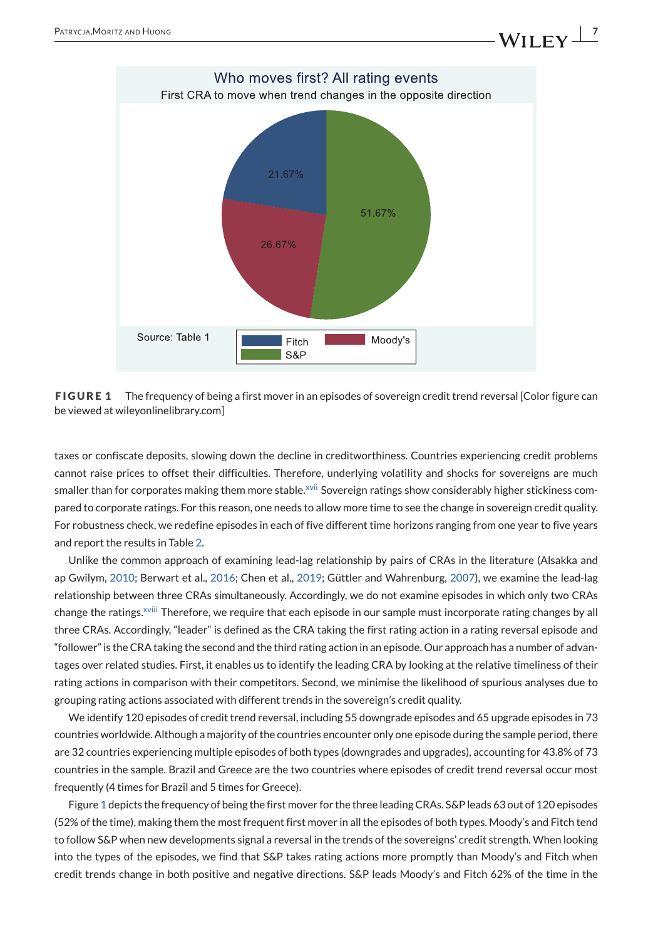

**FIGURE 1** The frequency of being a first mover in an episodes of sovereign credit trend reversal [Color figure can be viewed at wileyonlinelibrary.com]

taxes or confiscate deposits, slowing down the decline in creditworthiness. Countries experiencing credit problems cannot raise prices to offset their difficulties. Therefore, underlying volatility and shocks for sovereigns are much smaller than for corporates making them more stable[.](#page-27-0)<sup>xvii</sup> Sovereign ratings show considerably higher stickiness compared to corporate ratings. For this reason, one needs to allow more time to see the change in sovereign credit quality. For robustness check, we redefine episodes in each of five different time horizons ranging from one year to five years and report the results in Table [2.](#page-11-0)

Unlike the common approach of examining lead-lag relationship by pairs of CRAs in the literature (Alsakka and ap Gwilym, [2010;](#page-28-0) Berwart et al., [2016;](#page-28-0) Chen et al., [2019;](#page-28-0) Güttler and Wahrenburg, [2007\)](#page-29-0), we examine the lead-lag relationship between three CRAs simultaneously. Accordingly, we do not examine episodes in which only two CRAs change the ratings[.](#page-27-0)<sup>xviii</sup> Therefore, we require that each episode in our sample must incorporate rating changes by all three CRAs. Accordingly, "leader" is defined as the CRA taking the first rating action in a rating reversal episode and "follower" is the CRA taking the second and the third rating action in an episode. Our approach has a number of advantages over related studies. First, it enables us to identify the leading CRA by looking at the relative timeliness of their rating actions in comparison with their competitors. Second, we minimise the likelihood of spurious analyses due to grouping rating actions associated with different trends in the sovereign's credit quality.

We identify 120 episodes of credit trend reversal, including 55 downgrade episodes and 65 upgrade episodes in 73 countries worldwide. Although a majority of the countries encounter only one episode during the sample period, there are 32 countries experiencing multiple episodes of both types (downgrades and upgrades), accounting for 43.8% of 73 countries in the sample. Brazil and Greece are the two countries where episodes of credit trend reversal occur most frequently (4 times for Brazil and 5 times for Greece).

Figure 1 depicts the frequency of being the first mover for the three leading CRAs. S&P leads 63 out of 120 episodes (52% of the time), making them the most frequent first mover in all the episodes of both types. Moody's and Fitch tend to follow S&P when new developments signal a reversal in the trends of the sovereigns' credit strength. When looking into the types of the episodes, we find that S&P takes rating actions more promptly than Moody's and Fitch when credit trends change in both positive and negative directions. S&P leads Moody's and Fitch 62% of the time in the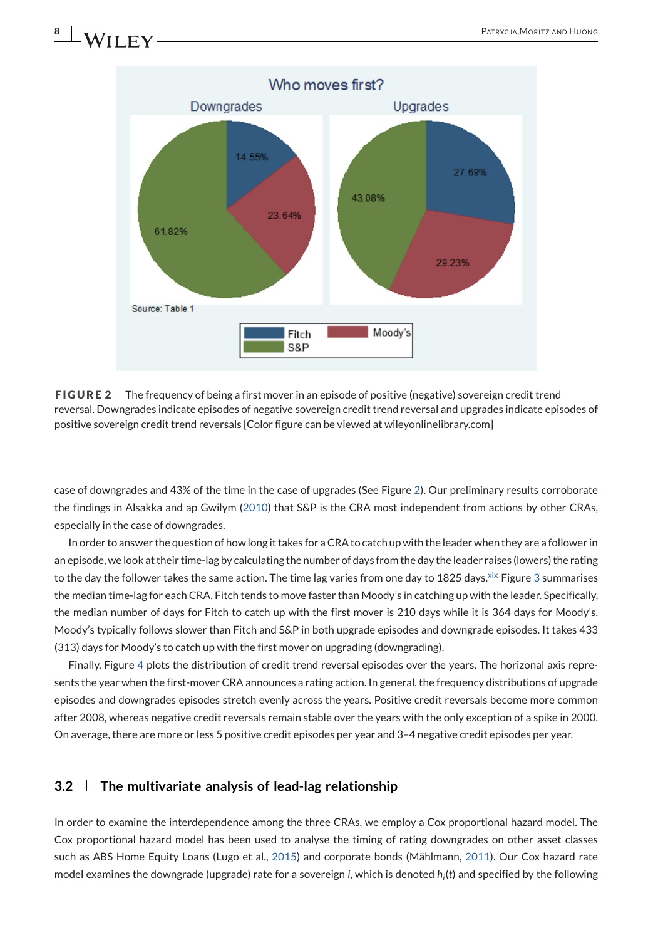## Who moves first? Downgrades Upgrades 14.55% 27.69% 43.08% 23.64% 61.82% 29.23% Source: Table 1 Fitch Moody's  $|$  S&P

**FIGURE 2** The frequency of being a first mover in an episode of positive (negative) sovereign credit trend reversal. Downgrades indicate episodes of negative sovereign credit trend reversal and upgrades indicate episodes of positive sovereign credit trend reversals [Color figure can be viewed at wileyonlinelibrary.com]

case of downgrades and 43% of the time in the case of upgrades (See Figure 2). Our preliminary results corroborate the findings in Alsakka and ap Gwilym [\(2010\)](#page-28-0) that S&P is the CRA most independent from actions by other CRAs, especially in the case of downgrades.

In order to answer the question of how long it takes for a CRA to catch up with the leader when they are a follower in an episode, we look at their time-lag by calculating the number of days from the day the leader raises (lowers) the rating to the day the follower takes the same action[.](#page-27-0) The time lag varies from one day to 1825 days. Xix Figure [3](#page-8-0) summarises the median time-lag for each CRA. Fitch tends to move faster than Moody's in catching up with the leader. Specifically, the median number of days for Fitch to catch up with the first mover is 210 days while it is 364 days for Moody's. Moody's typically follows slower than Fitch and S&P in both upgrade episodes and downgrade episodes. It takes 433 (313) days for Moody's to catch up with the first mover on upgrading (downgrading).

Finally, Figure [4](#page-8-0) plots the distribution of credit trend reversal episodes over the years. The horizonal axis represents the year when the first-mover CRA announces a rating action. In general, the frequency distributions of upgrade episodes and downgrades episodes stretch evenly across the years. Positive credit reversals become more common after 2008, whereas negative credit reversals remain stable over the years with the only exception of a spike in 2000. On average, there are more or less 5 positive credit episodes per year and 3–4 negative credit episodes per year.

### **3.2 The multivariate analysis of lead-lag relationship**

In order to examine the interdependence among the three CRAs, we employ a Cox proportional hazard model. The Cox proportional hazard model has been used to analyse the timing of rating downgrades on other asset classes such as ABS Home Equity Loans (Lugo et al., [2015\)](#page-29-0) and corporate bonds (Mählmann, [2011\)](#page-29-0). Our Cox hazard rate model examines the downgrade (upgrade) rate for a sovereign *i*, which is denoted *hi*(*t*) and specified by the following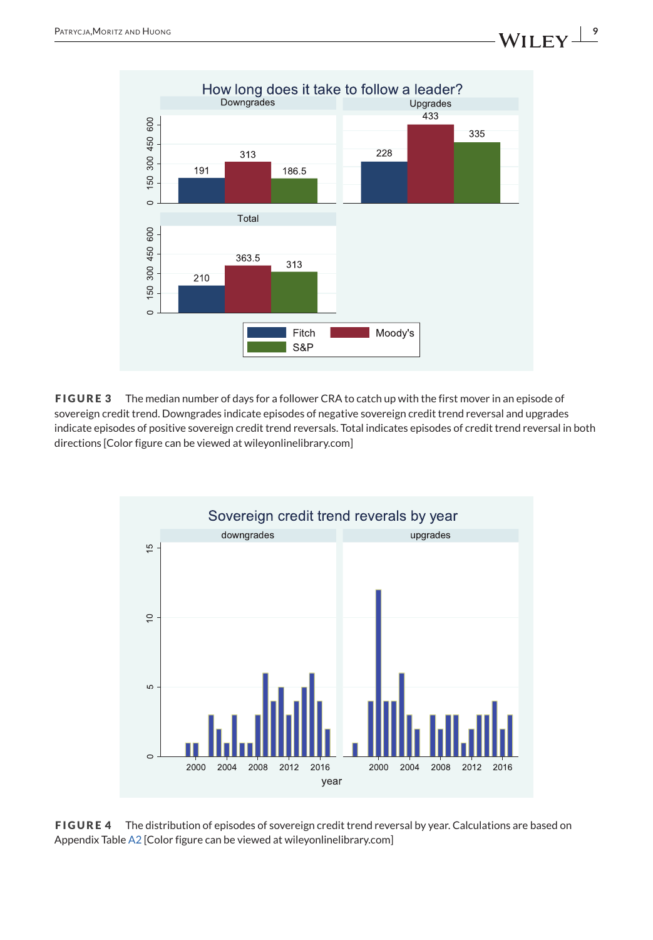<span id="page-8-0"></span>

**FIGURE 3** The median number of days for a follower CRA to catch up with the first mover in an episode of sovereign credit trend. Downgrades indicate episodes of negative sovereign credit trend reversal and upgrades indicate episodes of positive sovereign credit trend reversals. Total indicates episodes of credit trend reversal in both directions [Color figure can be viewed at wileyonlinelibrary.com]



**FIGURE 4** The distribution of episodes of sovereign credit trend reversal by year. Calculations are based on Appendix Table [A2](#page-31-0) [Color figure can be viewed at wileyonlinelibrary.com]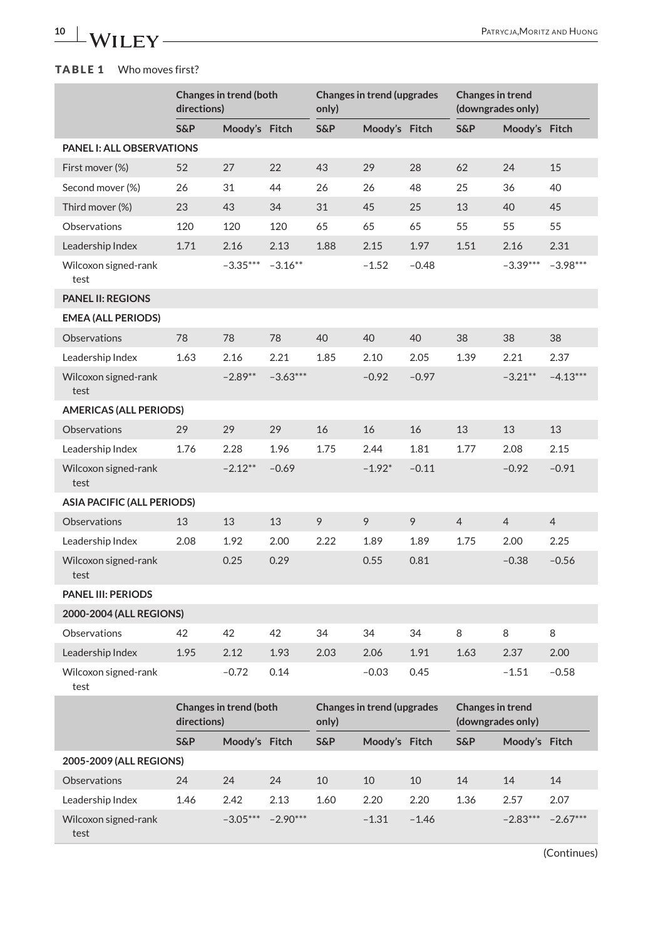## <span id="page-9-0"></span>**TABLE 1** Who moves first?

|                                  | directions) | Changes in trend (both |            | <b>Changes in trend (upgrades</b><br>only) |                                   |         | Changes in trend<br>(downgrades only) |                   |                |
|----------------------------------|-------------|------------------------|------------|--------------------------------------------|-----------------------------------|---------|---------------------------------------|-------------------|----------------|
|                                  | S&P         | Moody's Fitch          |            | S&P                                        | Moody's Fitch                     |         | S&P                                   | Moody's Fitch     |                |
| <b>PANEL I: ALL OBSERVATIONS</b> |             |                        |            |                                            |                                   |         |                                       |                   |                |
| First mover (%)                  | 52          | 27                     | 22         | 43                                         | 29                                | 28      | 62                                    | 24                | 15             |
| Second mover (%)                 | 26          | 31                     | 44         | 26                                         | 26                                | 48      | 25                                    | 36                | 40             |
| Third mover (%)                  | 23          | 43                     | 34         | 31                                         | 45                                | 25      | 13                                    | 40                | 45             |
| Observations                     | 120         | 120                    | 120        | 65                                         | 65                                | 65      | 55                                    | 55                | 55             |
| Leadership Index                 | 1.71        | 2.16                   | 2.13       | 1.88                                       | 2.15                              | 1.97    | 1.51                                  | 2.16              | 2.31           |
| Wilcoxon signed-rank<br>test     |             | $-3.35***$             | $-3.16**$  |                                            | $-1.52$                           | $-0.48$ |                                       | $-3.39***$        | $-3.98***$     |
| <b>PANEL II: REGIONS</b>         |             |                        |            |                                            |                                   |         |                                       |                   |                |
| <b>EMEA (ALL PERIODS)</b>        |             |                        |            |                                            |                                   |         |                                       |                   |                |
| Observations                     | 78          | 78                     | 78         | 40                                         | 40                                | 40      | 38                                    | 38                | 38             |
| Leadership Index                 | 1.63        | 2.16                   | 2.21       | 1.85                                       | 2.10                              | 2.05    | 1.39                                  | 2.21              | 2.37           |
| Wilcoxon signed-rank<br>test     |             | $-2.89**$              | $-3.63***$ |                                            | $-0.92$                           | $-0.97$ |                                       | $-3.21***$        | $-4.13***$     |
| <b>AMERICAS (ALL PERIODS)</b>    |             |                        |            |                                            |                                   |         |                                       |                   |                |
| Observations                     | 29          | 29                     | 29         | 16                                         | 16                                | 16      | 13                                    | 13                | 13             |
| Leadership Index                 | 1.76        | 2.28                   | 1.96       | 1.75                                       | 2.44                              | 1.81    | 1.77                                  | 2.08              | 2.15           |
| Wilcoxon signed-rank<br>test     |             | $-2.12**$              | $-0.69$    |                                            | $-1.92*$                          | $-0.11$ |                                       | $-0.92$           | $-0.91$        |
| ASIA PACIFIC (ALL PERIODS)       |             |                        |            |                                            |                                   |         |                                       |                   |                |
| <b>Observations</b>              | 13          | 13                     | 13         | 9                                          | 9                                 | 9       | $\overline{4}$                        | $\overline{4}$    | $\overline{4}$ |
| Leadership Index                 | 2.08        | 1.92                   | 2.00       | 2.22                                       | 1.89                              | 1.89    | 1.75                                  | 2.00              | 2.25           |
| Wilcoxon signed-rank<br>test     |             | 0.25                   | 0.29       |                                            | 0.55                              | 0.81    |                                       | $-0.38$           | $-0.56$        |
| <b>PANEL III: PERIODS</b>        |             |                        |            |                                            |                                   |         |                                       |                   |                |
| 2000-2004 (ALL REGIONS)          |             |                        |            |                                            |                                   |         |                                       |                   |                |
| Observations                     | 42          | 42                     | 42         | 34                                         | 34                                | 34      | 8                                     | 8                 | 8              |
| Leadership Index                 | 1.95        | 2.12                   | 1.93       | 2.03                                       | 2.06                              | 1.91    | 1.63                                  | 2.37              | 2.00           |
| Wilcoxon signed-rank<br>test     |             | $-0.72$                | 0.14       |                                            | $-0.03$                           | 0.45    |                                       | $-1.51$           | $-0.58$        |
|                                  | directions) | Changes in trend (both |            | only)                                      | <b>Changes in trend (upgrades</b> |         | Changes in trend                      | (downgrades only) |                |
|                                  | S&P         | Moody's Fitch          |            | S&P                                        | Moody's Fitch                     |         | S&P                                   | Moody's Fitch     |                |
| 2005-2009 (ALL REGIONS)          |             |                        |            |                                            |                                   |         |                                       |                   |                |
| Observations                     | 24          | 24                     | 24         | 10                                         | 10                                | 10      | 14                                    | 14                | 14             |
| Leadership Index                 | 1.46        | 2.42                   | 2.13       | 1.60                                       | 2.20                              | 2.20    | 1.36                                  | 2.57              | 2.07           |
| Wilcoxon signed-rank<br>test     |             | $-3.05***$             | $-2.90***$ |                                            | $-1.31$                           | $-1.46$ |                                       | $-2.83***$        | $-2.67***$     |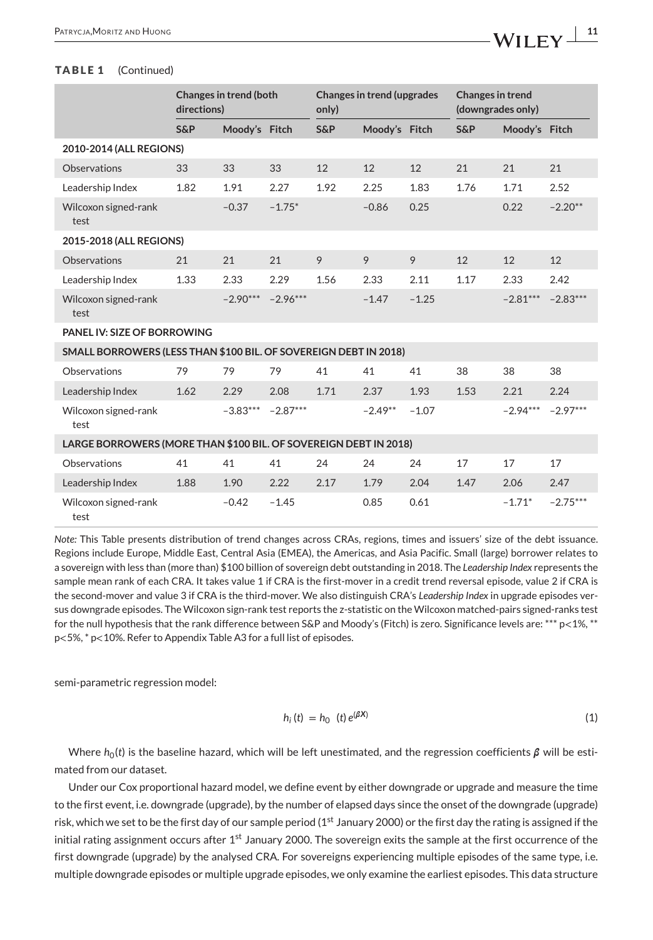#### <span id="page-10-0"></span>**TABLE 1** (Continued)

|                                                                  | directions)    | <b>Changes in trend (both</b> |            | <b>Changes in trend (upgrades</b><br>only) |               | <b>Changes in trend</b><br>(downgrades only) |                |               |            |
|------------------------------------------------------------------|----------------|-------------------------------|------------|--------------------------------------------|---------------|----------------------------------------------|----------------|---------------|------------|
|                                                                  | <b>S&amp;P</b> | Moody's Fitch                 |            | <b>S&amp;P</b>                             | Moody's Fitch |                                              | <b>S&amp;P</b> | Moody's Fitch |            |
| 2010-2014 (ALL REGIONS)                                          |                |                               |            |                                            |               |                                              |                |               |            |
| Observations                                                     | 33             | 33                            | 33         | 12                                         | 12            | 12                                           | 21             | 21            | 21         |
| Leadership Index                                                 | 1.82           | 1.91                          | 2.27       | 1.92                                       | 2.25          | 1.83                                         | 1.76           | 1.71          | 2.52       |
| Wilcoxon signed-rank<br>test                                     |                | $-0.37$                       | $-1.75*$   |                                            | $-0.86$       | 0.25                                         |                | 0.22          | $-2.20**$  |
| 2015-2018 (ALL REGIONS)                                          |                |                               |            |                                            |               |                                              |                |               |            |
| <b>Observations</b>                                              | 21             | 21                            | 21         | 9                                          | 9             | 9                                            | 12             | 12            | 12         |
| Leadership Index                                                 | 1.33           | 2.33                          | 2.29       | 1.56                                       | 2.33          | 2.11                                         | 1.17           | 2.33          | 2.42       |
| Wilcoxon signed-rank<br>test                                     |                | $-2.90***$                    | $-2.96***$ |                                            | $-1.47$       | $-1.25$                                      |                | $-2.81***$    | $-2.83***$ |
| PANEL IV: SIZE OF BORROWING                                      |                |                               |            |                                            |               |                                              |                |               |            |
| SMALL BORROWERS (LESS THAN \$100 BIL. OF SOVEREIGN DEBT IN 2018) |                |                               |            |                                            |               |                                              |                |               |            |
| Observations                                                     | 79             | 79                            | 79         | 41                                         | 41            | 41                                           | 38             | 38            | 38         |
| Leadership Index                                                 | 1.62           | 2.29                          | 2.08       | 1.71                                       | 2.37          | 1.93                                         | 1.53           | 2.21          | 2.24       |
| Wilcoxon signed-rank<br>test                                     |                | $-3.83***$                    | $-2.87***$ |                                            | $-2.49**$     | $-1.07$                                      |                | $-2.94***$    | $-2.97***$ |
| LARGE BORROWERS (MORE THAN \$100 BIL. OF SOVEREIGN DEBT IN 2018) |                |                               |            |                                            |               |                                              |                |               |            |
| Observations                                                     | 41             | 41                            | 41         | 24                                         | 24            | 24                                           | 17             | 17            | 17         |
| Leadership Index                                                 | 1.88           | 1.90                          | 2.22       | 2.17                                       | 1.79          | 2.04                                         | 1.47           | 2.06          | 2.47       |
| Wilcoxon signed-rank<br>test                                     |                | $-0.42$                       | $-1.45$    |                                            | 0.85          | 0.61                                         |                | $-1.71*$      | $-2.75***$ |

*Note:* This Table presents distribution of trend changes across CRAs, regions, times and issuers' size of the debt issuance. Regions include Europe, Middle East, Central Asia (EMEA), the Americas, and Asia Pacific. Small (large) borrower relates to a sovereign with less than (more than) \$100 billion of sovereign debt outstanding in 2018. The *Leadership Index* represents the sample mean rank of each CRA. It takes value 1 if CRA is the first-mover in a credit trend reversal episode, value 2 if CRA is the second-mover and value 3 if CRA is the third-mover. We also distinguish CRA's *Leadership Index* in upgrade episodes versus downgrade episodes. The Wilcoxon sign-rank test reports the z-statistic on the Wilcoxon matched-pairs signed-ranks test for the null hypothesis that the rank difference between S&P and Moody's (Fitch) is zero. Significance levels are: \*\*\* p<1%, \*\* p<5%, \* p<10%. Refer to Appendix Table A3 for a full list of episodes.

semi-parametric regression model:

$$
h_i(t) = h_0(t) e^{(\beta X)}
$$
 (1)

Where  $h_0(t)$  is the baseline hazard, which will be left unestimated, and the regression coefficients  $\beta$  will be estimated from our dataset.

Under our Cox proportional hazard model, we define event by either downgrade or upgrade and measure the time to the first event, i.e. downgrade (upgrade), by the number of elapsed days since the onset of the downgrade (upgrade) risk, which we set to be the first day of our sample period ( $1<sup>st</sup>$  January 2000) or the first day the rating is assigned if the initial rating assignment occurs after  $1<sup>st</sup>$  January 2000. The sovereign exits the sample at the first occurrence of the first downgrade (upgrade) by the analysed CRA. For sovereigns experiencing multiple episodes of the same type, i.e. multiple downgrade episodes or multiple upgrade episodes, we only examine the earliest episodes. This data structure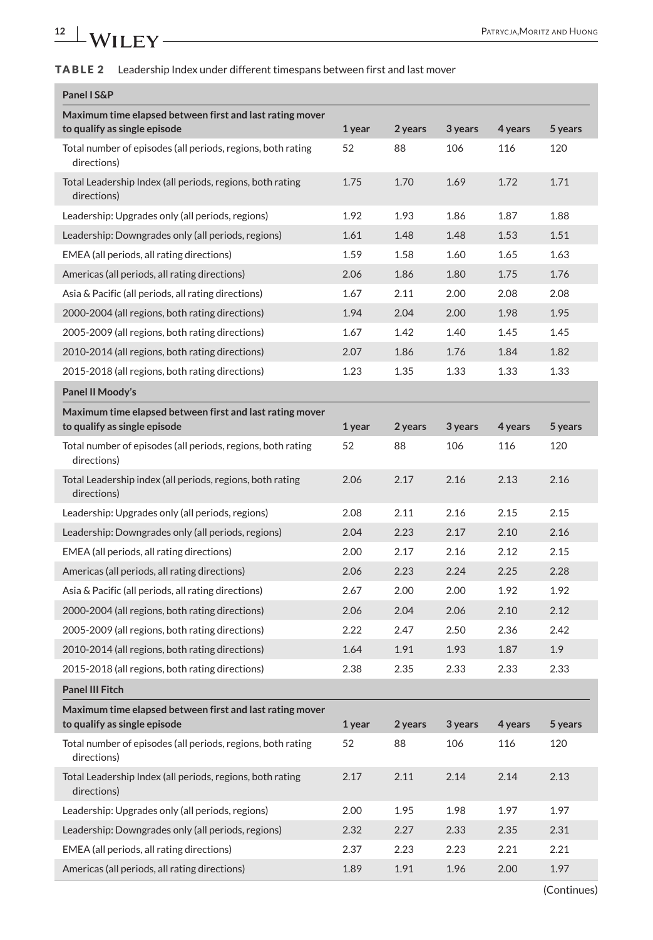## <span id="page-11-0"></span>**TABLE 2** Leadership Index under different timespans between first and last mover

| Panel I S&P                                                                              |        |         |         |         |                  |
|------------------------------------------------------------------------------------------|--------|---------|---------|---------|------------------|
| Maximum time elapsed between first and last rating mover<br>to qualify as single episode | 1 year | 2 years | 3 years | 4 years | 5 years          |
| Total number of episodes (all periods, regions, both rating<br>directions)               | 52     | 88      | 106     | 116     | 120              |
| Total Leadership Index (all periods, regions, both rating<br>directions)                 | 1.75   | 1.70    | 1.69    | 1.72    | 1.71             |
| Leadership: Upgrades only (all periods, regions)                                         | 1.92   | 1.93    | 1.86    | 1.87    | 1.88             |
| Leadership: Downgrades only (all periods, regions)                                       | 1.61   | 1.48    | 1.48    | 1.53    | 1.51             |
| EMEA (all periods, all rating directions)                                                | 1.59   | 1.58    | 1.60    | 1.65    | 1.63             |
| Americas (all periods, all rating directions)                                            | 2.06   | 1.86    | 1.80    | 1.75    | 1.76             |
| Asia & Pacific (all periods, all rating directions)                                      | 1.67   | 2.11    | 2.00    | 2.08    | 2.08             |
| 2000-2004 (all regions, both rating directions)                                          | 1.94   | 2.04    | 2.00    | 1.98    | 1.95             |
| 2005-2009 (all regions, both rating directions)                                          | 1.67   | 1.42    | 1.40    | 1.45    | 1.45             |
| 2010-2014 (all regions, both rating directions)                                          | 2.07   | 1.86    | 1.76    | 1.84    | 1.82             |
| 2015-2018 (all regions, both rating directions)                                          | 1.23   | 1.35    | 1.33    | 1.33    | 1.33             |
| Panel II Moody's                                                                         |        |         |         |         |                  |
| Maximum time elapsed between first and last rating mover                                 |        |         |         |         |                  |
| to qualify as single episode                                                             | 1 year | 2 years | 3 years | 4 years | 5 years          |
| Total number of episodes (all periods, regions, both rating<br>directions)               | 52     | 88      | 106     | 116     | 120              |
| Total Leadership index (all periods, regions, both rating<br>directions)                 | 2.06   | 2.17    | 2.16    | 2.13    | 2.16             |
| Leadership: Upgrades only (all periods, regions)                                         | 2.08   | 2.11    | 2.16    | 2.15    | 2.15             |
| Leadership: Downgrades only (all periods, regions)                                       | 2.04   | 2.23    | 2.17    | 2.10    | 2.16             |
| EMEA (all periods, all rating directions)                                                | 2.00   | 2.17    | 2.16    | 2.12    | 2.15             |
| Americas (all periods, all rating directions)                                            | 2.06   | 2.23    | 2.24    | 2.25    | 2.28             |
| Asia & Pacific (all periods, all rating directions)                                      | 2.67   | 2.00    | 2.00    | 1.92    | 1.92             |
| 2000-2004 (all regions, both rating directions)                                          | 2.06   | 2.04    | 2.06    | 2.10    | 2.12             |
| 2005-2009 (all regions, both rating directions)                                          | 2.22   | 2.47    | 2.50    | 2.36    | 2.42             |
| 2010-2014 (all regions, both rating directions)                                          | 1.64   | 1.91    | 1.93    | 1.87    | 1.9 <sup>°</sup> |
| 2015-2018 (all regions, both rating directions)                                          | 2.38   | 2.35    | 2.33    | 2.33    | 2.33             |
| <b>Panel III Fitch</b>                                                                   |        |         |         |         |                  |
| Maximum time elapsed between first and last rating mover<br>to qualify as single episode | 1 year | 2 years | 3 years | 4 years | 5 years          |
| Total number of episodes (all periods, regions, both rating<br>directions)               | 52     | 88      | 106     | 116     | 120              |
| Total Leadership Index (all periods, regions, both rating<br>directions)                 | 2.17   | 2.11    | 2.14    | 2.14    | 2.13             |
| Leadership: Upgrades only (all periods, regions)                                         | 2.00   | 1.95    | 1.98    | 1.97    | 1.97             |
| Leadership: Downgrades only (all periods, regions)                                       | 2.32   | 2.27    | 2.33    | 2.35    | 2.31             |
| EMEA (all periods, all rating directions)                                                | 2.37   | 2.23    | 2.23    | 2.21    | 2.21             |
| Americas (all periods, all rating directions)                                            | 1.89   | 1.91    | 1.96    | 2.00    | 1.97             |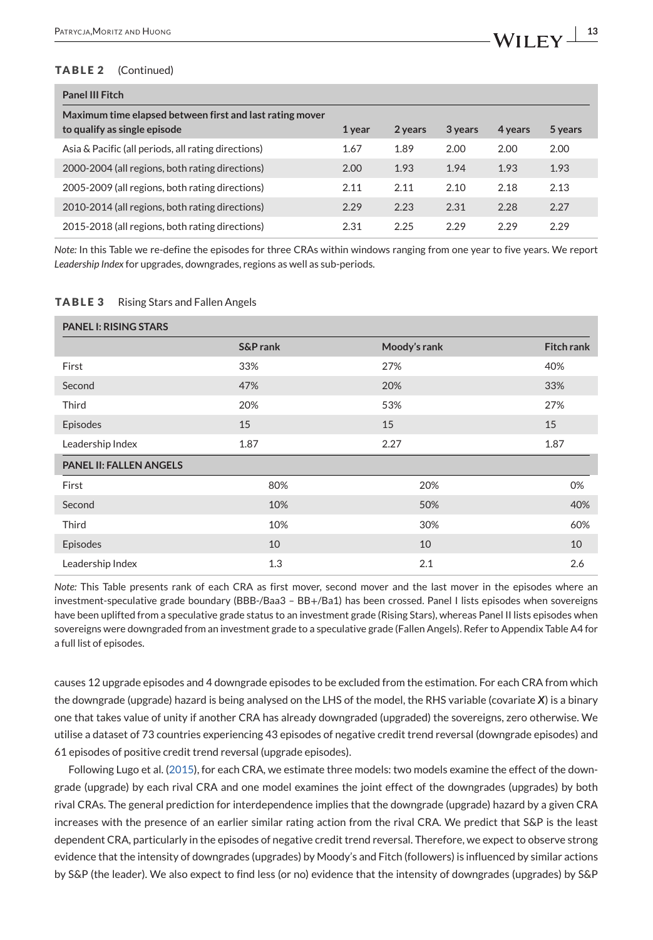#### <span id="page-12-0"></span>**TABLE 2** (Continued)

| <b>Panel III Fitch</b>                                                                   |        |         |         |         |         |
|------------------------------------------------------------------------------------------|--------|---------|---------|---------|---------|
| Maximum time elapsed between first and last rating mover<br>to qualify as single episode | 1 year | 2 years | 3 years | 4 years | 5 years |
| Asia & Pacific (all periods, all rating directions)                                      | 1.67   | 1.89    | 2.00    | 2.00    | 2.00    |
| 2000-2004 (all regions, both rating directions)                                          | 2.00   | 1.93    | 1.94    | 1.93    | 1.93    |
| 2005-2009 (all regions, both rating directions)                                          | 2.11   | 2.11    | 2.10    | 2.18    | 2.13    |
| 2010-2014 (all regions, both rating directions)                                          | 2.29   | 2.23    | 2.31    | 2.28    | 2.27    |
| 2015-2018 (all regions, both rating directions)                                          | 2.31   | 2.25    | 2.29    | 2.29    | 2.29    |

*Note:* In this Table we re-define the episodes for three CRAs within windows ranging from one year to five years. We report *Leadership Index* for upgrades, downgrades, regions as well as sub-periods.

#### **TABLE 3** Rising Stars and Fallen Angels

| <b>PANEL I: RISING STARS</b>   |          |              |                   |
|--------------------------------|----------|--------------|-------------------|
|                                | S&P rank | Moody's rank | <b>Fitch rank</b> |
| First                          | 33%      | 27%          | 40%               |
| Second                         | 47%      | 20%          | 33%               |
| Third                          | 20%      | 53%          | 27%               |
| Episodes                       | 15       | 15           | 15                |
| Leadership Index               | 1.87     | 2.27         | 1.87              |
| <b>PANEL II: FALLEN ANGELS</b> |          |              |                   |
| First                          | 80%      | 20%          | 0%                |
| Second                         | 10%      | 50%          | 40%               |
| Third                          | 10%      | 30%          | 60%               |
| Episodes                       | 10       | 10           | 10                |
| Leadership Index               | 1.3      | 2.1          | 2.6               |

*Note:* This Table presents rank of each CRA as first mover, second mover and the last mover in the episodes where an investment-speculative grade boundary (BBB-/Baa3 – BB+/Ba1) has been crossed. Panel I lists episodes when sovereigns have been uplifted from a speculative grade status to an investment grade (Rising Stars), whereas Panel II lists episodes when sovereigns were downgraded from an investment grade to a speculative grade (Fallen Angels). Refer to Appendix Table A4 for a full list of episodes.

causes 12 upgrade episodes and 4 downgrade episodes to be excluded from the estimation. For each CRA from which the downgrade (upgrade) hazard is being analysed on the LHS of the model, the RHS variable (covariate *X*) is a binary one that takes value of unity if another CRA has already downgraded (upgraded) the sovereigns, zero otherwise. We utilise a dataset of 73 countries experiencing 43 episodes of negative credit trend reversal (downgrade episodes) and 61 episodes of positive credit trend reversal (upgrade episodes).

Following Lugo et al. [\(2015\)](#page-29-0), for each CRA, we estimate three models: two models examine the effect of the downgrade (upgrade) by each rival CRA and one model examines the joint effect of the downgrades (upgrades) by both rival CRAs. The general prediction for interdependence implies that the downgrade (upgrade) hazard by a given CRA increases with the presence of an earlier similar rating action from the rival CRA. We predict that S&P is the least dependent CRA, particularly in the episodes of negative credit trend reversal. Therefore, we expect to observe strong evidence that the intensity of downgrades (upgrades) by Moody's and Fitch (followers) is influenced by similar actions by S&P (the leader). We also expect to find less (or no) evidence that the intensity of downgrades (upgrades) by S&P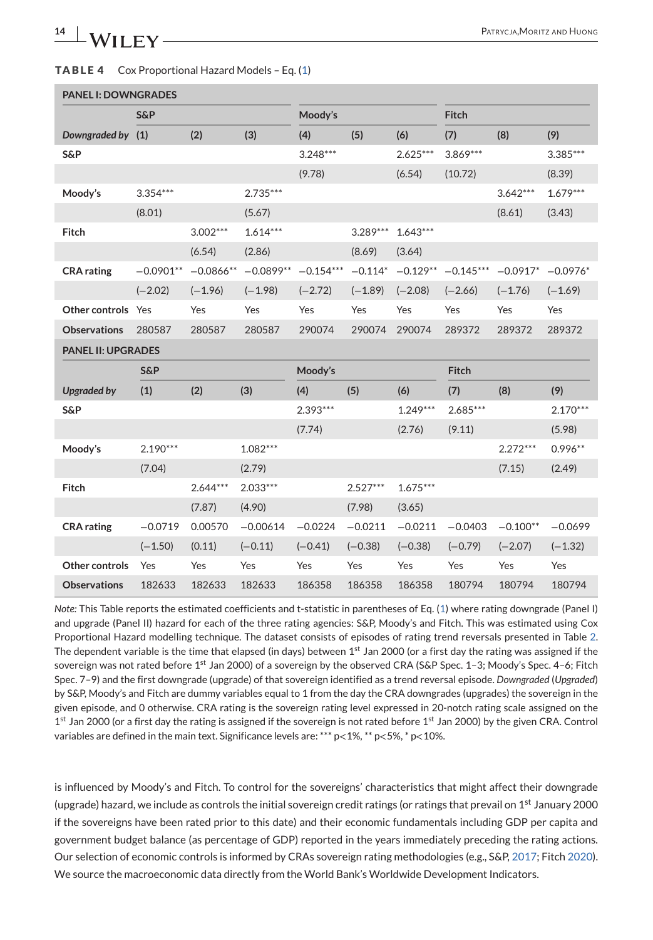#### <span id="page-13-0"></span>**TABLE 4** Cox Proportional Hazard Models – Eq. [\(1\)](#page-10-0)

| <b>PANEL I: DOWNGRADES</b> |                |             |             |             |            |            |             |            |            |
|----------------------------|----------------|-------------|-------------|-------------|------------|------------|-------------|------------|------------|
|                            | <b>S&amp;P</b> |             |             | Moody's     |            |            | Fitch       |            |            |
| Downgraded by (1)          |                | (2)         | (3)         | (4)         | (5)        | (6)        | (7)         | (8)        | (9)        |
| S&P                        |                |             |             | $3.248***$  |            | $2.625***$ | $3.869***$  |            | 3.385***   |
|                            |                |             |             | (9.78)      |            | (6.54)     | (10.72)     |            | (8.39)     |
| Moody's                    | $3.354***$     |             | $2.735***$  |             |            |            |             | $3.642***$ | $1.679***$ |
|                            | (8.01)         |             | (5.67)      |             |            |            |             | (8.61)     | (3.43)     |
| Fitch                      |                | $3.002***$  | $1.614***$  |             | $3.289***$ | $1.643***$ |             |            |            |
|                            |                | (6.54)      | (2.86)      |             | (8.69)     | (3.64)     |             |            |            |
| <b>CRA</b> rating          | $-0.0901**$    | $-0.0866**$ | $-0.0899**$ | $-0.154***$ | $-0.114*$  | $-0.129**$ | $-0.145***$ | $-0.0917*$ | $-0.0976*$ |
|                            | $(-2.02)$      | $(-1.96)$   | $(-1.98)$   | $(-2.72)$   | $(-1.89)$  | $(-2.08)$  | $(-2.66)$   | $(-1.76)$  | $(-1.69)$  |
| Other controls             | Yes            | Yes         | Yes         | Yes         | Yes        | Yes        | Yes         | Yes        | Yes        |
| <b>Observations</b>        | 280587         | 280587      | 280587      | 290074      | 290074     | 290074     | 289372      | 289372     | 289372     |
| <b>PANEL II: UPGRADES</b>  |                |             |             |             |            |            |             |            |            |
|                            | S&P            |             |             | Moody's     |            |            | Fitch       |            |            |
| <b>Upgraded by</b>         | (1)            | (2)         | (3)         | (4)         | (5)        | (6)        | (7)         | (8)        | (9)        |
| S&P                        |                |             |             | $2.393***$  |            | $1.249***$ | $2.685***$  |            | $2.170***$ |
|                            |                |             |             | (7.74)      |            | (2.76)     | (9.11)      |            | (5.98)     |
| Moody's                    | $2.190***$     |             | $1.082***$  |             |            |            |             | $2.272***$ | $0.996**$  |
|                            | (7.04)         |             | (2.79)      |             |            |            |             | (7.15)     | (2.49)     |
| Fitch                      |                | $2.644***$  | $2.033***$  |             | $2.527***$ | $1.675***$ |             |            |            |
|                            |                | (7.87)      | (4.90)      |             | (7.98)     | (3.65)     |             |            |            |
| <b>CRA</b> rating          | $-0.0719$      | 0.00570     | $-0.00614$  | $-0.0224$   | $-0.0211$  | $-0.0211$  | $-0.0403$   | $-0.100**$ | $-0.0699$  |
|                            | $(-1.50)$      | (0.11)      | $(-0.11)$   | $(-0.41)$   | $(-0.38)$  | $(-0.38)$  | $(-0.79)$   | $(-2.07)$  | $(-1.32)$  |
| Other controls             | Yes            | Yes         | Yes         | Yes         | Yes        | Yes        | Yes         | Yes        | Yes        |
| <b>Observations</b>        | 182633         | 182633      | 182633      | 186358      | 186358     | 186358     | 180794      | 180794     | 180794     |

*Note:* This Table reports the estimated coefficients and t-statistic in parentheses of Eq. [\(1\)](#page-10-0) where rating downgrade (Panel I) and upgrade (Panel II) hazard for each of the three rating agencies: S&P, Moody's and Fitch. This was estimated using Cox Proportional Hazard modelling technique. The dataset consists of episodes of rating trend reversals presented in Table [2.](#page-11-0) The dependent variable is the time that elapsed (in days) between  $1<sup>st</sup>$  Jan 2000 (or a first day the rating was assigned if the sovereign was not rated before 1<sup>st</sup> Jan 2000) of a sovereign by the observed CRA (S&P Spec. 1-3; Moody's Spec. 4-6; Fitch Spec. 7–9) and the first downgrade (upgrade) of that sovereign identified as a trend reversal episode. *Downgraded* (*Upgraded*) by S&P, Moody's and Fitch are dummy variables equal to 1 from the day the CRA downgrades (upgrades) the sovereign in the given episode, and 0 otherwise. CRA rating is the sovereign rating level expressed in 20-notch rating scale assigned on the  $1<sup>st</sup>$  Jan 2000 (or a first day the rating is assigned if the sovereign is not rated before  $1<sup>st</sup>$  Jan 2000) by the given CRA. Control variables are defined in the main text. Significance levels are: \*\*\* p<1%, \*\* p<5%, \* p<10%.

is influenced by Moody's and Fitch. To control for the sovereigns' characteristics that might affect their downgrade (upgrade) hazard, we include as controls the initial sovereign credit ratings (or ratings that prevail on  $1<sup>st</sup>$  January 2000 if the sovereigns have been rated prior to this date) and their economic fundamentals including GDP per capita and government budget balance (as percentage of GDP) reported in the years immediately preceding the rating actions. Our selection of economic controls is informed by CRAs sovereign rating methodologies (e.g., S&P, [2017;](#page-29-0) Fitch [2020\)](#page-28-0). We source the macroeconomic data directly from the World Bank's Worldwide Development Indicators.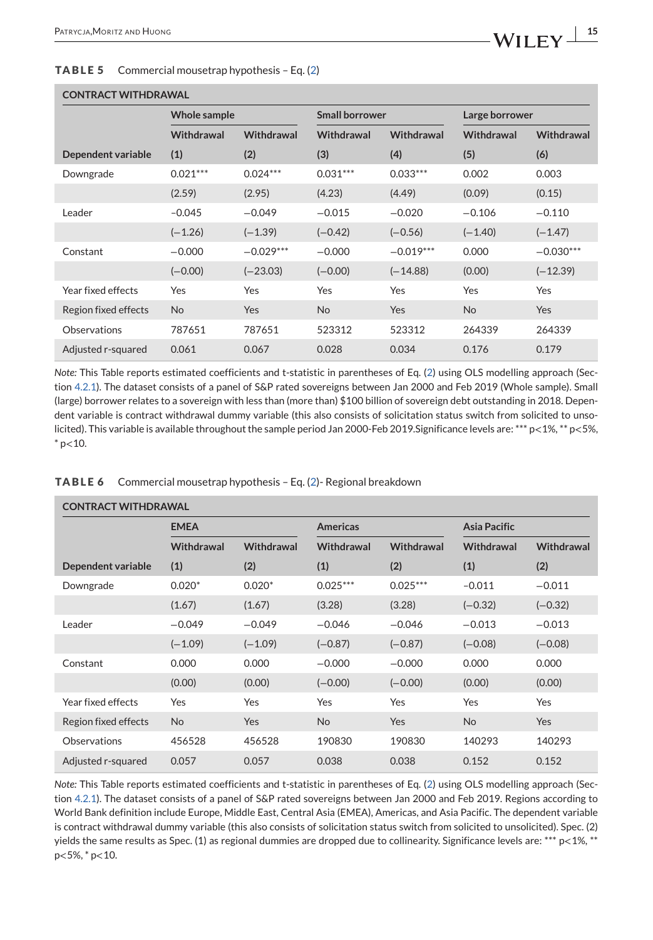#### <span id="page-14-0"></span>**TABLE 5** Commercial mousetrap hypothesis – Eq. [\(2\)](#page-16-0)

## **CONTRACT WITHDRAWAL Whole sample Small borrower Carge borrower Large borrower Withdrawal Withdrawal Withdrawal Withdrawal Withdrawal Withdrawal Dependent variable (1) (2) (3) (4) (5) (6)** Downgrade 0.021\*\*\* 0.024\*\*\* 0.031\*\*\* 0.033\*\*\* 0.002 0.003 (2.59) (2.95) (4.23) (4.49) (0.09) (0.15) Leader –0.045 −0.049 −0.015 −0.020 −0.106 −0.110 (−1.26) (−1.39) (−0.42) (−0.56) (−1.40) (−1.47) Constant −0.000 −0.029\*\*\* −0.000 −0.019\*\*\* 0.000 −0.030\*\*\* (−0.00) (−23.03) (−0.00) (−14.88) (0.00) (−12.39) Year fixed effects Yes Yes Yes Yes Yes Yes Region fixed effects No Yes No Yes No Yes No Yes Observations 787651 787651 523312 523312 264339 264339 Adjusted r-squared 0.061 0.067 0.028 0.034 0.176 0.179

*Note:* This Table reports estimated coefficients and t-statistic in parentheses of Eq. [\(2\)](#page-16-0) using OLS modelling approach (Section [4.2.1\)](#page-23-0). The dataset consists of a panel of S&P rated sovereigns between Jan 2000 and Feb 2019 (Whole sample). Small (large) borrower relates to a sovereign with less than (more than) \$100 billion of sovereign debt outstanding in 2018. Dependent variable is contract withdrawal dummy variable (this also consists of solicitation status switch from solicited to unsolicited). This variable is available throughout the sample period Jan 2000-Feb 2019.Significance levels are: \*\*\* p<1%, \*\* p<5%,  $*$  p<10.

|                      | <b>CONTRACT WITHDRAWAL</b> |            |                 |            |                     |            |  |  |  |  |
|----------------------|----------------------------|------------|-----------------|------------|---------------------|------------|--|--|--|--|
|                      | <b>EMEA</b>                |            | <b>Americas</b> |            | <b>Asia Pacific</b> |            |  |  |  |  |
|                      | Withdrawal                 | Withdrawal | Withdrawal      | Withdrawal | Withdrawal          | Withdrawal |  |  |  |  |
| Dependent variable   | (1)                        | (2)        | (1)             | (2)        | (1)                 | (2)        |  |  |  |  |
| Downgrade            | $0.020*$                   | $0.020*$   | $0.025***$      | $0.025***$ | $-0.011$            | $-0.011$   |  |  |  |  |
|                      | (1.67)                     | (1.67)     | (3.28)          | (3.28)     | $(-0.32)$           | $(-0.32)$  |  |  |  |  |
| Leader               | $-0.049$                   | $-0.049$   | $-0.046$        | $-0.046$   | $-0.013$            | $-0.013$   |  |  |  |  |
|                      | $(-1.09)$                  | $(-1.09)$  | $(-0.87)$       | $(-0.87)$  | $(-0.08)$           | $(-0.08)$  |  |  |  |  |
| Constant             | 0.000                      | 0.000      | $-0.000$        | $-0.000$   | 0.000               | 0.000      |  |  |  |  |
|                      | (0.00)                     | (0.00)     | $(-0.00)$       | $(-0.00)$  | (0.00)              | (0.00)     |  |  |  |  |
| Year fixed effects   | Yes                        | Yes        | Yes             | Yes        | Yes                 | Yes        |  |  |  |  |
| Region fixed effects | <b>No</b>                  | <b>Yes</b> | N <sub>o</sub>  | <b>Yes</b> | N <sub>o</sub>      | <b>Yes</b> |  |  |  |  |
| Observations         | 456528                     | 456528     | 190830          | 190830     | 140293              | 140293     |  |  |  |  |
| Adjusted r-squared   | 0.057                      | 0.057      | 0.038           | 0.038      | 0.152               | 0.152      |  |  |  |  |

#### **TABLE 6** Commercial mousetrap hypothesis – Eq. [\(2\)](#page-16-0)- Regional breakdown

*Note:* This Table reports estimated coefficients and t-statistic in parentheses of Eq. [\(2\)](#page-16-0) using OLS modelling approach (Section [4.2.1\)](#page-23-0). The dataset consists of a panel of S&P rated sovereigns between Jan 2000 and Feb 2019. Regions according to World Bank definition include Europe, Middle East, Central Asia (EMEA), Americas, and Asia Pacific. The dependent variable is contract withdrawal dummy variable (this also consists of solicitation status switch from solicited to unsolicited). Spec. (2) yields the same results as Spec. (1) as regional dummies are dropped due to collinearity. Significance levels are: \*\*\*  $p<1\%$ , \*\* p<5%, \* p<10.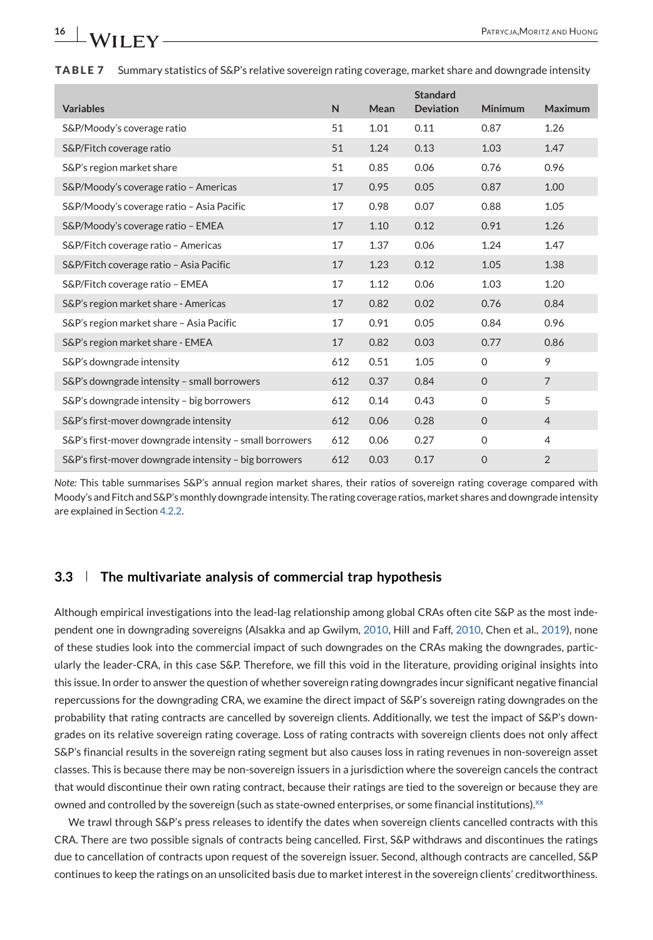<span id="page-15-0"></span>**TABLE 7** Summary statistics of S&P's relative sovereign rating coverage, market share and downgrade intensity

|                                                         |     |      | <b>Standard</b>  |                |                |
|---------------------------------------------------------|-----|------|------------------|----------------|----------------|
| <b>Variables</b>                                        | N   | Mean | <b>Deviation</b> | <b>Minimum</b> | Maximum        |
| S&P/Moody's coverage ratio                              | 51  | 1.01 | 0.11             | 0.87           | 1.26           |
| S&P/Fitch coverage ratio                                | 51  | 1.24 | 0.13             | 1.03           | 1.47           |
| S&P's region market share                               | 51  | 0.85 | 0.06             | 0.76           | 0.96           |
| S&P/Moody's coverage ratio - Americas                   | 17  | 0.95 | 0.05             | 0.87           | 1.00           |
| S&P/Moody's coverage ratio - Asia Pacific               | 17  | 0.98 | 0.07             | 0.88           | 1.05           |
| S&P/Moody's coverage ratio - EMEA                       | 17  | 1.10 | 0.12             | 0.91           | 1.26           |
| S&P/Fitch coverage ratio - Americas                     | 17  | 1.37 | 0.06             | 1.24           | 1.47           |
| S&P/Fitch coverage ratio - Asia Pacific                 | 17  | 1.23 | 0.12             | 1.05           | 1.38           |
| S&P/Fitch coverage ratio - EMEA                         | 17  | 1.12 | 0.06             | 1.03           | 1.20           |
| S&P's region market share - Americas                    | 17  | 0.82 | 0.02             | 0.76           | 0.84           |
| S&P's region market share - Asia Pacific                | 17  | 0.91 | 0.05             | 0.84           | 0.96           |
| S&P's region market share - EMEA                        | 17  | 0.82 | 0.03             | 0.77           | 0.86           |
| S&P's downgrade intensity                               | 612 | 0.51 | 1.05             | $\Omega$       | 9              |
| S&P's downgrade intensity - small borrowers             | 612 | 0.37 | 0.84             | $\Omega$       | $\overline{7}$ |
| S&P's downgrade intensity - big borrowers               | 612 | 0.14 | 0.43             | $\mathbf 0$    | 5              |
| S&P's first-mover downgrade intensity                   | 612 | 0.06 | 0.28             | $\mathbf{O}$   | $\overline{4}$ |
| S&P's first-mover downgrade intensity - small borrowers | 612 | 0.06 | 0.27             | $\Omega$       | $\overline{4}$ |
| S&P's first-mover downgrade intensity - big borrowers   | 612 | 0.03 | 0.17             | $\Omega$       | $\overline{2}$ |

*Note:* This table summarises S&P's annual region market shares, their ratios of sovereign rating coverage compared with Moody's and Fitch and S&P's monthly downgrade intensity. The rating coverage ratios, market shares and downgrade intensity are explained in Section [4.2.2.](#page-24-0)

## **3.3 The multivariate analysis of commercial trap hypothesis**

Although empirical investigations into the lead-lag relationship among global CRAs often cite S&P as the most independent one in downgrading sovereigns (Alsakka and ap Gwilym, [2010,](#page-28-0) Hill and Faff, [2010,](#page-29-0) Chen et al., [2019\)](#page-28-0), none of these studies look into the commercial impact of such downgrades on the CRAs making the downgrades, particularly the leader-CRA, in this case S&P. Therefore, we fill this void in the literature, providing original insights into this issue. In order to answer the question of whether sovereign rating downgrades incur significant negative financial repercussions for the downgrading CRA, we examine the direct impact of S&P's sovereign rating downgrades on the probability that rating contracts are cancelled by sovereign clients. Additionally, we test the impact of S&P's downgrades on its relative sovereign rating coverage. Loss of rating contracts with sovereign clients does not only affect S&P's financial results in the sovereign rating segment but also causes loss in rating revenues in non-sovereign asset classes. This is because there may be non-sovereign issuers in a jurisdiction where the sovereign cancels the contract that would discontinue their own rating contract, because their ratings are tied to the sovereign or because they are owned and controlled by the sovereign (such as state-owned enterprises, or some financial institutions)[.](#page-27-0) $\chi$ 

We trawl through S&P's press releases to identify the dates when sovereign clients cancelled contracts with this CRA. There are two possible signals of contracts being cancelled. First, S&P withdraws and discontinues the ratings due to cancellation of contracts upon request of the sovereign issuer. Second, although contracts are cancelled, S&P continues to keep the ratings on an unsolicited basis due to market interest in the sovereign clients' creditworthiness.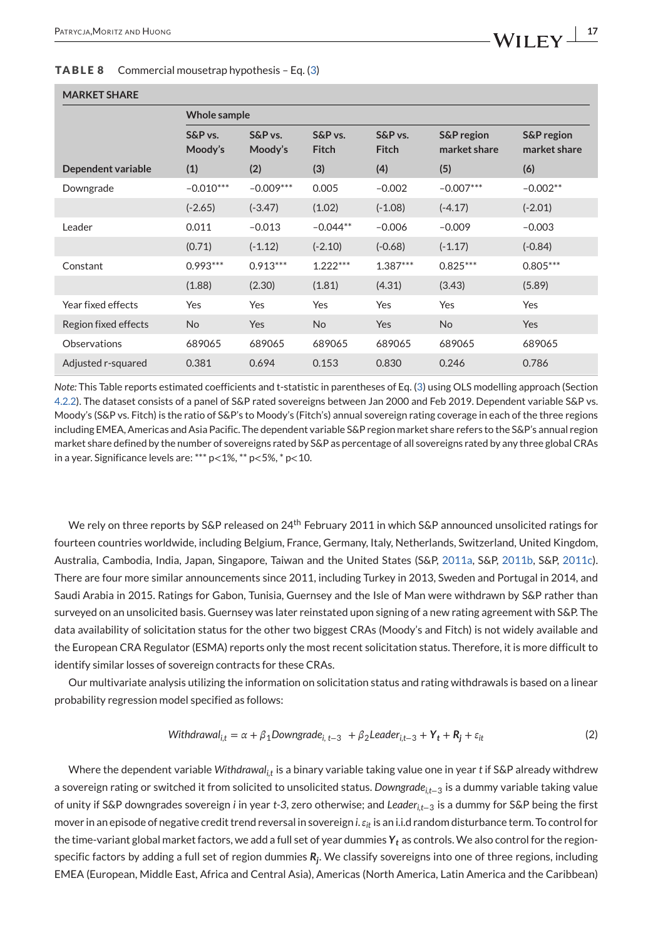#### <span id="page-16-0"></span>**TABLE 8** Commercial mousetrap hypothesis – Eq. [\(3\)](#page-17-0)

## **MARKET SHARE**

|                      | <b>Whole sample</b> |                    |                         |                         |                                       |                                       |
|----------------------|---------------------|--------------------|-------------------------|-------------------------|---------------------------------------|---------------------------------------|
|                      | S&P vs.<br>Moody's  | S&P vs.<br>Moody's | S&P vs.<br><b>Fitch</b> | S&P vs.<br><b>Fitch</b> | <b>S&amp;P</b> region<br>market share | <b>S&amp;P</b> region<br>market share |
| Dependent variable   | (1)                 | (2)                | (3)                     | (4)                     | (5)                                   | (6)                                   |
| Downgrade            | $-0.010***$         | $-0.009***$        | 0.005                   | $-0.002$                | $-0.007***$                           | $-0.002**$                            |
|                      | $(-2.65)$           | $(-3.47)$          | (1.02)                  | $(-1.08)$               | $(-4.17)$                             | $(-2.01)$                             |
| Leader               | 0.011               | $-0.013$           | $-0.044**$              | $-0.006$                | $-0.009$                              | $-0.003$                              |
|                      | (0.71)              | $(-1.12)$          | $(-2.10)$               | $(-0.68)$               | $(-1.17)$                             | $(-0.84)$                             |
| Constant             | $0.993***$          | $0.913***$         | $1.222***$              | $1.387***$              | $0.825***$                            | $0.805***$                            |
|                      | (1.88)              | (2.30)             | (1.81)                  | (4.31)                  | (3.43)                                | (5.89)                                |
| Year fixed effects   | Yes                 | Yes                | Yes                     | Yes                     | Yes                                   | <b>Yes</b>                            |
| Region fixed effects | <b>No</b>           | Yes                | <b>No</b>               | <b>Yes</b>              | <b>No</b>                             | <b>Yes</b>                            |
| Observations         | 689065              | 689065             | 689065                  | 689065                  | 689065                                | 689065                                |
| Adjusted r-squared   | 0.381               | 0.694              | 0.153                   | 0.830                   | 0.246                                 | 0.786                                 |

*Note:* This Table reports estimated coefficients and t-statistic in parentheses of Eq. [\(3\)](#page-17-0) using OLS modelling approach (Section [4.2.2\)](#page-24-0). The dataset consists of a panel of S&P rated sovereigns between Jan 2000 and Feb 2019. Dependent variable S&P vs. Moody's (S&P vs. Fitch) is the ratio of S&P's to Moody's (Fitch's) annual sovereign rating coverage in each of the three regions including EMEA, Americas and Asia Pacific. The dependent variable S&P region market share refers to the S&P's annual region market share defined by the number of sovereigns rated by S&P as percentage of all sovereigns rated by any three global CRAs in a year. Significance levels are: \*\*\* p<1%, \*\* p<5%, \* p<10.

We rely on three reports by S&P released on 24<sup>th</sup> February 2011 in which S&P announced unsolicited ratings for fourteen countries worldwide, including Belgium, France, Germany, Italy, Netherlands, Switzerland, United Kingdom, Australia, Cambodia, India, Japan, Singapore, Taiwan and the United States (S&P, [2011a,](#page-29-0) S&P, [2011b,](#page-29-0) S&P, [2011c\)](#page-29-0). There are four more similar announcements since 2011, including Turkey in 2013, Sweden and Portugal in 2014, and Saudi Arabia in 2015. Ratings for Gabon, Tunisia, Guernsey and the Isle of Man were withdrawn by S&P rather than surveyed on an unsolicited basis. Guernsey was later reinstated upon signing of a new rating agreement with S&P. The data availability of solicitation status for the other two biggest CRAs (Moody's and Fitch) is not widely available and the European CRA Regulator (ESMA) reports only the most recent solicitation status. Therefore, it is more difficult to identify similar losses of sovereign contracts for these CRAs.

Our multivariate analysis utilizing the information on solicitation status and rating withdrawals is based on a linear probability regression model specified as follows:

Withdrawal<sub>i,t</sub> = 
$$
\alpha + \beta_1
$$
Downgrade<sub>i, t-3</sub> +  $\beta_2$ Leader<sub>i,t-3</sub> +  $Y_t + R_j + \varepsilon_{it}$  (2)

Where the dependent variable *Withdrawal<sub>it</sub>* is a binary variable taking value one in year *t* if S&P already withdrew a sovereign rating or switched it from solicited to unsolicited status. *Downgradei,t*<sup>−</sup><sup>3</sup> is a dummy variable taking value of unity if S&P downgrades sovereign *i* in year *t-3*, zero otherwise; and *Leaderi,t*<sup>−</sup><sup>3</sup> is a dummy for S&P being the first mover in an episode of negative credit trend reversal in sovereign *i*.*it* is an i.i.d random disturbance term. To control for the time-variant global market factors, we add a full set of year dummies *Yt* as controls. We also control for the regionspecific factors by adding a full set of region dummies *Rj*. We classify sovereigns into one of three regions, including EMEA (European, Middle East, Africa and Central Asia), Americas (North America, Latin America and the Caribbean)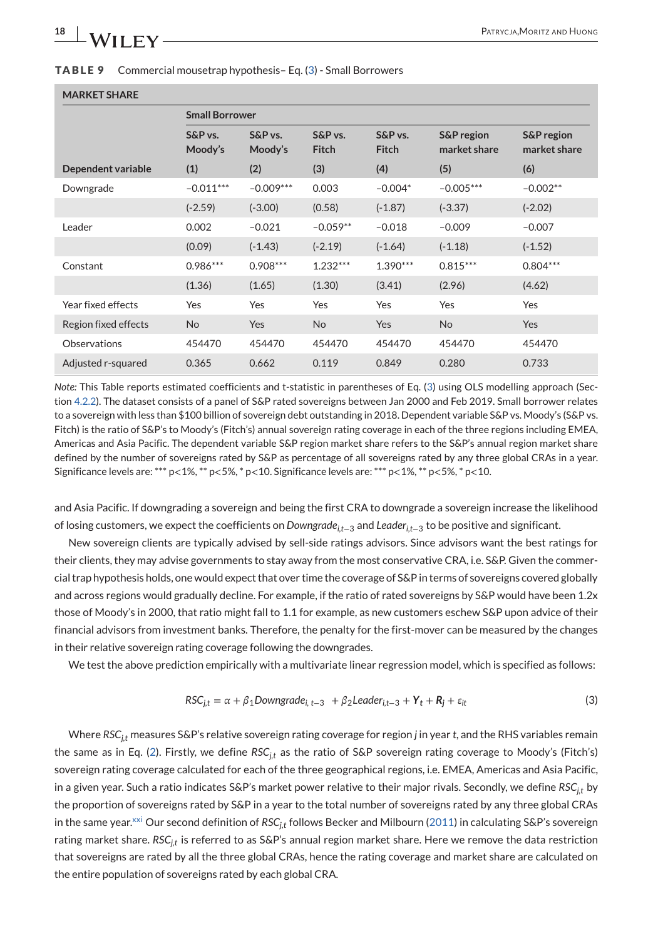#### <span id="page-17-0"></span>**TABLE 9** Commercial mousetrap hypothesis– Eq. (3) - Small Borrowers

#### **MARKET SHARE**

|                      | <b>Small Borrower</b> |                    |                         |                         |                                       |                                       |
|----------------------|-----------------------|--------------------|-------------------------|-------------------------|---------------------------------------|---------------------------------------|
|                      | S&P vs.<br>Moody's    | S&P vs.<br>Moody's | S&P vs.<br><b>Fitch</b> | S&P vs.<br><b>Fitch</b> | <b>S&amp;P</b> region<br>market share | <b>S&amp;P</b> region<br>market share |
| Dependent variable   | (1)                   | (2)                | (3)                     | (4)                     | (5)                                   | (6)                                   |
| Downgrade            | $-0.011***$           | $-0.009***$        | 0.003                   | $-0.004*$               | $-0.005***$                           | $-0.002**$                            |
|                      | $(-2.59)$             | $(-3.00)$          | (0.58)                  | $(-1.87)$               | $(-3.37)$                             | $(-2.02)$                             |
| Leader               | 0.002                 | $-0.021$           | $-0.059**$              | $-0.018$                | $-0.009$                              | $-0.007$                              |
|                      | (0.09)                | $(-1.43)$          | $(-2.19)$               | $(-1.64)$               | $(-1.18)$                             | $(-1.52)$                             |
| Constant             | $0.986***$            | $0.908***$         | $1.232***$              | $1.390***$              | $0.815***$                            | $0.804***$                            |
|                      | (1.36)                | (1.65)             | (1.30)                  | (3.41)                  | (2.96)                                | (4.62)                                |
| Year fixed effects   | Yes                   | Yes                | Yes                     | Yes                     | Yes                                   | <b>Yes</b>                            |
| Region fixed effects | <b>No</b>             | Yes                | <b>No</b>               | Yes                     | <b>No</b>                             | <b>Yes</b>                            |
| Observations         | 454470                | 454470             | 454470                  | 454470                  | 454470                                | 454470                                |
| Adjusted r-squared   | 0.365                 | 0.662              | 0.119                   | 0.849                   | 0.280                                 | 0.733                                 |

*Note:* This Table reports estimated coefficients and t-statistic in parentheses of Eq. (3) using OLS modelling approach (Section [4.2.2\)](#page-24-0). The dataset consists of a panel of S&P rated sovereigns between Jan 2000 and Feb 2019. Small borrower relates to a sovereign with less than \$100 billion of sovereign debt outstanding in 2018. Dependent variable S&P vs. Moody's (S&P vs. Fitch) is the ratio of S&P's to Moody's (Fitch's) annual sovereign rating coverage in each of the three regions including EMEA, Americas and Asia Pacific. The dependent variable S&P region market share refers to the S&P's annual region market share defined by the number of sovereigns rated by S&P as percentage of all sovereigns rated by any three global CRAs in a year. Significance levels are: \*\*\*  $p<1\%$ , \*\*  $p<5\%$ , \*  $p<10$ . Significance levels are: \*\*\*  $p<1\%$ , \*\*  $p<5\%$ , \* $p<10$ .

and Asia Pacific. If downgrading a sovereign and being the first CRA to downgrade a sovereign increase the likelihood of losing customers, we expect the coefficients on *Downgradei,t*<sup>−</sup><sup>3</sup> and *Leaderi,t*<sup>−</sup><sup>3</sup> to be positive and significant.

New sovereign clients are typically advised by sell-side ratings advisors. Since advisors want the best ratings for their clients, they may advise governments to stay away from the most conservative CRA, i.e. S&P. Given the commercial trap hypothesis holds, one would expect that over time the coverage of S&P in terms of sovereigns covered globally and across regions would gradually decline. For example, if the ratio of rated sovereigns by S&P would have been 1.2x those of Moody's in 2000, that ratio might fall to 1.1 for example, as new customers eschew S&P upon advice of their financial advisors from investment banks. Therefore, the penalty for the first-mover can be measured by the changes in their relative sovereign rating coverage following the downgrades.

We test the above prediction empirically with a multivariate linear regression model, which is specified as follows:

$$
RSC_{j,t} = \alpha + \beta_1 \text{Downgrade}_{i,t-3} + \beta_2 \text{Leader}_{i,t-3} + \mathbf{Y}_t + \mathbf{R}_j + \varepsilon_{it}
$$
\n(3)

Where *RSCj,t* measures S&P's relative sovereign rating coverage for region *j* in year *t*, and the RHS variables remain the same as in Eq. [\(2\)](#page-16-0). Firstly, we define *RSC<sub>it</sub>* as the ratio of S&P sovereign rating coverage to Moody's (Fitch's) sovereign rating coverage calculated for each of the three geographical regions, i.e. EMEA, Americas and Asia Pacific, in a given year. Such a ratio indicates S&P's market power relative to their major rivals. Secondly, we define *RSCj,t* by the proportion of sovereigns rated by S&P in a year to the total number of sovereigns rated by any three global CRAs in the same yea[r.](#page-27-0)<sup>xxi</sup> Our second definition of *RSC<sub>it</sub>* follows Becker and Milbourn [\(2011\)](#page-28-0) in calculating S&P's sovereign rating market share. *RSC<sub>it</sub>* is referred to as S&P's annual region market share. Here we remove the data restriction that sovereigns are rated by all the three global CRAs, hence the rating coverage and market share are calculated on the entire population of sovereigns rated by each global CRA.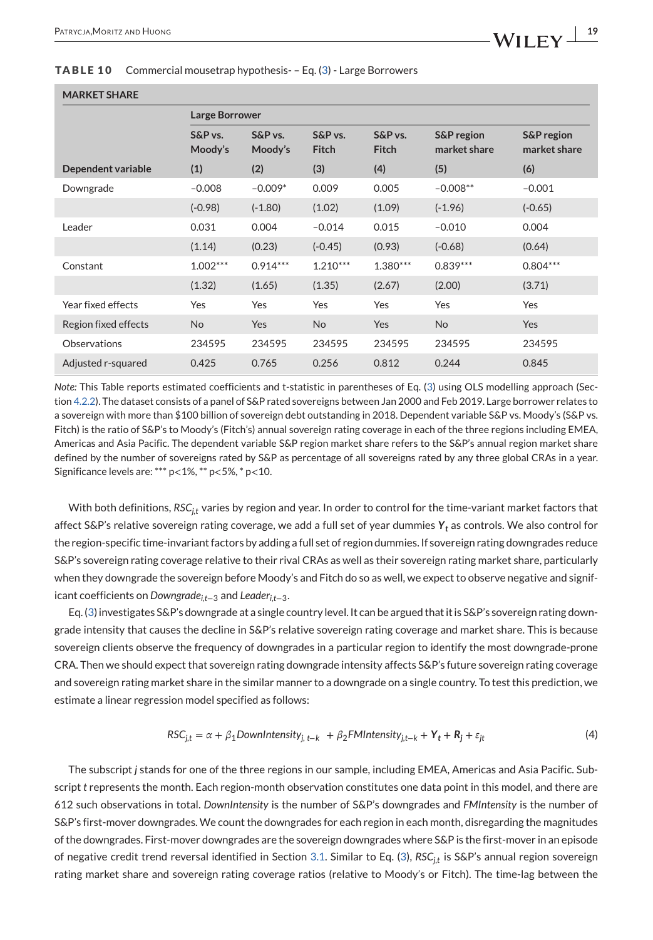#### <span id="page-18-0"></span>**TABLE 10** Commercial mousetrap hypothesis- – Eq. [\(3\)](#page-17-0) - Large Borrowers

| <b>MARKET SHARE</b> |
|---------------------|
|---------------------|

|                      | <b>Large Borrower</b> |                    |                         |                         |                            |                                       |
|----------------------|-----------------------|--------------------|-------------------------|-------------------------|----------------------------|---------------------------------------|
|                      | S&P vs.<br>Moody's    | S&P vs.<br>Moody's | S&P vs.<br><b>Fitch</b> | S&P vs.<br><b>Fitch</b> | S&P region<br>market share | <b>S&amp;P</b> region<br>market share |
| Dependent variable   | (1)                   | (2)                | (3)                     | (4)                     | (5)                        | (6)                                   |
| Downgrade            | $-0.008$              | $-0.009*$          | 0.009                   | 0.005                   | $-0.008**$                 | $-0.001$                              |
|                      | $(-0.98)$             | $(-1.80)$          | (1.02)                  | (1.09)                  | $(-1.96)$                  | $(-0.65)$                             |
| Leader               | 0.031                 | 0.004              | $-0.014$                | 0.015                   | $-0.010$                   | 0.004                                 |
|                      | (1.14)                | (0.23)             | $(-0.45)$               | (0.93)                  | $(-0.68)$                  | (0.64)                                |
| Constant             | $1.002***$            | $0.914***$         | $1.210***$              | $1.380***$              | $0.839***$                 | $0.804***$                            |
|                      | (1.32)                | (1.65)             | (1.35)                  | (2.67)                  | (2.00)                     | (3.71)                                |
| Year fixed effects   | Yes                   | Yes                | Yes                     | Yes                     | Yes                        | <b>Yes</b>                            |
| Region fixed effects | <b>No</b>             | Yes                | <b>No</b>               | Yes                     | N <sub>o</sub>             | <b>Yes</b>                            |
| Observations         | 234595                | 234595             | 234595                  | 234595                  | 234595                     | 234595                                |
| Adjusted r-squared   | 0.425                 | 0.765              | 0.256                   | 0.812                   | 0.244                      | 0.845                                 |

*Note:* This Table reports estimated coefficients and t-statistic in parentheses of Eq. [\(3\)](#page-17-0) using OLS modelling approach (Section [4.2.2\)](#page-24-0). The dataset consists of a panel of S&P rated sovereigns between Jan 2000 and Feb 2019. Large borrower relates to a sovereign with more than \$100 billion of sovereign debt outstanding in 2018. Dependent variable S&P vs. Moody's (S&P vs. Fitch) is the ratio of S&P's to Moody's (Fitch's) annual sovereign rating coverage in each of the three regions including EMEA, Americas and Asia Pacific. The dependent variable S&P region market share refers to the S&P's annual region market share defined by the number of sovereigns rated by S&P as percentage of all sovereigns rated by any three global CRAs in a year. Significance levels are: \*\*\* p<1%, \*\* p<5%, \* p<10.

With both definitions, *RSCj,t* varies by region and year. In order to control for the time-variant market factors that affect S&P's relative sovereign rating coverage, we add a full set of year dummies *Yt* as controls. We also control for the region-specific time-invariant factors by adding a full set of region dummies. If sovereign rating downgrades reduce S&P's sovereign rating coverage relative to their rival CRAs as well as their sovereign rating market share, particularly when they downgrade the sovereign before Moody's and Fitch do so as well, we expect to observe negative and significant coefficients on *Downgradei,t*<sup>−</sup><sup>3</sup> and *Leaderi,t*−3.

Eq. [\(3\)](#page-17-0) investigates S&P's downgrade at a single country level. It can be argued that it is S&P's sovereign rating downgrade intensity that causes the decline in S&P's relative sovereign rating coverage and market share. This is because sovereign clients observe the frequency of downgrades in a particular region to identify the most downgrade-prone CRA. Then we should expect that sovereign rating downgrade intensity affects S&P's future sovereign rating coverage and sovereign rating market share in the similar manner to a downgrade on a single country. To test this prediction, we estimate a linear regression model specified as follows:

$$
RSC_{j,t} = \alpha + \beta_1 \text{DownIntensity}_{j, t-k} + \beta_2 \text{FMIntensity}_{j, t-k} + Y_t + R_j + \varepsilon_{jt}
$$
\n
$$
\tag{4}
$$

The subscript *j* stands for one of the three regions in our sample, including EMEA, Americas and Asia Pacific. Subscript *t* represents the month. Each region-month observation constitutes one data point in this model, and there are 612 such observations in total. *DownIntensity* is the number of S&P's downgrades and *FMIntensity* is the number of S&P's first-mover downgrades. We count the downgrades for each region in each month, disregarding the magnitudes of the downgrades. First-mover downgrades are the sovereign downgrades where S&P is the first-mover in an episode of negative credit trend reversal identified in Section [3.1.](#page-4-0) Similar to Eq. [\(3\)](#page-17-0), *RSCj,t* is S&P's annual region sovereign rating market share and sovereign rating coverage ratios (relative to Moody's or Fitch). The time-lag between the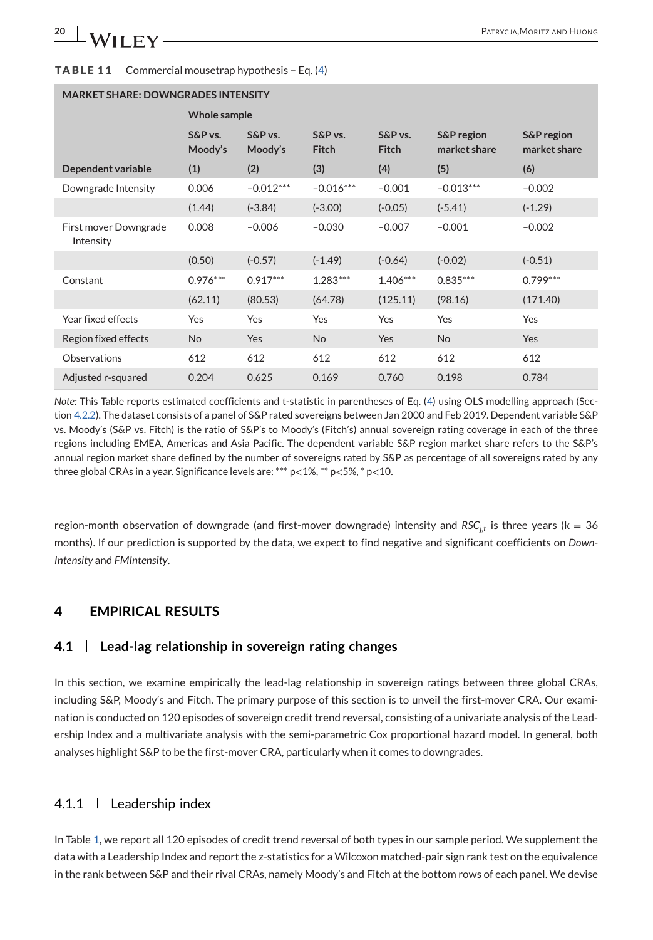#### <span id="page-19-0"></span>**TABLE 11** Commercial mousetrap hypothesis – Eq. [\(4\)](#page-18-0)

| MARKET SHARE: DOWNGRADES INTENSITY |                    |                    |                         |                         |                                       |                                       |
|------------------------------------|--------------------|--------------------|-------------------------|-------------------------|---------------------------------------|---------------------------------------|
|                                    | Whole sample       |                    |                         |                         |                                       |                                       |
|                                    | S&P vs.<br>Moody's | S&P vs.<br>Moody's | S&P vs.<br><b>Fitch</b> | S&P vs.<br><b>Fitch</b> | <b>S&amp;P</b> region<br>market share | <b>S&amp;P</b> region<br>market share |
| Dependent variable                 | (1)                | (2)                | (3)                     | (4)                     | (5)                                   | (6)                                   |
| Downgrade Intensity                | 0.006              | $-0.012***$        | $-0.016***$             | $-0.001$                | $-0.013***$                           | $-0.002$                              |
|                                    | (1.44)             | $(-3.84)$          | $(-3.00)$               | $(-0.05)$               | $(-5.41)$                             | $(-1.29)$                             |
| First mover Downgrade<br>Intensity | 0.008              | $-0.006$           | $-0.030$                | $-0.007$                | $-0.001$                              | $-0.002$                              |
|                                    | (0.50)             | $(-0.57)$          | $(-1.49)$               | $(-0.64)$               | $(-0.02)$                             | $(-0.51)$                             |
| Constant                           | $0.976***$         | $0.917***$         | $1.283***$              | $1.406***$              | $0.835***$                            | $0.799***$                            |
|                                    | (62.11)            | (80.53)            | (64.78)                 | (125.11)                | (98.16)                               | (171.40)                              |
| Year fixed effects                 | Yes                | Yes                | Yes                     | Yes                     | Yes                                   | Yes                                   |
| Region fixed effects               | <b>No</b>          | Yes                | <b>No</b>               | <b>Yes</b>              | <b>No</b>                             | Yes                                   |
| Observations                       | 612                | 612                | 612                     | 612                     | 612                                   | 612                                   |
| Adjusted r-squared                 | 0.204              | 0.625              | 0.169                   | 0.760                   | 0.198                                 | 0.784                                 |

## **MARKET SHARE: DOWNGRADES INTENSITY**

*Note:* This Table reports estimated coefficients and t-statistic in parentheses of Eq. [\(4\)](#page-18-0) using OLS modelling approach (Section [4.2.2\)](#page-24-0). The dataset consists of a panel of S&P rated sovereigns between Jan 2000 and Feb 2019. Dependent variable S&P vs. Moody's (S&P vs. Fitch) is the ratio of S&P's to Moody's (Fitch's) annual sovereign rating coverage in each of the three regions including EMEA, Americas and Asia Pacific. The dependent variable S&P region market share refers to the S&P's annual region market share defined by the number of sovereigns rated by S&P as percentage of all sovereigns rated by any three global CRAs in a year. Significance levels are: \*\*\* p<1%, \*\* p<5%, \* p<10.

region-month observation of downgrade (and first-mover downgrade) intensity and *RSC<sub>j,t</sub>* is three years (k = 36 months). If our prediction is supported by the data, we expect to find negative and significant coefficients on *Down-Intensity* and *FMIntensity*.

## **4 EMPIRICAL RESULTS**

## **4.1 Lead-lag relationship in sovereign rating changes**

In this section, we examine empirically the lead-lag relationship in sovereign ratings between three global CRAs, including S&P, Moody's and Fitch. The primary purpose of this section is to unveil the first-mover CRA. Our examination is conducted on 120 episodes of sovereign credit trend reversal, consisting of a univariate analysis of the Leadership Index and a multivariate analysis with the semi-parametric Cox proportional hazard model. In general, both analyses highlight S&P to be the first-mover CRA, particularly when it comes to downgrades.

## 4.1.1 Leadership index

In Table [1,](#page-9-0) we report all 120 episodes of credit trend reversal of both types in our sample period. We supplement the data with a Leadership Index and report the z-statistics for a Wilcoxon matched-pair sign rank test on the equivalence in the rank between S&P and their rival CRAs, namely Moody's and Fitch at the bottom rows of each panel. We devise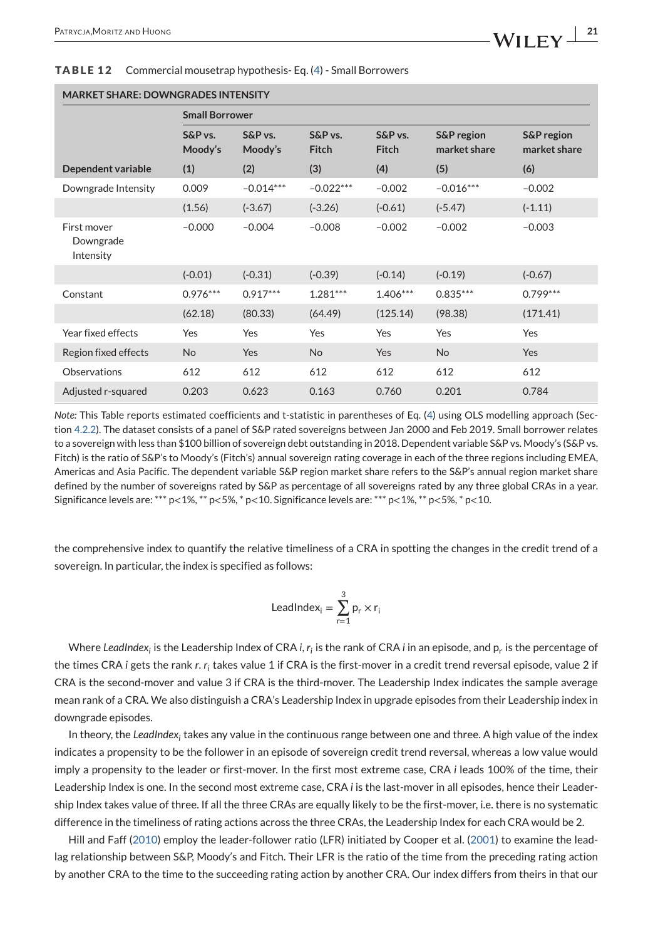| <b>MARKET SHARE: DOWNGRADES INTENSITY</b> |                       |                    |                         |                            |                            |                                       |
|-------------------------------------------|-----------------------|--------------------|-------------------------|----------------------------|----------------------------|---------------------------------------|
|                                           | <b>Small Borrower</b> |                    |                         |                            |                            |                                       |
|                                           | $S\&P$ vs.<br>Moody's | S&P vs.<br>Moody's | S&P vs.<br><b>Fitch</b> | $S\&P$ vs.<br><b>Fitch</b> | S&P region<br>market share | <b>S&amp;P</b> region<br>market share |
| Dependent variable                        | (1)                   | (2)                | (3)                     | (4)                        | (5)                        | (6)                                   |
| Downgrade Intensity                       | 0.009                 | $-0.014***$        | $-0.022***$             | $-0.002$                   | $-0.016***$                | $-0.002$                              |
|                                           | (1.56)                | $(-3.67)$          | $(-3.26)$               | $(-0.61)$                  | $(-5.47)$                  | $(-1.11)$                             |
| First mover<br>Downgrade<br>Intensity     | $-0.000$              | $-0.004$           | $-0.008$                | $-0.002$                   | $-0.002$                   | $-0.003$                              |
|                                           | $(-0.01)$             | $(-0.31)$          | $(-0.39)$               | $(-0.14)$                  | $(-0.19)$                  | $(-0.67)$                             |
| Constant                                  | $0.976***$            | $0.917***$         | $1.281***$              | $1.406***$                 | $0.835***$                 | $0.799***$                            |
|                                           | (62.18)               | (80.33)            | (64.49)                 | (125.14)                   | (98.38)                    | (171.41)                              |
| Year fixed effects                        | Yes                   | Yes                | Yes                     | Yes                        | Yes                        | Yes                                   |
| Region fixed effects                      | <b>No</b>             | Yes                | <b>No</b>               | Yes                        | <b>No</b>                  | Yes                                   |
| Observations                              | 612                   | 612                | 612                     | 612                        | 612                        | 612                                   |
| Adjusted r-squared                        | 0.203                 | 0.623              | 0.163                   | 0.760                      | 0.201                      | 0.784                                 |

#### <span id="page-20-0"></span>**TABLE 12** Commercial mousetrap hypothesis- Eq. [\(4\)](#page-18-0) - Small Borrowers

*Note:* This Table reports estimated coefficients and t-statistic in parentheses of Eq. [\(4\)](#page-18-0) using OLS modelling approach (Section [4.2.2\)](#page-24-0). The dataset consists of a panel of S&P rated sovereigns between Jan 2000 and Feb 2019. Small borrower relates to a sovereign with less than \$100 billion of sovereign debt outstanding in 2018. Dependent variable S&P vs. Moody's (S&P vs. Fitch) is the ratio of S&P's to Moody's (Fitch's) annual sovereign rating coverage in each of the three regions including EMEA, Americas and Asia Pacific. The dependent variable S&P region market share refers to the S&P's annual region market share defined by the number of sovereigns rated by S&P as percentage of all sovereigns rated by any three global CRAs in a year. Significance levels are: \*\*\*  $p < 1\%$ , \*\*  $p < 5\%$ , \* $p < 10$ . Significance levels are: \*\*\*  $p < 1\%$ , \*\*  $p < 5\%$ , \* $p < 10$ .

the comprehensive index to quantify the relative timeliness of a CRA in spotting the changes in the credit trend of a sovereign. In particular, the index is specified as follows:

$$
LeadIndex_i = \sum_{r=1}^{3} p_r \times r_i
$$

Where *LeadIndex<sub>i</sub>* is the Leadership Index of CRA *i*, *r<sub>i</sub>* is the rank of CRA *i* in an episode, and p<sub>r</sub> is the percentage of the times CRA *i* gets the rank *r*. *ri* takes value 1 if CRA is the first-mover in a credit trend reversal episode, value 2 if CRA is the second-mover and value 3 if CRA is the third-mover. The Leadership Index indicates the sample average mean rank of a CRA. We also distinguish a CRA's Leadership Index in upgrade episodes from their Leadership index in downgrade episodes.

In theory, the *LeadIndexi* takes any value in the continuous range between one and three. A high value of the index indicates a propensity to be the follower in an episode of sovereign credit trend reversal, whereas a low value would imply a propensity to the leader or first-mover. In the first most extreme case, CRA *i* leads 100% of the time, their Leadership Index is one. In the second most extreme case, CRA *i* is the last-mover in all episodes, hence their Leadership Index takes value of three. If all the three CRAs are equally likely to be the first-mover, i.e. there is no systematic difference in the timeliness of rating actions across the three CRAs, the Leadership Index for each CRA would be 2.

Hill and Faff [\(2010\)](#page-29-0) employ the leader-follower ratio (LFR) initiated by Cooper et al. [\(2001\)](#page-28-0) to examine the leadlag relationship between S&P, Moody's and Fitch. Their LFR is the ratio of the time from the preceding rating action by another CRA to the time to the succeeding rating action by another CRA. Our index differs from theirs in that our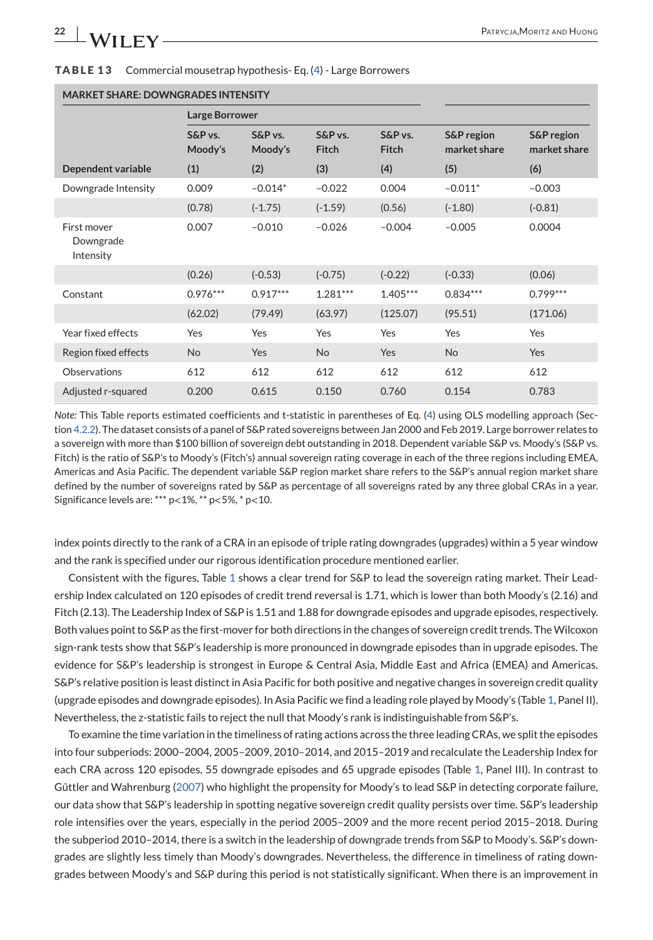<span id="page-21-0"></span>

|  | <b>TABLE 13</b> Commercial mousetrap hypothesis- Eq. (4) - Large Borrowers |
|--|----------------------------------------------------------------------------|
|--|----------------------------------------------------------------------------|

| MARKET SHARE: DOWNGRADES INTENSITY    |                       |                    |                  |                         |                            |                            |
|---------------------------------------|-----------------------|--------------------|------------------|-------------------------|----------------------------|----------------------------|
|                                       | <b>Large Borrower</b> |                    |                  |                         |                            |                            |
|                                       | S&P vs.<br>Moody's    | S&P vs.<br>Moody's | S&P vs.<br>Fitch | S&P vs.<br><b>Fitch</b> | S&P region<br>market share | S&P region<br>market share |
| Dependent variable                    | (1)                   | (2)                | (3)              | (4)                     | (5)                        | (6)                        |
| Downgrade Intensity                   | 0.009                 | $-0.014*$          | $-0.022$         | 0.004                   | $-0.011*$                  | $-0.003$                   |
|                                       | (0.78)                | $(-1.75)$          | $(-1.59)$        | (0.56)                  | $(-1.80)$                  | $(-0.81)$                  |
| First mover<br>Downgrade<br>Intensity | 0.007                 | $-0.010$           | $-0.026$         | $-0.004$                | $-0.005$                   | 0.0004                     |
|                                       | (0.26)                | $(-0.53)$          | $(-0.75)$        | $(-0.22)$               | $(-0.33)$                  | (0.06)                     |
| Constant                              | $0.976***$            | $0.917***$         | $1.281***$       | $1.405***$              | $0.834***$                 | $0.799***$                 |
|                                       | (62.02)               | (79.49)            | (63.97)          | (125.07)                | (95.51)                    | (171.06)                   |
| Year fixed effects                    | Yes                   | Yes                | Yes              | Yes                     | Yes                        | Yes                        |
| Region fixed effects                  | <b>No</b>             | Yes                | <b>No</b>        | Yes                     | <b>No</b>                  | Yes                        |
| Observations                          | 612                   | 612                | 612              | 612                     | 612                        | 612                        |
| Adjusted r-squared                    | 0.200                 | 0.615              | 0.150            | 0.760                   | 0.154                      | 0.783                      |

### **MARKET SHARE: DOWNGRADES INTENSITY**

*Note:* This Table reports estimated coefficients and t-statistic in parentheses of Eq. [\(4\)](#page-18-0) using OLS modelling approach (Section [4.2.2\)](#page-24-0). The dataset consists of a panel of S&P rated sovereigns between Jan 2000 and Feb 2019. Large borrower relates to a sovereign with more than \$100 billion of sovereign debt outstanding in 2018. Dependent variable S&P vs. Moody's (S&P vs. Fitch) is the ratio of S&P's to Moody's (Fitch's) annual sovereign rating coverage in each of the three regions including EMEA, Americas and Asia Pacific. The dependent variable S&P region market share refers to the S&P's annual region market share defined by the number of sovereigns rated by S&P as percentage of all sovereigns rated by any three global CRAs in a year. Significance levels are: \*\*\* p<1%, \*\* p<5%, \* p<10.

index points directly to the rank of a CRA in an episode of triple rating downgrades (upgrades) within a 5 year window and the rank is specified under our rigorous identification procedure mentioned earlier.

Consistent with the figures, Table [1](#page-9-0) shows a clear trend for S&P to lead the sovereign rating market. Their Leadership Index calculated on 120 episodes of credit trend reversal is 1.71, which is lower than both Moody's (2.16) and Fitch (2.13). The Leadership Index of S&P is 1.51 and 1.88 for downgrade episodes and upgrade episodes, respectively. Both values point to S&P as the first-mover for both directions in the changes of sovereign credit trends. TheWilcoxon sign-rank tests show that S&P's leadership is more pronounced in downgrade episodes than in upgrade episodes. The evidence for S&P's leadership is strongest in Europe & Central Asia, Middle East and Africa (EMEA) and Americas. S&P's relative position is least distinct in Asia Pacific for both positive and negative changes in sovereign credit quality (upgrade episodes and downgrade episodes). In Asia Pacific we find a leading role played by Moody's (Table [1,](#page-9-0) Panel II). Nevertheless, the z-statistic fails to reject the null that Moody's rank is indistinguishable from S&P's.

To examine the time variation in the timeliness of rating actions across the three leading CRAs, we split the episodes into four subperiods: 2000–2004, 2005–2009, 2010–2014, and 2015–2019 and recalculate the Leadership Index for each CRA across 120 episodes, 55 downgrade episodes and 65 upgrade episodes (Table [1,](#page-9-0) Panel III). In contrast to Güttler and Wahrenburg [\(2007\)](#page-29-0) who highlight the propensity for Moody's to lead S&P in detecting corporate failure, our data show that S&P's leadership in spotting negative sovereign credit quality persists over time. S&P's leadership role intensifies over the years, especially in the period 2005–2009 and the more recent period 2015–2018. During the subperiod 2010–2014, there is a switch in the leadership of downgrade trends from S&P to Moody's. S&P's downgrades are slightly less timely than Moody's downgrades. Nevertheless, the difference in timeliness of rating downgrades between Moody's and S&P during this period is not statistically significant. When there is an improvement in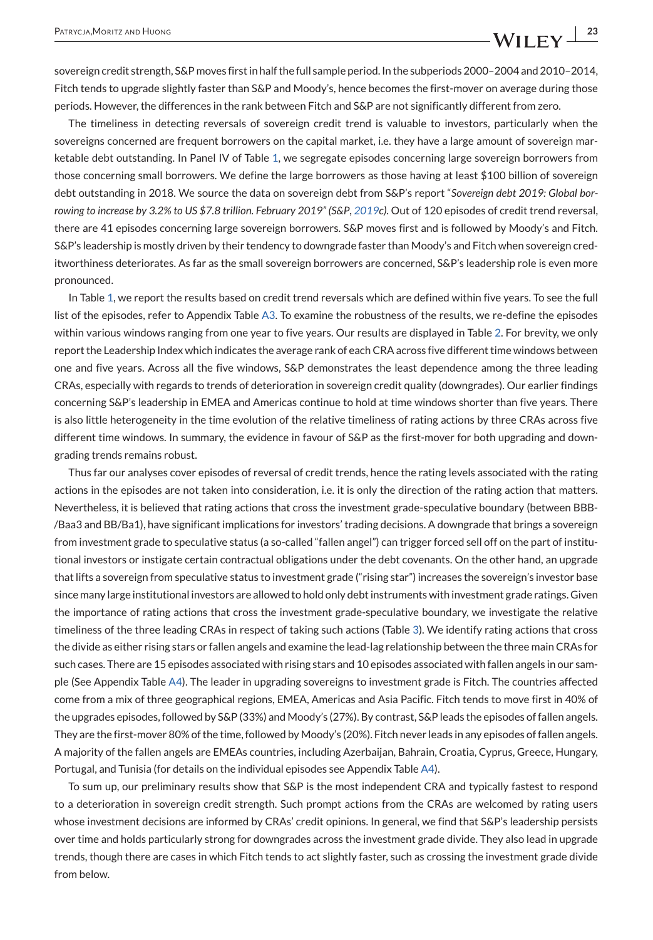sovereign credit strength, S&P moves first in half the full sample period. In the subperiods 2000–2004 and 2010–2014, Fitch tends to upgrade slightly faster than S&P and Moody's, hence becomes the first-mover on average during those periods. However, the differences in the rank between Fitch and S&P are not significantly different from zero.

The timeliness in detecting reversals of sovereign credit trend is valuable to investors, particularly when the sovereigns concerned are frequent borrowers on the capital market, i.e. they have a large amount of sovereign marketable debt outstanding. In Panel IV of Table [1,](#page-9-0) we segregate episodes concerning large sovereign borrowers from those concerning small borrowers. We define the large borrowers as those having at least \$100 billion of sovereign debt outstanding in 2018. We source the data on sovereign debt from S&P's report "*Sovereign debt 2019: Global borrowing to increase by 3.2% to US \$7.8 trillion. February 2019" (S&P*, *[2019c](#page-29-0))*. Out of 120 episodes of credit trend reversal, there are 41 episodes concerning large sovereign borrowers. S&P moves first and is followed by Moody's and Fitch. S&P's leadership is mostly driven by their tendency to downgrade faster than Moody's and Fitch when sovereign creditworthiness deteriorates. As far as the small sovereign borrowers are concerned, S&P's leadership role is even more pronounced.

In Table [1,](#page-9-0) we report the results based on credit trend reversals which are defined within five years. To see the full list of the episodes, refer to Appendix Table [A3.](#page-32-0) To examine the robustness of the results, we re-define the episodes within various windows ranging from one year to five years. Our results are displayed in Table [2.](#page-11-0) For brevity, we only report the Leadership Index which indicates the average rank of each CRA across five different time windows between one and five years. Across all the five windows, S&P demonstrates the least dependence among the three leading CRAs, especially with regards to trends of deterioration in sovereign credit quality (downgrades). Our earlier findings concerning S&P's leadership in EMEA and Americas continue to hold at time windows shorter than five years. There is also little heterogeneity in the time evolution of the relative timeliness of rating actions by three CRAs across five different time windows. In summary, the evidence in favour of S&P as the first-mover for both upgrading and downgrading trends remains robust.

Thus far our analyses cover episodes of reversal of credit trends, hence the rating levels associated with the rating actions in the episodes are not taken into consideration, i.e. it is only the direction of the rating action that matters. Nevertheless, it is believed that rating actions that cross the investment grade-speculative boundary (between BBB- /Baa3 and BB/Ba1), have significant implications for investors' trading decisions. A downgrade that brings a sovereign from investment grade to speculative status (a so-called "fallen angel") can trigger forced sell off on the part of institutional investors or instigate certain contractual obligations under the debt covenants. On the other hand, an upgrade that lifts a sovereign from speculative status to investment grade ("rising star") increases the sovereign's investor base since many large institutional investors are allowed to hold only debt instruments with investment grade ratings. Given the importance of rating actions that cross the investment grade-speculative boundary, we investigate the relative timeliness of the three leading CRAs in respect of taking such actions (Table [3\)](#page-12-0). We identify rating actions that cross the divide as either rising stars or fallen angels and examine the lead-lag relationship between the three main CRAs for such cases. There are 15 episodes associated with rising stars and 10 episodes associated with fallen angels in our sample (See Appendix Table [A4\)](#page-40-0). The leader in upgrading sovereigns to investment grade is Fitch. The countries affected come from a mix of three geographical regions, EMEA, Americas and Asia Pacific. Fitch tends to move first in 40% of the upgrades episodes, followed by S&P (33%) and Moody's (27%). By contrast, S&P leads the episodes of fallen angels. They are the first-mover 80% of the time, followed by Moody's (20%). Fitch never leads in any episodes of fallen angels. A majority of the fallen angels are EMEAs countries, including Azerbaijan, Bahrain, Croatia, Cyprus, Greece, Hungary, Portugal, and Tunisia (for details on the individual episodes see Appendix Table [A4\)](#page-40-0).

To sum up, our preliminary results show that S&P is the most independent CRA and typically fastest to respond to a deterioration in sovereign credit strength. Such prompt actions from the CRAs are welcomed by rating users whose investment decisions are informed by CRAs' credit opinions. In general, we find that S&P's leadership persists over time and holds particularly strong for downgrades across the investment grade divide. They also lead in upgrade trends, though there are cases in which Fitch tends to act slightly faster, such as crossing the investment grade divide from below.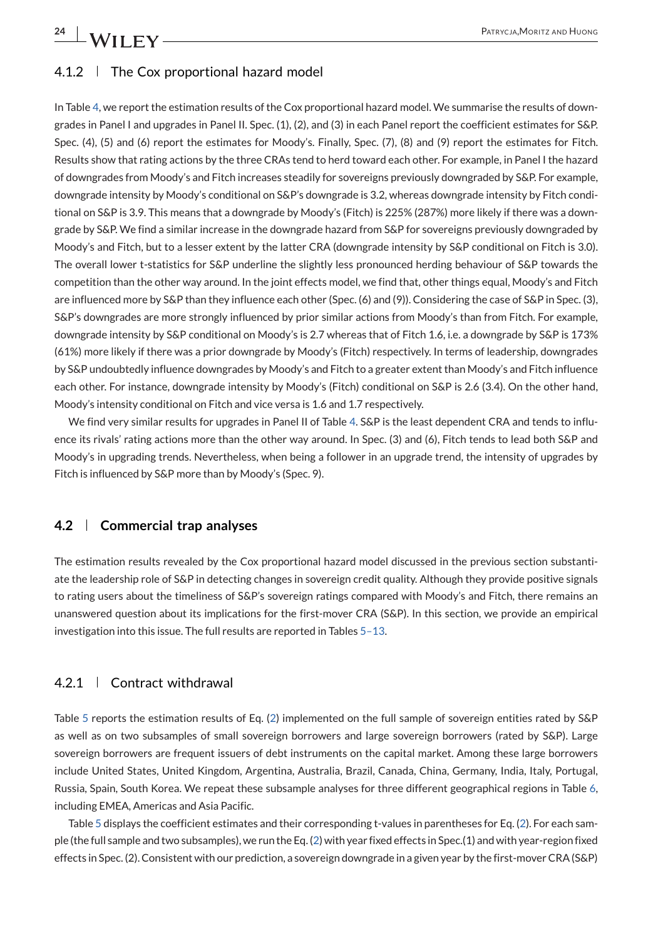<span id="page-23-0"></span>**24 N/II FV** 

## 4.1.2 The Cox proportional hazard model

In Table [4,](#page-13-0) we report the estimation results of the Cox proportional hazard model. We summarise the results of downgrades in Panel I and upgrades in Panel II. Spec. (1), (2), and (3) in each Panel report the coefficient estimates for S&P. Spec. (4), (5) and (6) report the estimates for Moody's. Finally, Spec. (7), (8) and (9) report the estimates for Fitch. Results show that rating actions by the three CRAs tend to herd toward each other. For example, in Panel I the hazard of downgrades from Moody's and Fitch increases steadily for sovereigns previously downgraded by S&P. For example, downgrade intensity by Moody's conditional on S&P's downgrade is 3.2, whereas downgrade intensity by Fitch conditional on S&P is 3.9. This means that a downgrade by Moody's (Fitch) is 225% (287%) more likely if there was a downgrade by S&P. We find a similar increase in the downgrade hazard from S&P for sovereigns previously downgraded by Moody's and Fitch, but to a lesser extent by the latter CRA (downgrade intensity by S&P conditional on Fitch is 3.0). The overall lower t-statistics for S&P underline the slightly less pronounced herding behaviour of S&P towards the competition than the other way around. In the joint effects model, we find that, other things equal, Moody's and Fitch are influenced more by S&P than they influence each other (Spec. (6) and (9)). Considering the case of S&P in Spec. (3), S&P's downgrades are more strongly influenced by prior similar actions from Moody's than from Fitch. For example, downgrade intensity by S&P conditional on Moody's is 2.7 whereas that of Fitch 1.6, i.e. a downgrade by S&P is 173% (61%) more likely if there was a prior downgrade by Moody's (Fitch) respectively. In terms of leadership, downgrades by S&P undoubtedly influence downgrades by Moody's and Fitch to a greater extent than Moody's and Fitch influence each other. For instance, downgrade intensity by Moody's (Fitch) conditional on S&P is 2.6 (3.4). On the other hand, Moody's intensity conditional on Fitch and vice versa is 1.6 and 1.7 respectively.

We find very similar results for upgrades in Panel II of Table [4.](#page-13-0) S&P is the least dependent CRA and tends to influence its rivals' rating actions more than the other way around. In Spec. (3) and (6), Fitch tends to lead both S&P and Moody's in upgrading trends. Nevertheless, when being a follower in an upgrade trend, the intensity of upgrades by Fitch is influenced by S&P more than by Moody's (Spec. 9).

### **4.2 Commercial trap analyses**

The estimation results revealed by the Cox proportional hazard model discussed in the previous section substantiate the leadership role of S&P in detecting changes in sovereign credit quality. Although they provide positive signals to rating users about the timeliness of S&P's sovereign ratings compared with Moody's and Fitch, there remains an unanswered question about its implications for the first-mover CRA (S&P). In this section, we provide an empirical investigation into this issue. The full results are reported in Tables [5–13.](#page-14-0)

## 4.2.1 Contract withdrawal

Table [5](#page-14-0) reports the estimation results of Eq. [\(2\)](#page-16-0) implemented on the full sample of sovereign entities rated by S&P as well as on two subsamples of small sovereign borrowers and large sovereign borrowers (rated by S&P). Large sovereign borrowers are frequent issuers of debt instruments on the capital market. Among these large borrowers include United States, United Kingdom, Argentina, Australia, Brazil, Canada, China, Germany, India, Italy, Portugal, Russia, Spain, South Korea. We repeat these subsample analyses for three different geographical regions in Table [6,](#page-14-0) including EMEA, Americas and Asia Pacific.

Table [5](#page-14-0) displays the coefficient estimates and their corresponding t-values in parentheses for Eq. [\(2\)](#page-16-0). For each sample (the full sample and two subsamples), we run the Eq. [\(2\)](#page-16-0) with year fixed effects in Spec.(1) and with year-region fixed effects in Spec. (2). Consistent with our prediction, a sovereign downgrade in a given year by the first-mover CRA (S&P)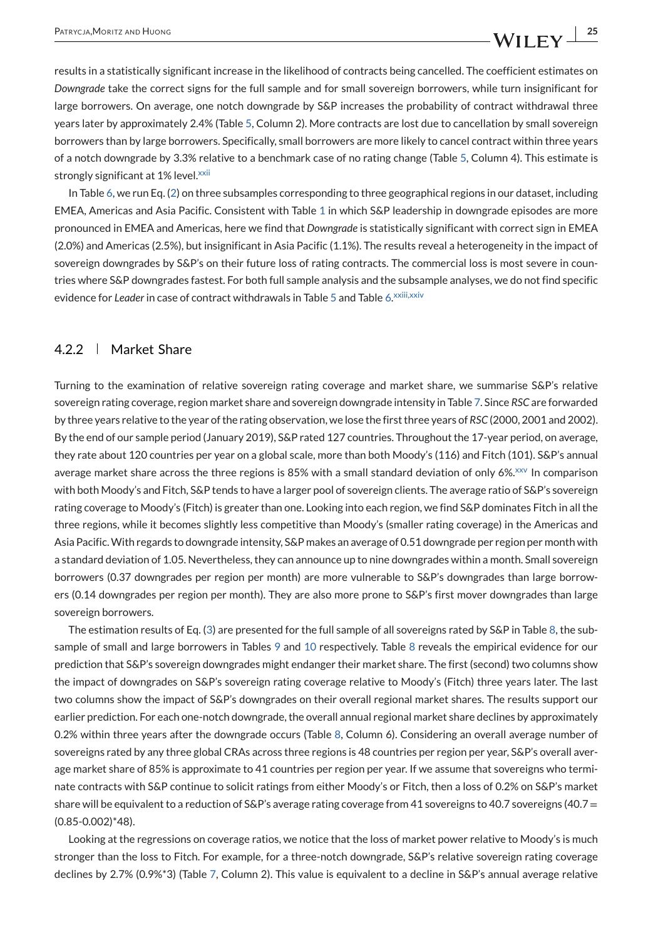<span id="page-24-0"></span>results in a statistically significant increase in the likelihood of contracts being cancelled. The coefficient estimates on *Downgrade* take the correct signs for the full sample and for small sovereign borrowers, while turn insignificant for large borrowers. On average, one notch downgrade by S&P increases the probability of contract withdrawal three years later by approximately 2.4% (Table [5,](#page-14-0) Column 2). More contracts are lost due to cancellation by small sovereign borrowers than by large borrowers. Specifically, small borrowers are more likely to cancel contract within three years of a notch downgrade by 3.3% relative to a benchmark case of no rating change (Table [5,](#page-14-0) Column 4). This estimate is strongly significant at 1% level[.](#page-27-0)<sup>xxii</sup>

In Table [6,](#page-14-0) we run Eq. [\(2\)](#page-16-0) on three subsamples corresponding to three geographical regions in our dataset, including EMEA, Americas and Asia Pacific. Consistent with Table [1](#page-9-0) in which S&P leadership in downgrade episodes are more pronounced in EMEA and Americas, here we find that *Downgrade* is statistically significant with correct sign in EMEA (2.0%) and Americas (2.5%), but insignificant in Asia Pacific (1.1%). The results reveal a heterogeneity in the impact of sovereign downgrades by S&P's on their future loss of rating contracts. The commercial loss is most severe in countries where S&P downgrades fastest. For both full sample analysis and the subsample analyses, we do not find specific evidence for *Leader* in case of contract withdrawals in Table [5](#page-14-0) and Table [6.](#page-14-0)<sup>xxiii,xxiv</sup>

### 4.2.2 Market Share

Turning to the examination of relative sovereign rating coverage and market share, we summarise S&P's relative sovereign rating coverage, region market share and sovereign downgrade intensity in Table [7.](#page-15-0) Since *RSC* are forwarded by three years relative to the year of the rating observation, we lose the first three years of *RSC* (2000, 2001 and 2002). By the end of our sample period (January 2019), S&P rated 127 countries. Throughout the 17-year period, on average, they rate about 120 countries per year on a global scale, more than both Moody's (116) and Fitch (101). S&P's annual average market share across the three regions is 85% with a small standard deviation of only 6%[.](#page-27-0)<sup> $xxy$ </sup> In comparison with both Moody's and Fitch, S&P tends to have a larger pool of sovereign clients. The average ratio of S&P's sovereign rating coverage to Moody's (Fitch) is greater than one. Looking into each region, we find S&P dominates Fitch in all the three regions, while it becomes slightly less competitive than Moody's (smaller rating coverage) in the Americas and Asia Pacific.With regards to downgrade intensity, S&P makes an average of 0.51 downgrade per region per month with a standard deviation of 1.05. Nevertheless, they can announce up to nine downgrades within a month. Small sovereign borrowers (0.37 downgrades per region per month) are more vulnerable to S&P's downgrades than large borrowers (0.14 downgrades per region per month). They are also more prone to S&P's first mover downgrades than large sovereign borrowers.

The estimation results of Eq. [\(3\)](#page-17-0) are presented for the full sample of all sovereigns rated by S&P in Table [8,](#page-16-0) the subsample of small and large borrowers in Tables [9](#page-17-0) and [10](#page-18-0) respectively. Table [8](#page-16-0) reveals the empirical evidence for our prediction that S&P's sovereign downgrades might endanger their market share. The first (second) two columns show the impact of downgrades on S&P's sovereign rating coverage relative to Moody's (Fitch) three years later. The last two columns show the impact of S&P's downgrades on their overall regional market shares. The results support our earlier prediction. For each one-notch downgrade, the overall annual regional market share declines by approximately 0.2% within three years after the downgrade occurs (Table [8,](#page-16-0) Column 6). Considering an overall average number of sovereigns rated by any three global CRAs across three regions is 48 countries per region per year, S&P's overall average market share of 85% is approximate to 41 countries per region per year. If we assume that sovereigns who terminate contracts with S&P continue to solicit ratings from either Moody's or Fitch, then a loss of 0.2% on S&P's market share will be equivalent to a reduction of S&P's average rating coverage from 41 sovereigns to 40.7 sovereigns (40.7 = (0.85-0.002)\*48).

Looking at the regressions on coverage ratios, we notice that the loss of market power relative to Moody's is much stronger than the loss to Fitch. For example, for a three-notch downgrade, S&P's relative sovereign rating coverage declines by 2.7% (0.9%\*3) (Table [7,](#page-15-0) Column 2). This value is equivalent to a decline in S&P's annual average relative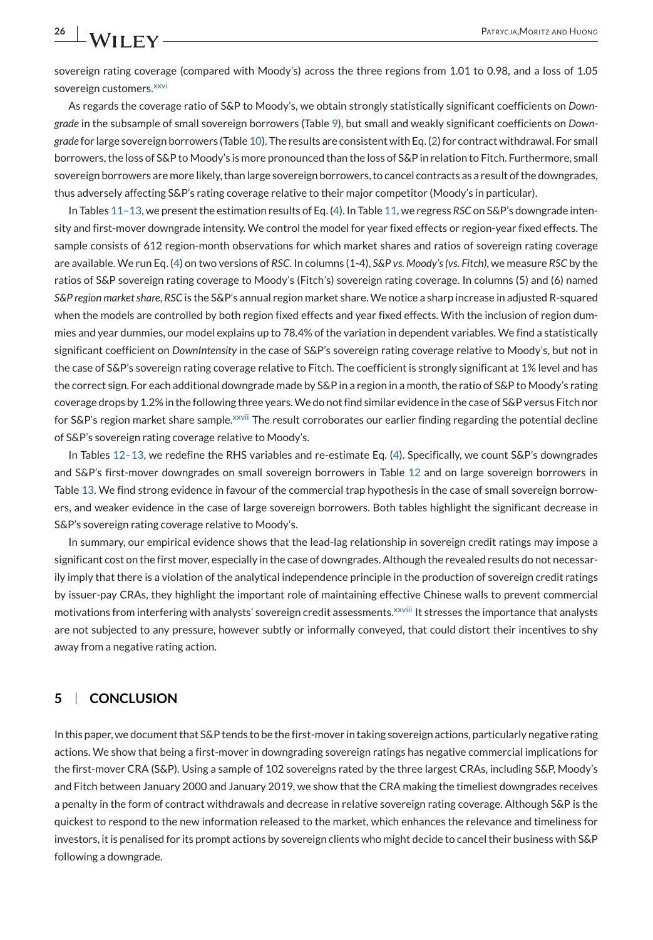sovereign rating coverage (compared with Moody's) across the three regions from 1.01 to 0.98, and a loss of 1.05 sovereign customers[.](#page-27-0)<sup>xxvi</sup>

As regards the coverage ratio of S&P to Moody's, we obtain strongly statistically significant coefficients on *Downgrade* in the subsample of small sovereign borrowers (Table [9\)](#page-17-0), but small and weakly significant coefficients on *Downgrade* for large sovereign borrowers (Table [10\)](#page-18-0). The results are consistent with Eq. [\(2\)](#page-16-0) for contract withdrawal. For small borrowers, the loss of S&P to Moody's is more pronounced than the loss of S&P in relation to Fitch. Furthermore, small sovereign borrowers are more likely, than large sovereign borrowers, to cancel contracts as a result of the downgrades, thus adversely affecting S&P's rating coverage relative to their major competitor (Moody's in particular).

In Tables [11–13,](#page-19-0) we present the estimation results of Eq. [\(4\)](#page-18-0). In Table [11,](#page-19-0) we regress *RSC* on S&P's downgrade intensity and first-mover downgrade intensity. We control the model for year fixed effects or region-year fixed effects. The sample consists of 612 region-month observations for which market shares and ratios of sovereign rating coverage are available. We run Eq. [\(4\)](#page-18-0) on two versions of *RSC*. In columns (1-4), *S&P vs. Moody's (vs. Fitch)*, we measure *RSC* by the ratios of S&P sovereign rating coverage to Moody's (Fitch's) sovereign rating coverage. In columns (5) and (6) named *S&P region market share*, *RSC* is the S&P's annual region market share. We notice a sharp increase in adjusted R-squared when the models are controlled by both region fixed effects and year fixed effects. With the inclusion of region dummies and year dummies, our model explains up to 78.4% of the variation in dependent variables. We find a statistically significant coefficient on *DownIntensity* in the case of S&P's sovereign rating coverage relative to Moody's, but not in the case of S&P's sovereign rating coverage relative to Fitch. The coefficient is strongly significant at 1% level and has the correct sign. For each additional downgrade made by S&P in a region in a month, the ratio of S&P to Moody's rating coverage drops by 1.2% in the following three years.We do not find similar evidence in the case of S&P versus Fitch nor for S&P's region market share sample[.](#page-27-0)<sup>xxvii</sup> The result corroborates our earlier finding regarding the potential decline of S&P's sovereign rating coverage relative to Moody's.

In Tables [12–13,](#page-20-0) we redefine the RHS variables and re-estimate Eq. [\(4\)](#page-18-0). Specifically, we count S&P's downgrades and S&P's first-mover downgrades on small sovereign borrowers in Table [12](#page-20-0) and on large sovereign borrowers in Table [13.](#page-21-0) We find strong evidence in favour of the commercial trap hypothesis in the case of small sovereign borrowers, and weaker evidence in the case of large sovereign borrowers. Both tables highlight the significant decrease in S&P's sovereign rating coverage relative to Moody's.

In summary, our empirical evidence shows that the lead-lag relationship in sovereign credit ratings may impose a significant cost on the first mover, especially in the case of downgrades. Although the revealed results do not necessarily imply that there is a violation of the analytical independence principle in the production of sovereign credit ratings by issuer-pay CRAs, they highlight the important role of maintaining effective Chinese walls to prevent commercial motivations from interfering with analysts' sovereign credit assessments[.](#page-28-0)<sup>xxviii</sup> It stresses the importance that analysts are not subjected to any pressure, however subtly or informally conveyed, that could distort their incentives to shy away from a negative rating action.

## **5 CONCLUSION**

In this paper, we document that S&P tends to be the first-mover in taking sovereign actions, particularly negative rating actions. We show that being a first-mover in downgrading sovereign ratings has negative commercial implications for the first-mover CRA (S&P). Using a sample of 102 sovereigns rated by the three largest CRAs, including S&P, Moody's and Fitch between January 2000 and January 2019, we show that the CRA making the timeliest downgrades receives a penalty in the form of contract withdrawals and decrease in relative sovereign rating coverage. Although S&P is the quickest to respond to the new information released to the market, which enhances the relevance and timeliness for investors, it is penalised for its prompt actions by sovereign clients who might decide to cancel their business with S&P following a downgrade.

<span id="page-25-0"></span>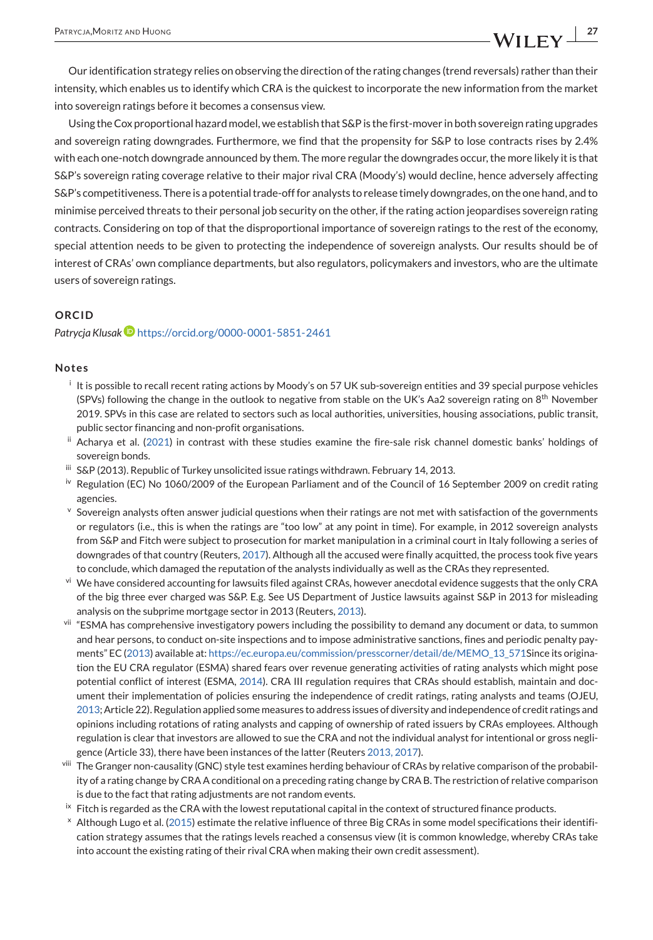<span id="page-26-0"></span>Our identification strategy relies on observing the direction of the rating changes (trend reversals) rather than their intensity, which enables us to identify which CRA is the quickest to incorporate the new information from the market into sovereign ratings before it becomes a consensus view.

Using the Cox proportional hazard model, we establish that S&P is the first-mover in both sovereign rating upgrades and sovereign rating downgrades. Furthermore, we find that the propensity for S&P to lose contracts rises by 2.4% with each one-notch downgrade announced by them. The more regular the downgrades occur, the more likely it is that S&P's sovereign rating coverage relative to their major rival CRA (Moody's) would decline, hence adversely affecting S&P's competitiveness. There is a potential trade-off for analysts to release timely downgrades, on the one hand, and to minimise perceived threats to their personal job security on the other, if the rating action jeopardises sovereign rating contracts. Considering on top of that the disproportional importance of sovereign ratings to the rest of the economy, special attention needs to be given to protecting the independence of sovereign analysts. Our results should be of interest of CRAs' own compliance departments, but also regulators, policymakers and investors, who are the ultimate users of sovereign ratings.

#### **ORCID**

#### Patrycja Klusak<sup>D</sup> <https://orcid.org/0000-0001-5851-2461>

#### **Notes**

- $\frac{1}{2}$  It is possible to recall recent rating actions by Moody's on 57 UK sub-sovereign entities and 39 special purpose vehicles (SPVs) following the change in the outlook to negative from stable on the UK's Aa2 sovereign rating on 8<sup>th</sup> November 2019. SPVs in this case are related to sectors such as local authorities, universities, housing associations, public transit, public sector financing and non-profit organisations.
- ii Acharya et al. [\(2021\)](#page-28-0) in contrast with these studies examine the fire-sale risk channel domestic banks' holdings of sovereign bonds.
- iii S&P (2013). Republic of Turkey unsolicited issue ratings withdrawn. February 14, 2013.
- iv Regulation (EC) No 1060/2009 of the European Parliament and of the Council of 16 September 2009 on credit rating agencies.
- Sovereign analysts often answer judicial questions when their ratings are not met with satisfaction of the governments or regulators (i.e., this is when the ratings are "too low" at any point in time). For example, in 2012 sovereign analysts from S&P and Fitch were subject to prosecution for market manipulation in a criminal court in Italy following a series of downgrades of that country (Reuters, [2017\)](#page-29-0). Although all the accused were finally acquitted, the process took five years to conclude, which damaged the reputation of the analysts individually as well as the CRAs they represented.
- vi We have considered accounting for lawsuits filed against CRAs, however anecdotal evidence suggests that the only CRA of the big three ever charged was S&P. E.g. See US Department of Justice lawsuits against S&P in 2013 for misleading analysis on the subprime mortgage sector in 2013 (Reuters, [2013\)](#page-29-0).
- vii "ESMA has comprehensive investigatory powers including the possibility to demand any document or data, to summon and hear persons, to conduct on-site inspections and to impose administrative sanctions, fines and periodic penalty payments" EC [\(2013\)](#page-28-0) available at: [https://ec.europa.eu/commission/presscorner/detail/de/MEMO\\_13\\_571S](https://ec.europa.eu/commission/presscorner/detail/de/MEMO_13_571)ince its origination the EU CRA regulator (ESMA) shared fears over revenue generating activities of rating analysts which might pose potential conflict of interest (ESMA, [2014\)](#page-28-0). CRA III regulation requires that CRAs should establish, maintain and document their implementation of policies ensuring the independence of credit ratings, rating analysts and teams (OJEU, [2013;](#page-29-0) Article 22). Regulation applied some measures to address issues of diversity and independence of credit ratings and opinions including rotations of rating analysts and capping of ownership of rated issuers by CRAs employees. Although regulation is clear that investors are allowed to sue the CRA and not the individual analyst for intentional or gross negligence (Article 33), there have been instances of the latter (Reuters [2013, 2017\)](#page-29-0).
- The Granger non-causality (GNC) style test examines herding behaviour of CRAs by relative comparison of the probability of a rating change by CRA A conditional on a preceding rating change by CRA B. The restriction of relative comparison is due to the fact that rating adjustments are not random events.
- ix Fitch is regarded as the CRA with the lowest reputational capital in the context of structured finance products.
- <sup>x</sup> Although Lugo et al. [\(2015\)](#page-29-0) estimate the relative influence of three Big CRAs in some model specifications their identification strategy assumes that the ratings levels reached a consensus view (it is common knowledge, whereby CRAs take into account the existing rating of their rival CRA when making their own credit assessment).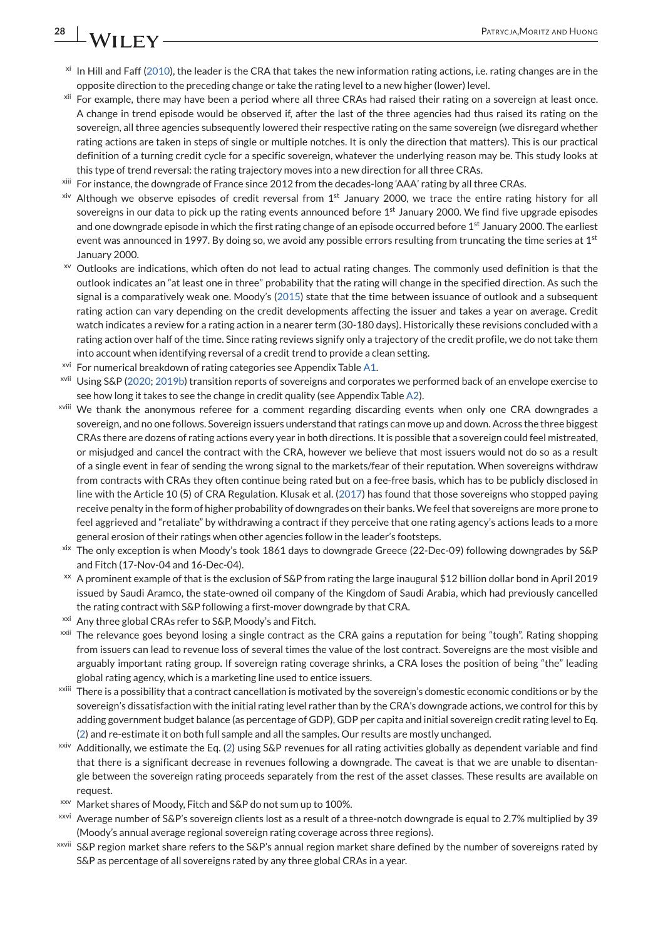## <span id="page-27-0"></span>**28 N/II EV**

- $x_i$  In Hill and Faff [\(2010\)](#page-29-0), the leader is the CRA that takes the new information rating actions, i.e. rating changes are in the opposite direction to the preceding change or take the rating level to a new higher (lower) level.
- <sup>xii</sup> For example, there may have been a period where all three CRAs had raised their rating on a sovereign at least once. A change in trend episode would be observed if, after the last of the three agencies had thus raised its rating on the sovereign, all three agencies subsequently lowered their respective rating on the same sovereign (we disregard whether rating actions are taken in steps of single or multiple notches. It is only the direction that matters). This is our practical definition of a turning credit cycle for a specific sovereign, whatever the underlying reason may be. This study looks at this type of trend reversal: the rating trajectory moves into a new direction for all three CRAs.
- <sup>xiii</sup> For instance, the downgrade of France since 2012 from the decades-long 'AAA' rating by all three CRAs.
- $x<sup>iv</sup>$  Although we observe episodes of credit reversal from  $1<sup>st</sup>$  January 2000, we trace the entire rating history for all sovereigns in our data to pick up the rating events announced before  $1<sup>st</sup>$  January 2000. We find five upgrade episodes and one downgrade episode in which the first rating change of an episode occurred before 1<sup>st</sup> January 2000. The earliest event was announced in 1997. By doing so, we avoid any possible errors resulting from truncating the time series at  $1<sup>st</sup>$ January 2000.
- xv Outlooks are indications, which often do not lead to actual rating changes. The commonly used definition is that the outlook indicates an "at least one in three" probability that the rating will change in the specified direction. As such the signal is a comparatively weak one. Moody's [\(2015\)](#page-29-0) state that the time between issuance of outlook and a subsequent rating action can vary depending on the credit developments affecting the issuer and takes a year on average. Credit watch indicates a review for a rating action in a nearer term (30-180 days). Historically these revisions concluded with a rating action over half of the time. Since rating reviews signify only a trajectory of the credit profile, we do not take them into account when identifying reversal of a credit trend to provide a clean setting.
- <sup>xvi</sup> For numerical breakdown of rating categories see Appendix Table [A1.](#page-30-0)
- xvii Using S&P [\(2020;](#page-29-0) [2019b\)](#page-29-0) transition reports of sovereigns and corporates we performed back of an envelope exercise to see how long it takes to see the change in credit quality (see Appendix Table [A2\)](#page-31-0).
- xviii We thank the anonymous referee for a comment regarding discarding events when only one CRA downgrades a sovereign, and no one follows. Sovereign issuers understand that ratings can move up and down. Across the three biggest CRAs there are dozens of rating actions every year in both directions. It is possible that a sovereign could feel mistreated, or misjudged and cancel the contract with the CRA, however we believe that most issuers would not do so as a result of a single event in fear of sending the wrong signal to the markets/fear of their reputation. When sovereigns withdraw from contracts with CRAs they often continue being rated but on a fee-free basis, which has to be publicly disclosed in line with the Article 10 (5) of CRA Regulation. Klusak et al. [\(2017\)](#page-29-0) has found that those sovereigns who stopped paying receive penalty in the form of higher probability of downgrades on their banks.We feel that sovereigns are more prone to feel aggrieved and "retaliate" by withdrawing a contract if they perceive that one rating agency's actions leads to a more general erosion of their ratings when other agencies follow in the leader's footsteps.
- xix The only exception is when Moody's took 1861 days to downgrade Greece (22-Dec-09) following downgrades by S&P and Fitch (17-Nov-04 and 16-Dec-04).
- xx A prominent example of that is the exclusion of S&P from rating the large inaugural \$12 billion dollar bond in April 2019 issued by Saudi Aramco, the state-owned oil company of the Kingdom of Saudi Arabia, which had previously cancelled the rating contract with S&P following a first-mover downgrade by that CRA.
- <sup>xxi</sup> Any three global CRAs refer to S&P, Moody's and Fitch.
- <sup>xxii</sup> The relevance goes beyond losing a single contract as the CRA gains a reputation for being "tough". Rating shopping from issuers can lead to revenue loss of several times the value of the lost contract. Sovereigns are the most visible and arguably important rating group. If sovereign rating coverage shrinks, a CRA loses the position of being "the" leading global rating agency, which is a marketing line used to entice issuers.
- xxiii There is a possibility that a contract cancellation is motivated by the sovereign's domestic economic conditions or by the sovereign's dissatisfaction with the initial rating level rather than by the CRA's downgrade actions, we control for this by adding government budget balance (as percentage of GDP), GDP per capita and initial sovereign credit rating level to Eq. [\(2\)](#page-16-0) and re-estimate it on both full sample and all the samples. Our results are mostly unchanged.
- xxiv Additionally, we estimate the Eq. [\(2\)](#page-16-0) using S&P revenues for all rating activities globally as dependent variable and find that there is a significant decrease in revenues following a downgrade. The caveat is that we are unable to disentangle between the sovereign rating proceeds separately from the rest of the asset classes. These results are available on request.
- xxv Market shares of Moody, Fitch and S&P do not sum up to 100%.
- xxvi Average number of S&P's sovereign clients lost as a result of a three-notch downgrade is equal to 2.7% multiplied by 39 (Moody's annual average regional sovereign rating coverage across three regions).
- xxvii S&P region market share refers to the S&P's annual region market share defined by the number of sovereigns rated by S&P as percentage of all sovereigns rated by any three global CRAs in a year.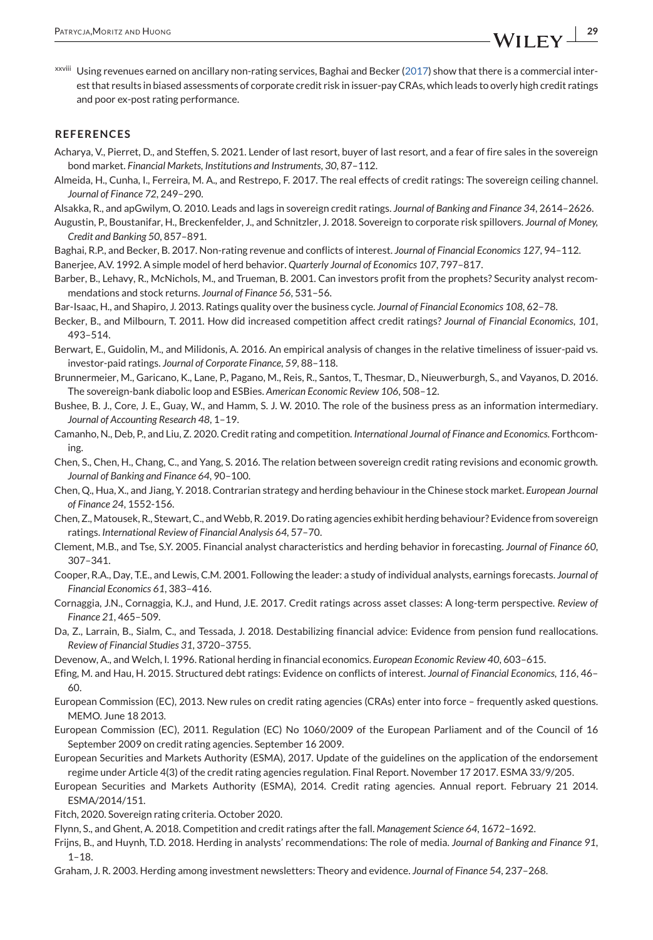<span id="page-28-0"></span>xxviii Using revenues earned on ancillary non-rating services, Baghai and Becker (2017) show that there is a commercial interest that results in biased assessments of corporate credit risk in issuer-pay CRAs, which leads to overly high credit ratings and poor ex-post rating performance.

#### **REFERENCES**

- Acharya, V., Pierret, D., and Steffen, S. 2021. Lender of last resort, buyer of last resort, and a fear of fire sales in the sovereign bond market. *Financial Markets*, *Institutions and Instruments*, *30*, 87–112.
- Almeida, H., Cunha, I., Ferreira, M. A., and Restrepo, F. 2017. The real effects of credit ratings: The sovereign ceiling channel. *Journal of Finance 72*, 249–290.
- Alsakka, R., and apGwilym, O. 2010. Leads and lags in sovereign credit ratings. *Journal of Banking and Finance 34*, 2614–2626.
- Augustin, P., Boustanifar, H., Breckenfelder, J., and Schnitzler, J. 2018. Sovereign to corporate risk spillovers. *Journal of Money, Credit and Banking 50*, 857–891.
- Baghai, R.P., and Becker, B. 2017. Non-rating revenue and conflicts of interest. *Journal of Financial Economics 127*, 94–112.
- Banerjee, A.V. 1992. A simple model of herd behavior. *Quarterly Journal of Economics 107*, 797–817.
- Barber, B., Lehavy, R., McNichols, M., and Trueman, B. 2001. Can investors profit from the prophets? Security analyst recommendations and stock returns. *Journal of Finance 56*, 531–56.
- Bar-Isaac, H., and Shapiro, J. 2013. Ratings quality over the business cycle. *Journal of Financial Economics 108*, 62–78.
- Becker, B., and Milbourn, T. 2011. How did increased competition affect credit ratings? *Journal of Financial Economics*, *101*, 493–514.
- Berwart, E., Guidolin, M., and Milidonis, A. 2016. An empirical analysis of changes in the relative timeliness of issuer-paid vs. investor-paid ratings. *Journal of Corporate Finance*, *59*, 88–118.
- Brunnermeier, M., Garicano, K., Lane, P., Pagano, M., Reis, R., Santos, T., Thesmar, D., Nieuwerburgh, S., and Vayanos, D. 2016. The sovereign-bank diabolic loop and ESBies. *American Economic Review 106*, 508–12.
- Bushee, B. J., Core, J. E., Guay, W., and Hamm, S. J. W. 2010. The role of the business press as an information intermediary. *Journal of Accounting Research 48*, 1–19.
- Camanho, N., Deb, P., and Liu, Z. 2020. Credit rating and competition. *International Journal of Finance and Economics*. Forthcoming.
- Chen, S., Chen, H., Chang, C., and Yang, S. 2016. The relation between sovereign credit rating revisions and economic growth. *Journal of Banking and Finance 64*, 90–100.
- Chen, Q., Hua, X., and Jiang, Y. 2018. Contrarian strategy and herding behaviour in the Chinese stock market. *European Journal of Finance 24*, 1552-156.
- Chen, Z., Matousek, R., Stewart, C., andWebb, R. 2019. Do rating agencies exhibit herding behaviour? Evidence from sovereign ratings. *International Review of Financial Analysis 64*, 57–70.
- Clement, M.B., and Tse, S.Y. 2005. Financial analyst characteristics and herding behavior in forecasting. *Journal of Finance 60*, 307–341.
- Cooper, R.A., Day, T.E., and Lewis, C.M. 2001. Following the leader: a study of individual analysts, earnings forecasts. *Journal of Financial Economics 61*, 383–416.
- Cornaggia, J.N., Cornaggia, K.J., and Hund, J.E. 2017. Credit ratings across asset classes: A long-term perspective. *Review of Finance 21*, 465–509.
- Da, Z., Larrain, B., Sialm, C., and Tessada, J. 2018. Destabilizing financial advice: Evidence from pension fund reallocations. *Review of Financial Studies 31*, 3720–3755.
- Devenow, A., and Welch, I. 1996. Rational herding in financial economics. *European Economic Review 40*, 603–615.
- Efing, M. and Hau, H. 2015. Structured debt ratings: Evidence on conflicts of interest. *Journal of Financial Economics*, *116*, 46– 60.
- European Commission (EC), 2013. New rules on credit rating agencies (CRAs) enter into force frequently asked questions. MEMO. June 18 2013.
- European Commission (EC), 2011. Regulation (EC) No 1060/2009 of the European Parliament and of the Council of 16 September 2009 on credit rating agencies. September 16 2009.
- European Securities and Markets Authority (ESMA), 2017. Update of the guidelines on the application of the endorsement regime under Article 4(3) of the credit rating agencies regulation. Final Report. November 17 2017. ESMA 33/9/205.
- European Securities and Markets Authority (ESMA), 2014. Credit rating agencies. Annual report. February 21 2014. ESMA/2014/151.
- Fitch, 2020. Sovereign rating criteria. October 2020.
- Flynn, S., and Ghent, A. 2018. Competition and credit ratings after the fall. *Management Science 64*, 1672–1692.
- Frijns, B., and Huynh, T.D. 2018. Herding in analysts' recommendations: The role of media. *Journal of Banking and Finance 91*,  $1 - 18$ .
- Graham, J. R. 2003. Herding among investment newsletters: Theory and evidence. *Journal of Finance 54*, 237–268.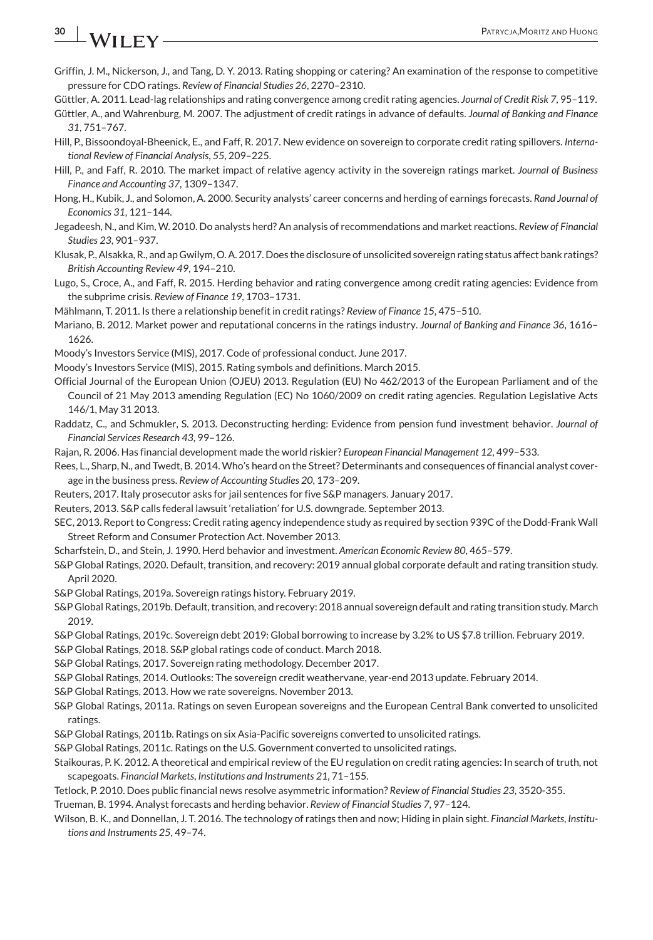## <span id="page-29-0"></span>**30 A**/**II FV PATRYCJA, MORITZ AND HUONG**

- Griffin, J. M., Nickerson, J., and Tang, D. Y. 2013. Rating shopping or catering? An examination of the response to competitive pressure for CDO ratings. *Review of Financial Studies 26*, 2270–2310.
- Güttler, A. 2011. Lead-lag relationships and rating convergence among credit rating agencies. *Journal of Credit Risk 7*, 95–119.
- Güttler, A., and Wahrenburg, M. 2007. The adjustment of credit ratings in advance of defaults. *Journal of Banking and Finance 31*, 751–767.
- Hill, P., Bissoondoyal-Bheenick, E., and Faff, R. 2017. New evidence on sovereign to corporate credit rating spillovers. *International Review of Financial Analysis*, *55*, 209–225.
- Hill, P., and Faff, R. 2010. The market impact of relative agency activity in the sovereign ratings market. *Journal of Business Finance and Accounting 37*, 1309–1347.
- Hong, H., Kubik, J., and Solomon, A. 2000. Security analysts' career concerns and herding of earnings forecasts. *Rand Journal of Economics 31*, 121–144.
- Jegadeesh, N., and Kim, W. 2010. Do analysts herd? An analysis of recommendations and market reactions. *Review of Financial Studies 23*, 901–937.
- Klusak, P., Alsakka, R., and ap Gwilym, O. A. 2017. Does the disclosure of unsolicited sovereign rating status affect bank ratings? *British Accounting Review 49*, 194–210.
- Lugo, S., Croce, A., and Faff, R. 2015. Herding behavior and rating convergence among credit rating agencies: Evidence from the subprime crisis. *Review of Finance 19*, 1703–1731.
- Mählmann, T. 2011. Is there a relationship benefit in credit ratings? *Review of Finance 15*, 475–510.
- Mariano, B. 2012. Market power and reputational concerns in the ratings industry. *Journal of Banking and Finance 36*, 1616– 1626.
- Moody's Investors Service (MIS), 2017. Code of professional conduct. June 2017.
- Moody's Investors Service (MIS), 2015. Rating symbols and definitions. March 2015.
- Official Journal of the European Union (OJEU) 2013. Regulation (EU) No 462/2013 of the European Parliament and of the Council of 21 May 2013 amending Regulation (EC) No 1060/2009 on credit rating agencies. Regulation Legislative Acts 146/1, May 31 2013.
- Raddatz, C., and Schmukler, S. 2013. Deconstructing herding: Evidence from pension fund investment behavior. *Journal of Financial Services Research 43*, 99–126.
- Rajan, R. 2006. Has financial development made the world riskier? *European Financial Management 12*, 499–533.
- Rees, L., Sharp, N., and Twedt, B. 2014. Who's heard on the Street? Determinants and consequences of financial analyst coverage in the business press. *Review of Accounting Studies 20*, 173–209.
- Reuters, 2017. Italy prosecutor asks for jail sentences for five S&P managers. January 2017.
- Reuters, 2013. S&P calls federal lawsuit 'retaliation' for U.S. downgrade. September 2013.
- SEC, 2013. Report to Congress: Credit rating agency independence study as required by section 939C of the Dodd-Frank Wall Street Reform and Consumer Protection Act. November 2013.
- Scharfstein, D., and Stein, J. 1990. Herd behavior and investment. *American Economic Review 80*, 465–579.
- S&P Global Ratings, 2020. Default, transition, and recovery: 2019 annual global corporate default and rating transition study. April 2020.
- S&P Global Ratings, 2019a. Sovereign ratings history. February 2019.
- S&P Global Ratings, 2019b. Default, transition, and recovery: 2018 annual sovereign default and rating transition study. March 2019.
- S&P Global Ratings, 2019c. Sovereign debt 2019: Global borrowing to increase by 3.2% to US \$7.8 trillion. February 2019.
- S&P Global Ratings, 2018. S&P global ratings code of conduct. March 2018.
- S&P Global Ratings, 2017. Sovereign rating methodology. December 2017.
- S&P Global Ratings, 2014. Outlooks: The sovereign credit weathervane, year-end 2013 update. February 2014.
- S&P Global Ratings, 2013. How we rate sovereigns. November 2013.
- S&P Global Ratings, 2011a. Ratings on seven European sovereigns and the European Central Bank converted to unsolicited ratings.
- S&P Global Ratings, 2011b. Ratings on six Asia-Pacific sovereigns converted to unsolicited ratings.
- S&P Global Ratings, 2011c. Ratings on the U.S. Government converted to unsolicited ratings.
- Staikouras, P. K. 2012. A theoretical and empirical review of the EU regulation on credit rating agencies: In search of truth, not scapegoats. *Financial Markets*, *Institutions and Instruments 21*, 71–155.
- Tetlock, P. 2010. Does public financial news resolve asymmetric information? *Review of Financial Studies 23*, 3520-355.

Trueman, B. 1994. Analyst forecasts and herding behavior. *Review of Financial Studies 7*, 97–124.

Wilson, B. K., and Donnellan, J. T. 2016. The technology of ratings then and now; Hiding in plain sight. *Financial Markets*, *Institutions and Instruments 25*, 49–74.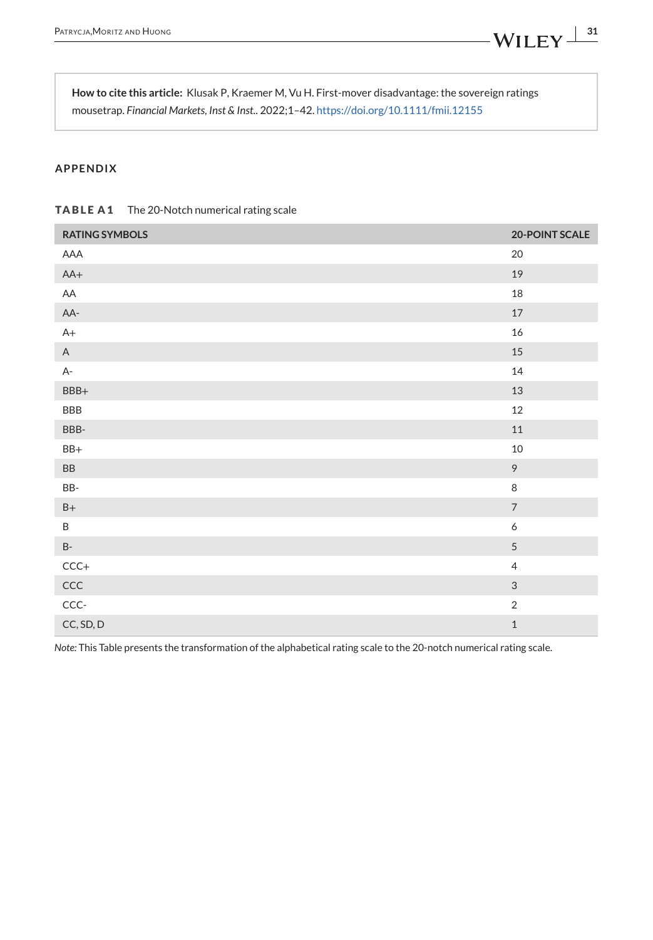<span id="page-30-0"></span>**How to cite this article:** Klusak P, Kraemer M, Vu H. First-mover disadvantage: the sovereign ratings mousetrap. *Financial Markets, Inst & Inst.*. 2022;1–42. <https://doi.org/10.1111/fmii.12155>

### **APPENDIX**

| <b>TABLE A1</b> | The 20-Notch numerical rating scale |
|-----------------|-------------------------------------|
|-----------------|-------------------------------------|

| <b>RATING SYMBOLS</b> | <b>20-POINT SCALE</b> |
|-----------------------|-----------------------|
| AAA                   | 20                    |
| $AA+$                 | 19                    |
| AA                    | 18                    |
| AA-                   | $17\,$                |
| $A+$                  | $16\,$                |
| $\mathsf{A}$          | 15                    |
| $A-$                  | $14\,$                |
| $BBB+$                | 13                    |
| BBB                   | 12                    |
| BBB-                  | $11\,$                |
| $BB+$                 | $10\,$                |
| ${\sf BB}$            | $\mathcal{G}$         |
| BB-                   | 8                     |
| $\mathsf{B}+$         | $\overline{7}$        |
| $\sf B$               | 6                     |
| $\mathsf B\text{-}$   | $\overline{5}$        |
| $CCC +$               | $\overline{4}$        |
| $\mathsf{CCC}$        | $\sqrt{3}$            |
| $CCC -$               | $\overline{2}$        |
| CC, SD, D             | $\,1\,$               |

*Note:* This Table presents the transformation of the alphabetical rating scale to the 20-notch numerical rating scale.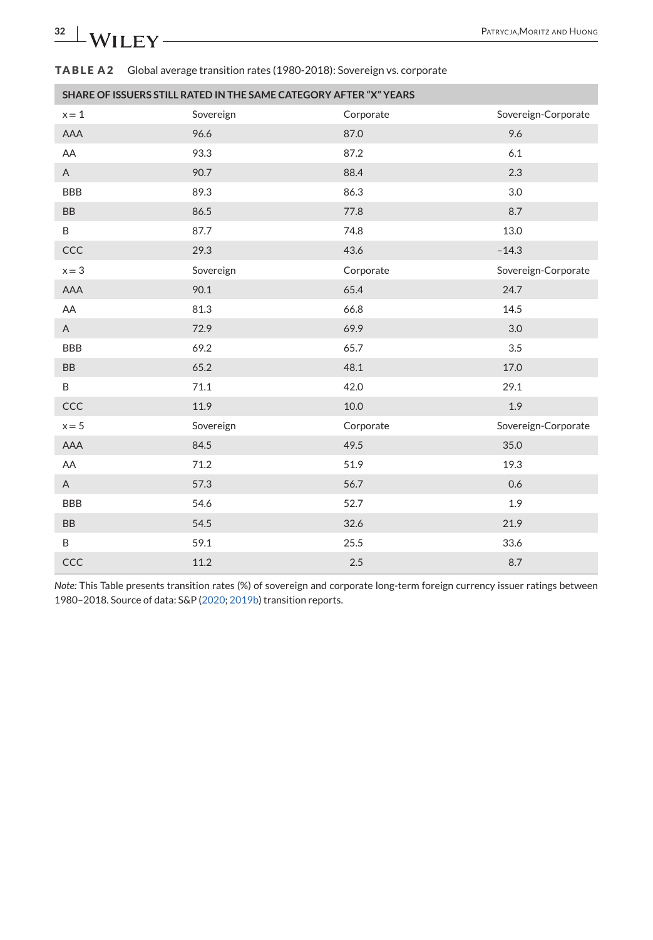### <span id="page-31-0"></span>**TABLE A2** Global average transition rates (1980-2018): Sovereign vs. corporate

|            | SHARE OF ISSUERS STILL RATED IN THE SAME CATEGORY AFTER "X" YEARS |           |                     |
|------------|-------------------------------------------------------------------|-----------|---------------------|
| $x = 1$    | Sovereign                                                         | Corporate | Sovereign-Corporate |
| AAA        | 96.6                                                              | 87.0      | 9.6                 |
| AA         | 93.3                                                              | 87.2      | 6.1                 |
| A          | 90.7                                                              | 88.4      | 2.3                 |
| <b>BBB</b> | 89.3                                                              | 86.3      | 3.0                 |
| BB         | 86.5                                                              | 77.8      | 8.7                 |
| B          | 87.7                                                              | 74.8      | 13.0                |
| CCC        | 29.3                                                              | 43.6      | $-14.3$             |
| $x = 3$    | Sovereign                                                         | Corporate | Sovereign-Corporate |
| AAA        | 90.1                                                              | 65.4      | 24.7                |
| AA         | 81.3                                                              | 66.8      | 14.5                |
| A          | 72.9                                                              | 69.9      | 3.0                 |
| <b>BBB</b> | 69.2                                                              | 65.7      | 3.5                 |
| <b>BB</b>  | 65.2                                                              | 48.1      | 17.0                |
| B          | 71.1                                                              | 42.0      | 29.1                |
| CCC        | 11.9                                                              | 10.0      | 1.9                 |
| $x = 5$    | Sovereign                                                         | Corporate | Sovereign-Corporate |
| AAA        | 84.5                                                              | 49.5      | 35.0                |
| AA         | 71.2                                                              | 51.9      | 19.3                |
| A          | 57.3                                                              | 56.7      | 0.6                 |
| <b>BBB</b> | 54.6                                                              | 52.7      | 1.9                 |
| <b>BB</b>  | 54.5                                                              | 32.6      | 21.9                |
| B          | 59.1                                                              | 25.5      | 33.6                |
| CCC        | 11.2                                                              | 2.5       | 8.7                 |

*Note:* This Table presents transition rates (%) of sovereign and corporate long-term foreign currency issuer ratings between 1980–2018. Source of data: S&P [\(2020;](#page-29-0) [2019b\)](#page-29-0) transition reports.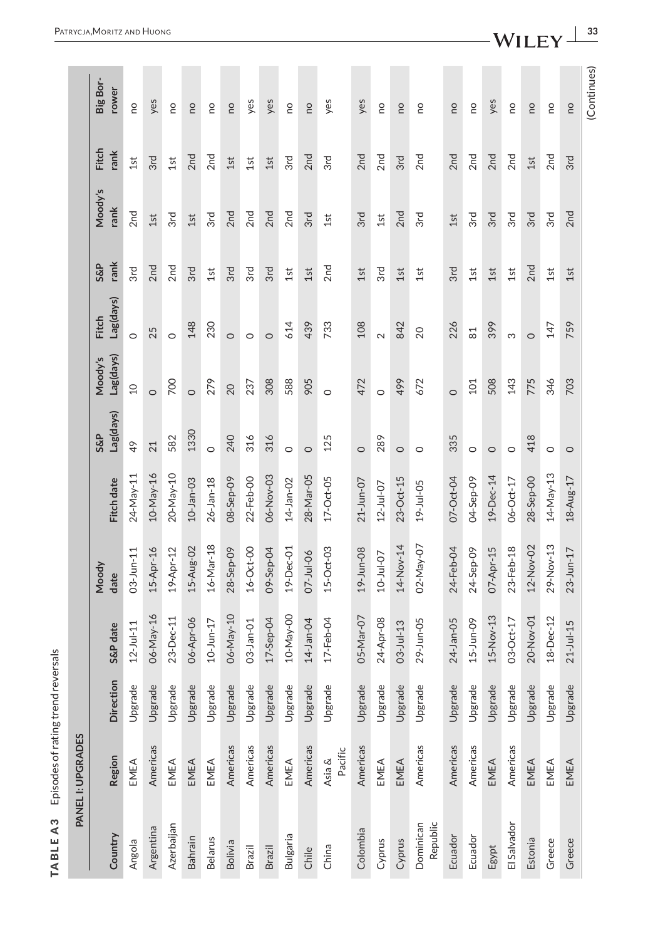<span id="page-32-0"></span>

|                       | PANEL I: UPGRADES |           |                               |                 |                 |                             |                      |                           |                        |                 |                      |                   |
|-----------------------|-------------------|-----------|-------------------------------|-----------------|-----------------|-----------------------------|----------------------|---------------------------|------------------------|-----------------|----------------------|-------------------|
| Country               | Region            | Direction | S&P date                      | Moody<br>date   | Fitch date      | Lag(days)<br><b>S&amp;P</b> | Lag(days)<br>Moody's | Lag(days)<br><b>Fitch</b> | rank<br><b>S&amp;P</b> | Moody's<br>rank | <b>Fitch</b><br>rank | Big Bor-<br>rower |
| Angola                | EMEA              | Upgrade   | $12 - Ju - 11$                | 03-Jun-11       | 24-May-11       | 49                          | $\Omega$             | $\circ$                   | 3rd                    | 2 <sub>nd</sub> | 1st                  | <b>DO</b>         |
| Argentina             | Americas          | Upgrade   | 06-May-16                     | 15-Apr-16       | $10$ -May-16    | 21                          | $\circ$              | 25                        | 2nd                    | 1st             | 3rd                  | yes               |
| Azerbaijan            | EMEA              | Upgrade   | 23-Dec-11                     | 19-Apr-12       | 20-May-10       | 582                         | 700                  | $\circ$                   | 2 <sub>nd</sub>        | 3rd             | 1st                  | <b>DO</b>         |
| <b>Bahrain</b>        | EMEA              | Upgrade   | 06-Apr-06                     | 15-Aug-02       | $10 - Jan - 03$ | 1330                        | $\circ$              | 148                       | 3rd                    | 1st             | 2 <sub>nd</sub>      | <b>DU</b>         |
| <b>Belarus</b>        | EMEA              | Upgrade   | $10 - Jun-17$                 | 16-Mar-18       | $26 - Jan - 18$ | $\circ$                     | 279                  | 230                       | 1st                    | 3rd             | 2 <sub>nd</sub>      | <b>DO</b>         |
| <b>Bolivia</b>        | Americas          | Upgrade   | 06-May-10                     | 28-Sep-09       | 08-Sep-09       | 240                         | 20                   | $\circ$                   | 3rd                    | 2 <sub>nd</sub> | 1st                  | <b>DU</b>         |
| Brazil                | Americas          | Upgrade   | 03-Jan-01                     | $16-Oct-00$     | 22-Feb-00       | 316                         | 237                  | $\circ$                   | 3rd                    | 2 <sub>nd</sub> | 1st                  | yes               |
| Brazil                | Americas          | Upgrade   | $17 -$ Sep-04                 | 09-Sep-04       | 06-Nov-03       | 316                         | 308                  | $\circ$                   | 3rd                    | 2nd             | 1st                  | yes               |
| Bulgaria              | EMEA              | Upgrade   | $10$ -May-OO                  | $19 - Dec - 01$ | $14 - Jan - O2$ | $\circ$                     | 588                  | 614                       | 1st                    | 2 <sub>nd</sub> | 3rd                  | <b>DU</b>         |
| Chile                 | Americas          | Upgrade   | 14-Jan-04                     | $07 - Jul -06$  | 28-Mar-05       | $\circ$                     | 905                  | 439                       | 1st                    | 3rd             | 2 <sub>nd</sub>      | <b>DU</b>         |
| China                 | Pacific<br>Asia & | Upgrade   | $17 - \text{Feb} - \text{OA}$ | $15-Oct-03$     | $17 - Oct - OS$ | 125                         | $\circ$              | 733                       | 2 <sub>nd</sub>        | 1st             | 3rd                  | yes               |
| Colombia              | Americas          | Upgrade   | 05-Mar-07                     | 19-Jun-08       | 21-Jun-07       | $\circ$                     | 472                  | 108                       | 1st                    | 3rd             | 2 <sub>nd</sub>      | yes               |
| Cyprus                | EMEA              | Upgrade   | 24-Apr-08                     | $10 - Ju - 07$  | $12 - Jul - 07$ | 289                         | $\circ$              | $\sim$                    | 3rd                    | 1st             | 2 <sub>nd</sub>      | <b>DO</b>         |
| Cyprus                | EMEA              | Upgrade   | $03 - Ju - 13$                | 14-Nov-14       | 23-Oct-15       | $\circ$                     | 499                  | 842                       | 1st                    | 2nd             | 3rd                  | <b>DU</b>         |
| Republic<br>Dominican | Americas          | Upgrade   | 29-Jun-05                     | 02-May-07       | 19-Jul-05       | $\circ$                     | 672                  | 20                        | 1st                    | 3rd             | 2 <sub>nd</sub>      | <b>DU</b>         |
| Ecuador               | Americas          | Upgrade   | 24-Jan-05                     | 24-Feb-04       | 07-Oct-04       | 335                         | $\circ$              | 226                       | 3rd                    | 1st             | 2 <sub>nd</sub>      | <b>DO</b>         |
| Ecuador               | Americas          | Upgrade   | $15 - Jun - O9$               | 24-Sep-09       | 04-Sep-09       | $\circ$                     | 101                  | $\overline{8}1$           | 1st                    | 3rd             | 2 <sub>nd</sub>      | <b>DO</b>         |
| Egypt                 | EMEA              | Upgrade   | $15-Nov-13$                   | 07-Apr-15       | 19-Dec-14       | $\circ$                     | 508                  | 399                       | 1st                    | 3rd             | 2 <sub>nd</sub>      | yes               |
| El Salvador           | Americas          | Upgrade   | 03-Oct-17                     | 23-Feb-18       | 06-Oct-17       | $\circ$                     | 143                  | S                         | 1st                    | 3rd             | 2 <sub>nd</sub>      | <b>DU</b>         |
| Estonia               | EMEA              | Upgrade   | 20-Nov-01                     | 12-Nov-02       | 28-Sep-00       | 418                         | 775                  | $\circ$                   | 2 <sub>nd</sub>        | 3rd             | 1st                  | <b>DU</b>         |
| Greece                | EMEA              | Upgrade   | 18-Dec-12                     | 29-Nov-13       | 14-May-13       | $\circ$                     | 346                  | 147                       | 1st                    | 3rd             | 2 <sub>nd</sub>      | <b>DU</b>         |
| Greece                | EMEA              | Upgrade   | $21 - Ju - 15$                | $23 - Jun - 17$ | 18-Aug-17       | $\circ$                     | 703                  | 759                       | 1st                    | 2nd             | 3rd                  | <b>DU</b>         |
|                       |                   |           |                               |                 |                 |                             |                      |                           |                        |                 |                      | (Continues)       |

**TABLE A3** Episodes of rating trend reversals

TABLEA3 Episodes of rating trend reversals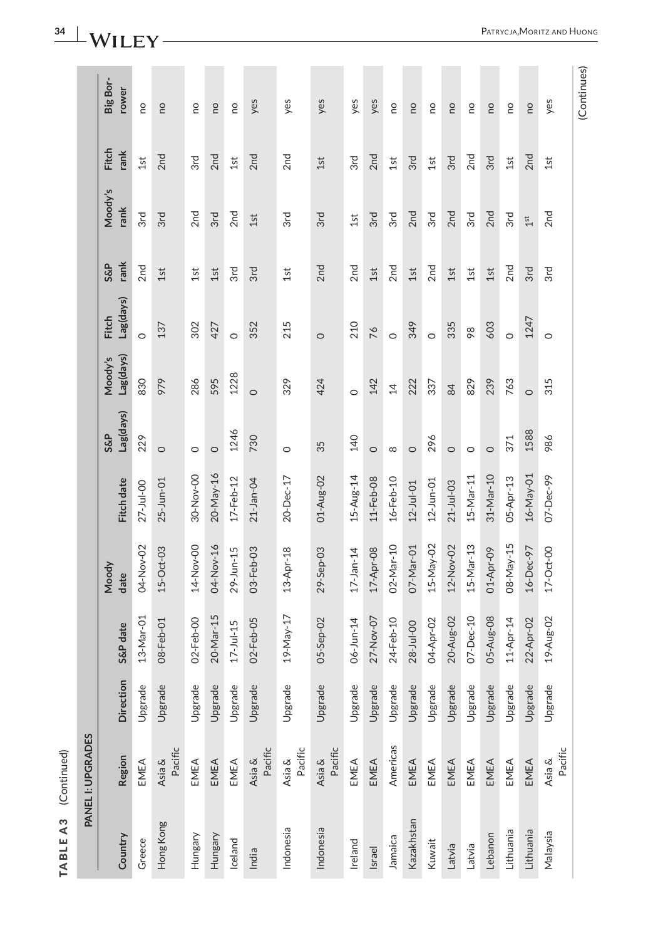| ¢ |
|---|
|   |
|   |
|   |
| ٠ |
|   |
|   |
|   |
|   |
|   |
|   |
|   |
|   |
|   |

|            | <b>PANEL I: UPGRADES</b> |                  |                |                 |                        |                  |                      |                           |                        |                 |                      |                   |
|------------|--------------------------|------------------|----------------|-----------------|------------------------|------------------|----------------------|---------------------------|------------------------|-----------------|----------------------|-------------------|
| Country    | Region                   | <b>Direction</b> | S&P date       | Moody<br>date   | Fitch date             | Lag(days)<br>S&P | Lag(days)<br>Moody's | Lag(days)<br><b>Fitch</b> | rank<br><b>S&amp;P</b> | Moody's<br>rank | <b>Fitch</b><br>rank | Big Bor-<br>rower |
| Greece     | EMEA                     | Upgrade          | 13-Mar-01      | 04-Nov-02       | $27 - Jul - OO$        | 229              | 830                  | $\circ$                   | 2 <sub>nd</sub>        | 3rd             | 1st                  | <b>DU</b>         |
| Hong Kong  | Pacific<br>Asia &        | Upgrade          | 08-Feb-01      | $15-Oct-03$     | 25-Jun-01              | $\circ$          | 979                  | 137                       | 1st                    | 3rd             | 2 <sub>nd</sub>      | <b>DU</b>         |
| Hungary    | EMEA                     | Upgrade          | 02-Feb-00      | 14-Nov-00       | 30-Nov-00              | $\circ$          | 286                  | 302                       | 1st                    | 2 <sub>nd</sub> | 3rd                  | <b>DU</b>         |
| Hungary    | EMEA                     | Upgrade          | 20-Mar-15      | 04-Nov-16       | 20-May-16              | $\circ$          | 595                  | 427                       | 1st                    | 3rd             | 2 <sub>nd</sub>      | <b>DU</b>         |
| Iceland    | EMEA                     | Upgrade          | $17 - Ju - 15$ | 29-Jun-15       | $17 - Feb - 12$        | 1246             | 1228                 | $\circ$                   | 3rd                    | 2 <sub>nd</sub> | 1st                  | <b>DU</b>         |
| India      | Pacific<br>Asia &        | Upgrade          | 02-Feb-05      | 03-Feb-03       | 21-Jan-04              | 730              | $\circ$              | 352                       | 3rd                    | 1st             | 2 <sub>nd</sub>      | yes               |
| Indonesia  | Pacific<br>Asia &        | Upgrade          | 19-May-17      | 13-Apr-18       | 20-Dec-17              | $\circ$          | 329                  | 215                       | 1st                    | 3rd             | 2 <sub>nd</sub>      | yes               |
| Indonesia  | Pacific<br>Asia &        | Upgrade          | 05-Sep-02      | 29-Sep-03       | 01-Aug-02              | 35               | 424                  | $\circ$                   | 2 <sub>nd</sub>        | 3rd             | 1st                  | yes               |
| Ireland    | EMEA                     | Upgrade          | 06-Jun-14      | $17 - Jan - 14$ | $15 - Aug-14$          | 140              | $\circ$              | 210                       | 2 <sub>nd</sub>        | 1st             | 3rd                  | yes               |
| Israel     | EMEA                     | Upgrade          | 27-Nov-07      | 17-Apr-08       | $11 - \text{Feb} - 08$ | $\circ$          | 142                  | 76                        | 1st                    | 3rd             | 2 <sub>nd</sub>      | yes               |
| Jamaica    | Americas                 | Upgrade          | 24-Feb-10      | 02-Mar-10       | $16 - Feb - 10$        | ${}^{\circ}$     | $\overline{4}$       | $\circ$                   | 2 <sub>nd</sub>        | 3rd             | 1st                  | <b>DU</b>         |
| Kazakhstan | EMEA                     | Upgrade          | $28 - Ju - 00$ | 07-Mar-01       | $12 -$ Jul-01          | $\circ$          | 222                  | 349                       | 1st                    | 2 <sub>nd</sub> | 3rd                  | <b>DU</b>         |
| Kuwait     | EMEA                     | Upgrade          | 04-Apr-02      | 15-May-02       | $12 - Jun - 01$        | 296              | 337                  | $\circ$                   | 2 <sub>nd</sub>        | 3rd             | 1st                  | <b>DU</b>         |
| Latvia     | EMEA                     | Upgrade          | 20-Aug-02      | 12-Nov-02       | $21 - Jul - 03$        | $\circ$          | 84                   | 335                       | 1st                    | 2 <sub>nd</sub> | 3rd                  | <b>DU</b>         |
| Latvia     | EMEA                     | Upgrade          | $07 - Dec-10$  | 15-Mar-13       | 15-Mar-11              | $\circ$          | 829                  | 98                        | 1st                    | 3rd             | 2 <sub>nd</sub>      | <b>DU</b>         |
| Lebanon    | EMEA                     | Upgrade          | 05-Aug-08      | 01-Apr-09       | 31-Mar-10              | $\circ$          | 239                  | 603                       | 1st                    | 2 <sub>nd</sub> | 3rd                  | <b>DU</b>         |
| Lithuania  | EMEA                     | Upgrade          | 11-Apr-14      | 08-May-15       | 05-Apr-13              | 371              | 763                  | $\circ$                   | 2 <sub>nd</sub>        | 3rd             | 1st                  | œ                 |
| Lithuania  | EMEA                     | Upgrade          | 22-Apr-02      | 16-Dec-97       | 16-May-01              | 1588             | $\circ$              | 1247                      | 3rd                    | $1^{\rm st}$    | 2 <sub>nd</sub>      | <b>DU</b>         |
| Nalaysia   | Pacific<br>Asia &        | Upgrade          | 19-Aug-02      | $17-Oct-00$     | 07-Dec-99              | 986              | 315                  | $\circ$                   | 3rd                    | 2 <sub>nd</sub> | 1st                  | yes               |
|            |                          |                  |                |                 |                        |                  |                      |                           |                        |                 |                      | (Continues)       |

**34** | **WILEY** –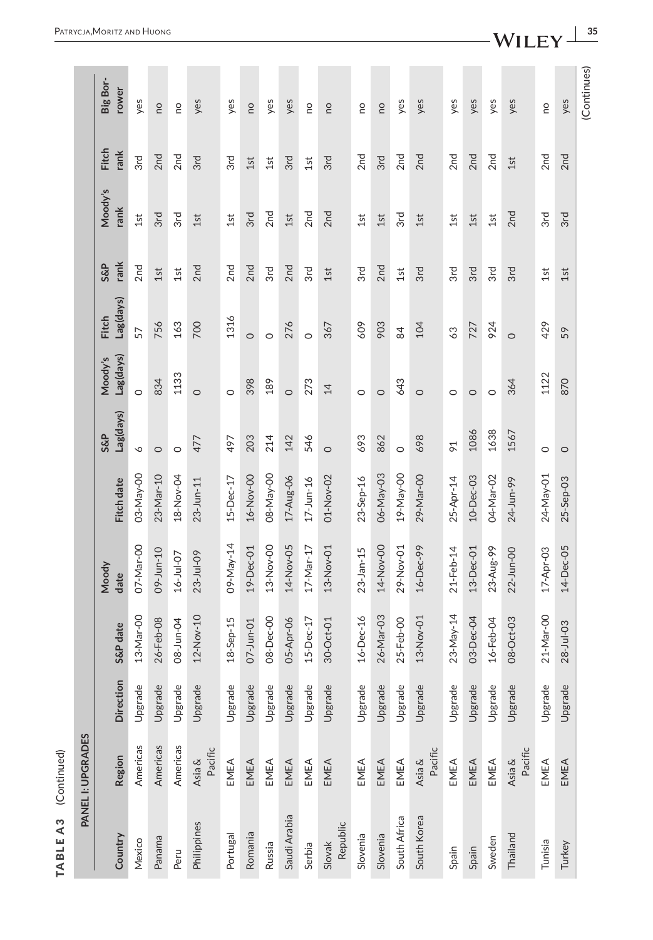| J |
|---|
|   |
|   |
|   |
|   |
|   |
|   |
|   |
|   |
|   |
|   |
|   |
|   |
|   |
|   |
| ¢ |
|   |
|   |
| ⊂ |
|   |
|   |
|   |
|   |
| ٠ |
|   |
|   |
|   |
|   |
|   |
|   |
|   |
|   |
|   |
|   |
|   |
|   |
|   |
|   |
|   |
|   |

|                    | PANEL I: UPGRADES |                  |                 |                 |                 |                |                |              |                 |                 |                 |             |
|--------------------|-------------------|------------------|-----------------|-----------------|-----------------|----------------|----------------|--------------|-----------------|-----------------|-----------------|-------------|
|                    |                   |                  |                 | Moody           |                 | <b>S&amp;P</b> | Moody's        | <b>Fitch</b> | S&P             | Moody's         | Fitch           | Big Bor-    |
| Country            | <b>Region</b>     | <b>Direction</b> | S&P date        | date            | Fitch date      | Lag(days)      | Lag(days)      | Lag(days)    | rank            | rank            | rank            | rower       |
| Mexico             | Americas          | Upgrade          | 13-Mar-00       | 07-Mar-00       | 03-May-00       | P              | $\circ$        | 57           | 2 <sub>nd</sub> | 1st             | 3rd             | yes         |
| Panama             | Americas          | Upgrade          | 26-Feb-08       | 09-Jun-10       | 23-Mar-10       | $\circ$        | 834            | 756          | 1st             | 3rd             | 2 <sub>nd</sub> | <b>DO</b>   |
| Peru               | Americas          | Upgrade          | 08-Jun-04       | $16 - Jul - 07$ | 18-Nov-04       | $\circ$        | 1133           | 163          | 1st             | 3rd             | 2 <sub>nd</sub> | <b>DO</b>   |
| Philippines        | Pacific<br>Asia & | Upgrade          | 12-Nov-10       | $23 - Jul - OP$ | $23 - Jun - 11$ | 477            | $\circ$        | 700          | 2 <sub>nd</sub> | 1st             | 3rd             | yes         |
| Portugal           | EMEA              | Upgrade          | $18-Sep-15$     | 09-May-14       | 15-Dec-17       | 497            | $\circ$        | 1316         | 2 <sub>nd</sub> | 1st             | 3rd             | yes         |
| Romania            | EMEA              | Upgrade          | 07-Jun-01       | 19-Dec-01       | 16-Nov-00       | 203            | 398            | $\circ$      | 2nd             | 3rd             | 1st             | <b>DO</b>   |
| Russia             | EMEA              | Upgrade          | 08-Dec-00       | 13-Nov-00       | 08-May-00       | 214            | 189            | $\circ$      | 3rd             | 2 <sub>nd</sub> | 1st             | yes         |
| Saudi Arabia       | EMEA              | Upgrade          | 05-Apr-06       | 14-Nov-05       | 17-Aug-06       | 142            | $\circ$        | 276          | 2 <sub>nd</sub> | 1st             | 3rd             | yes         |
| Serbia             | EMEA              | Upgrade          | $15 - Dec-17$   | 17-Mar-17       | $17 - Jun-16$   | 546            | 273            | $\circ$      | 3rd             | 2nd             | 1st             | <b>DU</b>   |
| Republic<br>Slovak | EMEA              | Upgrade          | $30$ -Oct-01    | 13-Nov-01       | 01-Nov-02       | $\circ$        | $\overline{4}$ | 367          | 1st             | 2 <sub>nd</sub> | 3rd             | <b>DO</b>   |
| Slovenia           | EMEA              | Upgrade          | 16-Dec-16       | $23 - Jan - 15$ | 23-Sep-16       | 693            | $\circ$        | 609          | 3rd             | 1st             | 2 <sub>nd</sub> | <b>DO</b>   |
| Slovenia           | EMEA              | Upgrade          | 26-Mar-03       | 14-Nov-00       | 06-May-03       | 862            | $\circ$        | 903          | 2nd             | 1st             | 3rd             | <b>DO</b>   |
| South Africa       | EMEA              | Upgrade          | 25-Feb-00       | 29-Nov-01       | 19-May-00       | $\circ$        | 643            | 84           | 1st             | 3rd             | 2 <sub>nd</sub> | yes         |
| South Korea        | Pacific<br>Asia & | Upgrade          | 13-Nov-01       | 16-Dec-99       | 29-Mar-00       | 698            | $\circ$        | 104          | 3rd             | 1st             | 2 <sub>nd</sub> | yes         |
| Spain              | EMEA              | Upgrade          | 23-May-14       | 21-Feb-14       | 25-Apr-14       | $\overline{6}$ | $\circ$        | 63           | 3rd             | 1st             | 2 <sub>nd</sub> | yes         |
| Spain              | EMEA              | Upgrade          | 03-Dec-04       | $13-Dec-01$     | 10-Dec-03       | 1086           | $\circ$        | 727          | 3rd             | 1st             | 2 <sub>nd</sub> | yes         |
| Sweden             | EMEA              | Upgrade          | $16 - Feb - O4$ | 23-Aug-99       | 04-Mar-02       | 1638           | $\circ$        | 924          | 3rd             | 1st             | 2 <sub>nd</sub> | yes         |
| Thailand           | Pacific<br>Asia & | Upgrade          | 08-Oct-03       | $22 - Jun - CO$ | 24-Jun-99       | 1567           | 364            | $\circ$      | 3rd             | 2 <sub>nd</sub> | 1st             | yes         |
| Tunisia            | EMEA              | Upgrade          | 21-Mar-00       | $17 -$ Apr-03   | 24-May-01       | $\circ$        | 1122           | 429          | 1st             | 3rd             | 2 <sub>nd</sub> | <b>DO</b>   |
| Turkey             | EMEA              | Upgrade          | $28 - Ju - 03$  | 14-Dec-05       | 25-Sep-03       | $\circ$        | 870            | 59           | 1st             | 3rd             | 2 <sub>nd</sub> | yes         |
|                    |                   |                  |                 |                 |                 |                |                |              |                 |                 |                 | (Continues) |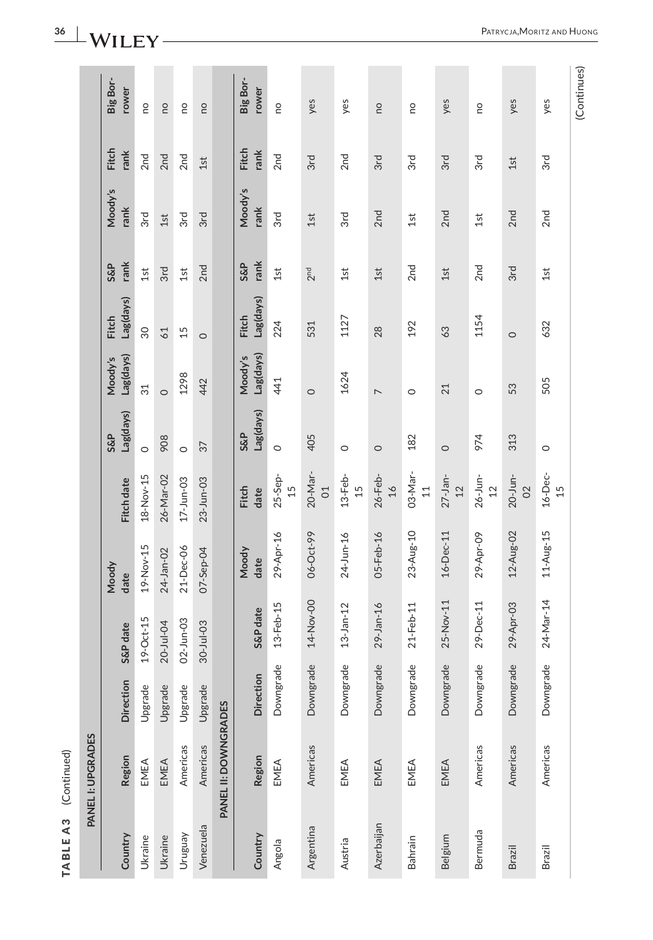# **36** | **WILEY** -

**TABLE A3** (Continued)

TABLEA3 (Continued)

PATRYCJA,MORITZ AND HUONG

(Continues) (Continues)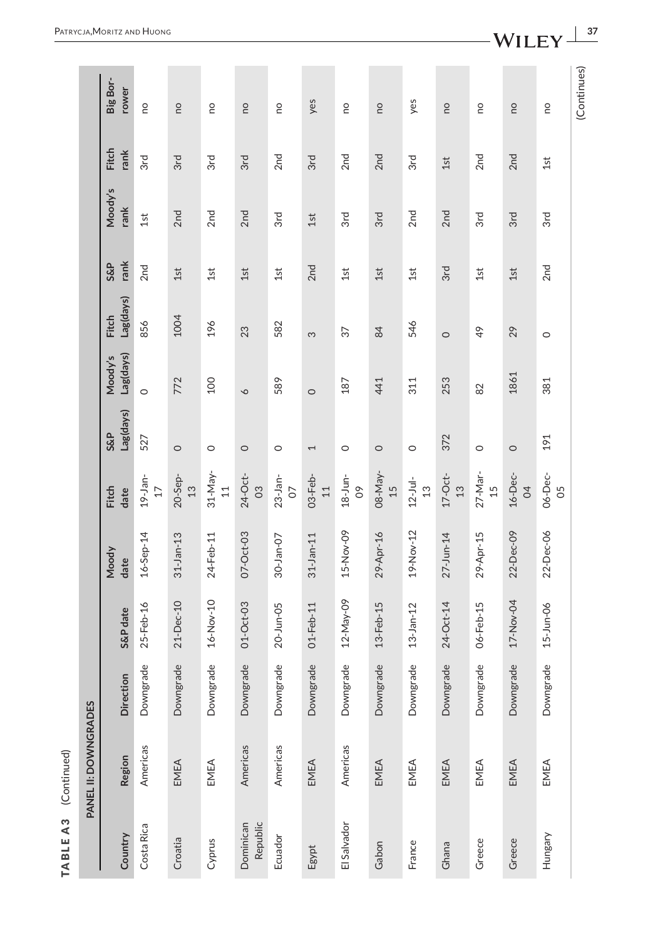| ¢ |
|---|
|   |
|   |
|   |
|   |
|   |
|   |
|   |
|   |
|   |
| i |
|   |

|                      | Big Bor-<br>rower         | <b>DU</b>          | ou                          | <b>DO</b>                    | ou                                 | <b>DU</b>             | yes                        | <b>DU</b>             | ou              | yes                          | <b>DU</b>                  | <b>DU</b>     | <b>DU</b>          | œ               | (Continues) |
|----------------------|---------------------------|--------------------|-----------------------------|------------------------------|------------------------------------|-----------------------|----------------------------|-----------------------|-----------------|------------------------------|----------------------------|---------------|--------------------|-----------------|-------------|
|                      | <b>Fitch</b><br>rank      | 3rd                | 3rd                         | 3rd                          | 3rd                                | 2 <sub>nd</sub>       | 3rd                        | 2 <sub>nd</sub>       | 2nd             | 3rd                          | 1st                        | 2nd           | 2nd                | 1st             |             |
|                      | Moody's<br>rank           | 1st                | 2nd                         | 2 <sub>nd</sub>              | 2nd                                | 3rd                   | 1st                        | 3rd                   | 3rd             | 2 <sub>nd</sub>              | 2nd                        | 3rd           | 3rd                | 3rd             |             |
|                      | rank<br><b>S&amp;P</b>    | 2 <sub>nd</sub>    | 1st                         | 1st                          | 1st                                | 1st                   | 2 <sub>nd</sub>            | 1st                   | 1st             | 1st                          | 3rd                        | 1st           | 1st                | 2 <sub>nd</sub> |             |
|                      | Lag(days)<br><b>Fitch</b> | 856                | 1004                        | 196                          | 23                                 | 582                   | က                          | 57                    | 84              | 546                          | $\circ$                    | $\frac{4}{9}$ | 29                 | $\circ$         |             |
|                      | Lag(days)<br>Moody's      | $\circ$            | 772                         | 100                          | $\circ$                            | 589                   | $\circ$                    | 187                   | 441             | 311                          | 253                        | 82            | 1861               | 381             |             |
|                      | Lag(days)<br>S&P          | 527                | $\circ$                     | $\circ$                      | $\circ$                            | $\circ$               | 1                          | $\circ$               | $\circ$         | $\circ$                      | 372                        | $\circ$       | $\circ$            | 191             |             |
|                      | Fitch<br>date             | $19-$ Jan-<br>$17$ | $20-5ep-$<br>$\frac{13}{2}$ | $31-May-$<br>$\overline{11}$ | 24-Oct-<br>$\overline{\mathrm{c}}$ | $23$ -Jan-<br>$\circ$ | 03-Feb-<br>$\overline{11}$ | $18-Jun-$<br>$\infty$ | 08-May-<br>15   | $12 -$ Jul-<br>$\frac{2}{3}$ | $17-Oct$<br>$\frac{13}{2}$ | 27-Mar-<br>15 | 16-Dec-<br>$\beta$ | 06-Dec-<br>05   |             |
|                      | Moody<br>date             | $16 - Sep-14$      | $31$ -Jan-13                | 24-Feb-11                    | 07-Oct-03                          | 30-Jan-07             | $31$ -Jan-11               | 15-Nov-09             | 29-Apr-16       | 19-Nov-12                    | 27-Jun-14                  | 29-Apr-15     | 22-Dec-09          | 22-Dec-06       |             |
|                      | S&P date                  | 25-Feb-16          | $21-Dec-10$                 | $16-Nov-10$                  | 01-Oct-03                          | $20 - Jun - 05$       | 01-Feb-11                  | 12-May-09             | $13 - Feb - 15$ | $13 - Jan - 12$              | 24-Oct-14                  | 06-Feb-15     | 17-Nov-04          | 15-Jun-06       |             |
|                      | <b>Direction</b>          | Downgrade          | Downgrade                   | Downgrade                    | Downgrade                          | Downgrade             | Downgrade                  | Downgrade             | Downgrade       | Downgrade                    | Downgrade                  | Downgrade     | Downgrade          | Downgrade       |             |
| PANEL II: DOWNGRADES | Region                    | Americas           | EMEA                        | EMEA                         | Americas                           | Americas              | EMEA                       | Americas              | EMEA            | EMEA                         | EMEA                       | EMEA          | EMEA               | EMEA            |             |
|                      | Country                   | Costa Rica         | Croatia                     | Cyprus                       | Republic<br>Dominican              | Ecuador               | Egypt                      | El Salvador           | Gabon           | France                       | Ghana                      | Greece        | Greece             | Hungary         |             |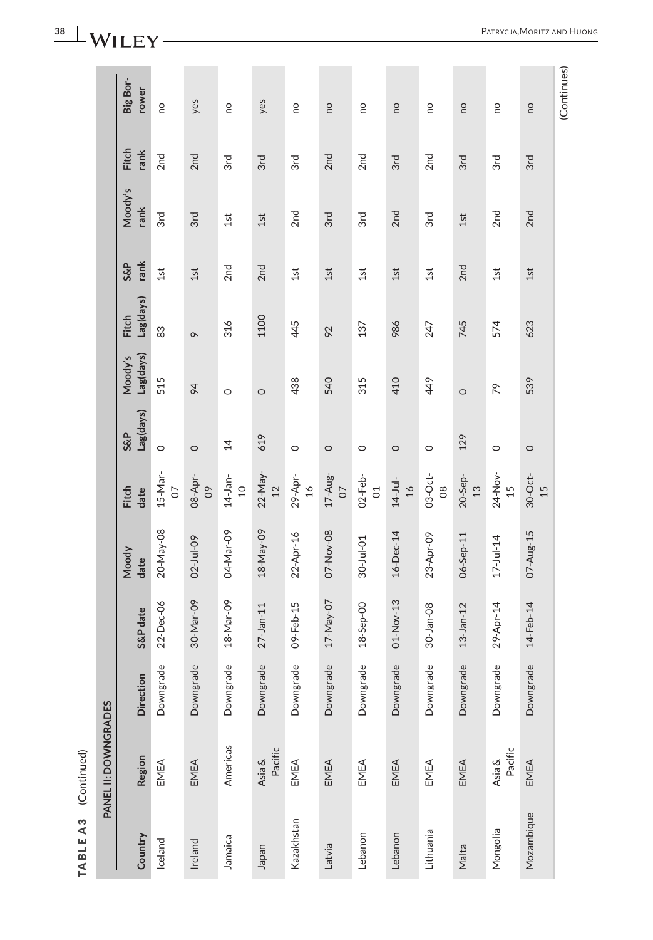| ς |
|---|
| 1 |
| ۱ |
|   |
|   |
|   |
|   |

|                      | Big Bor-<br>rower         |               |                     |                         |                   |                          |                        |                 |                      |                       |                 |                   |                 | (Continues) |
|----------------------|---------------------------|---------------|---------------------|-------------------------|-------------------|--------------------------|------------------------|-----------------|----------------------|-----------------------|-----------------|-------------------|-----------------|-------------|
|                      |                           | <b>DO</b>     | yes                 | <b>DU</b>               | yes               | <b>DO</b>                | <b>DU</b>              | <b>DU</b>       | <b>DU</b>            | <b>DU</b>             | <b>DO</b>       | <b>DU</b>         | <b>DU</b>       |             |
|                      | Fitch<br>rank             | 2nd           | 2 <sub>nd</sub>     | 3rd                     | 3rd               | 3rd                      | 2nd                    | 2 <sub>nd</sub> | 3rd                  | 2 <sub>nd</sub>       | 3rd             | 3rd               | 3rd             |             |
|                      | Moody's<br>rank           | 3rd           | 3rd                 | 1st                     | 1st               | 2 <sub>nd</sub>          | 3rd                    | 3rd             | 2 <sub>nd</sub>      | 3rd                   | 1st             | 2 <sub>nd</sub>   | 2nd             |             |
|                      | rank<br><b>S&amp;P</b>    | 1st           | 1st                 | 2 <sub>nd</sub>         | 2nd               | 1st                      | 1st                    | 1st             | 1st                  | 1st                   | 2nd             | 1st               | 1st             |             |
|                      | Lag(days)<br><b>Fitch</b> | 83            | $\sim$              | 316                     | 1100              | 445                      | 92                     | 137             | 986                  | 247                   | 745             | 574               | 623             |             |
|                      | Lag(days)<br>Moody's      | 515           | 94                  | $\circ$                 | $\circ$           | 438                      | 540                    | 315             | 410                  | 449                   | $\circ$         | 79                | 539             |             |
|                      | Lag(days)<br>S&P          | $\circ$       | $\circ$             | $\overline{4}$          | 619               | $\circ$                  | $\circ$                | $\circ$         | $\circ$              | $\circ$               | 129             | $\circ$           | $\circ$         |             |
|                      | <b>Fitch</b><br>date      | 15-Mar-<br>07 | 08-Apr-<br>$\infty$ | $14 - Jan-$<br>$\Omega$ | $22-Nay-$<br>$12$ | 29-Apr-<br>$\frac{1}{6}$ | $17 - Aug-$<br>$\circ$ | $02$ -Feb- $01$ | $14-Jul-$<br>$\beta$ | $03-Oct-$<br>$\infty$ | $20-$ Sep- $13$ | 24-Nov-<br>15     | $30-Oct$<br>15  |             |
|                      | Moody<br>date             | 20-May-08     | $02 - Jul - 09$     | 04-Mar-09               | 18-May-09         | 22-Apr-16                | 07-Nov-08              | $30 -$ Jul-01   | 16-Dec-14            | 23-Apr-09             | 06-Sep-11       | $17 - Jul - 14$   | 07-Aug-15       |             |
|                      | S&P date                  | 22-Dec-06     | 30-Mar-09           | 18-Mar-09               | $27 - Jan - 11$   | 09-Feb-15                | 17-May-07              | $18-5ep-00$     | 01-Nov-13            | 30-Jan-08             | $13 - Jan - 12$ | 29-Apr-14         | $14 - Feb - 14$ |             |
|                      | <b>Direction</b>          | Downgrade     | Downgrade           | Downgrade               | Downgrade         | Downgrade                | Downgrade              | Downgrade       | Downgrade            | Downgrade             | Downgrade       | Downgrade         | Downgrade       |             |
| PANEL II: DOWNGRADES | Region                    | EMEA          | EMEA                | Americas                | Pacific<br>Asia & | EMEA                     | EMEA                   | EMEA            | EMEA                 | EMEA                  | EMEA            | Pacific<br>Asia & | EMEA            |             |
|                      | Country                   | Iceland       | Ireland             | Jamaica                 | Inpapel           | Kazakhstan               | Latvia                 | Lebanon         | Lebanon              | Lithuania             | Malta           | Mongolia          | Mozambique      |             |

**38** | **WILEY** -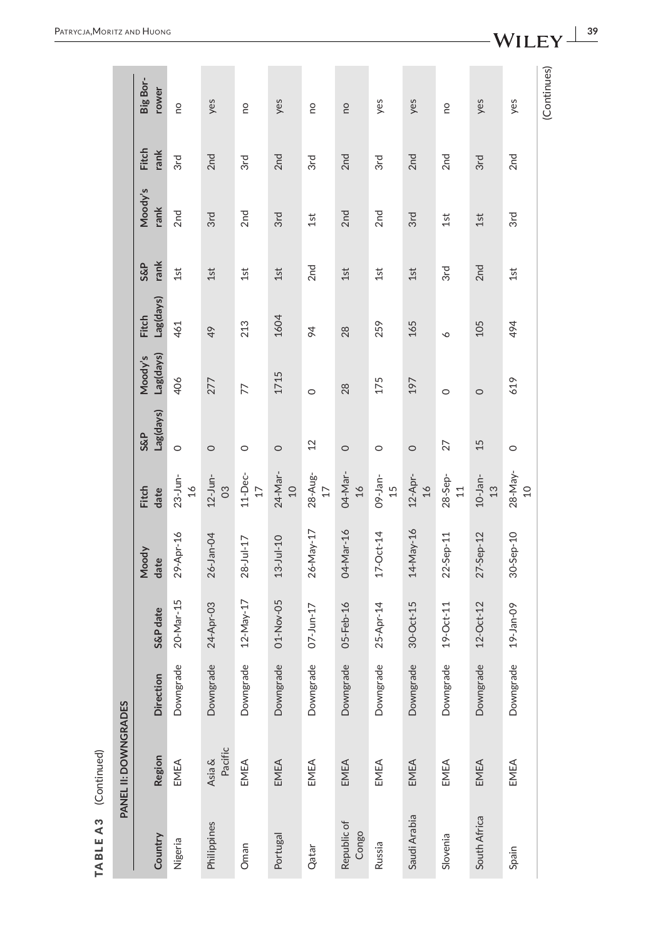| f. |
|----|
| ٢  |
|    |
|    |
|    |
| г  |
|    |
|    |

|                      | PANEL II: DOWNGRADES |           |                 |                 |                             |                             |                      |                           |                        |                 |               |                   |
|----------------------|----------------------|-----------|-----------------|-----------------|-----------------------------|-----------------------------|----------------------|---------------------------|------------------------|-----------------|---------------|-------------------|
| Country              | Region               | Direction | S&P date        | Moody<br>date   | Fitch<br>date               | Lag(days)<br><b>S&amp;P</b> | Lag(days)<br>Moody's | Lag(days)<br><b>Fitch</b> | rank<br><b>S&amp;P</b> | Moody's<br>rank | Fitch<br>rank | Big Bor-<br>rower |
| Nigeria              | EMEA                 | Downgrade | 20-Mar-15       | 29-Apr-16       | $23$ -Jun-<br>$16$          | $\circ$                     | 406                  | 461                       | 1st                    | 2 <sub>nd</sub> | 3rd           | <b>PO</b>         |
| Philippines          | Pacific<br>Asia &    | Downgrade | 24-Apr-03       | 26-Jan-04       | $12-Jun-$<br>$\infty$       | $\circ$                     | 277                  | 49                        | 1st                    | 3rd             | 2nd           | yes               |
| Oman                 | EMEA                 | Downgrade | $12 - May - 17$ | $28 - Jul - 17$ | $11$ -Dec-<br>$17$          | $\circ$                     | 77                   | 213                       | 1st                    | 2nd             | 3rd           | <b>DU</b>         |
| Portugal             | EMEA                 | Downgrade | 01-Nov-05       | $13 - Jul - 10$ | 24-Mar-<br>$\Omega$         | $\circ$                     | 1715                 | 1604                      | $1st$                  | 3rd             | 2nd           | yes               |
| Qatar                | EMEA                 | Downgrade | $07 - Jun-17$   | 26-May-17       | 28-Aug-<br>$17$             | 12                          | $\circ$              | 94                        | 2 <sub>nd</sub>        | 1st             | 3rd           | <b>DU</b>         |
| Republic of<br>Congo | EMEA                 | Downgrade | 05-Feb-16       | 04-Mar-16       | 04-Mar-<br>$\frac{16}{1}$   | $\circ$                     | 28                   | 28                        | 1st                    | 2nd             | 2nd           | <b>DO</b>         |
| Russia               | EMEA                 | Downgrade | 25-Apr-14       | $17 - Oct - 14$ | $09 - Jan -$<br>15          | $\circ$                     | 175                  | 259                       | 1st                    | 2 <sub>nd</sub> | 3rd           | yes               |
| Saudi Arabia         | EMEA                 | Downgrade | $30$ -Oct-15    | 14-May-16       | $12-Apr-$<br>$\frac{16}{1}$ | $\circ$                     | 197                  | 165                       | 1st                    | 3rd             | 2nd           | yes               |
| Slovenia             | EMEA                 | Downgrade | $19-Cct-11$     | $22-$ Sep-11    | $28 - \text{Sep}$<br>$11$   | 27                          | $\circ$              | $\circ$                   | 3rd                    | 1st             | 2nd           | <b>DU</b>         |
| South Africa         | EMEA                 | Downgrade | $12$ -Oct- $12$ | 27-Sep-12       | $10-$ Jan-<br>$\frac{2}{3}$ | 15                          | $\circ$              | 105                       | 2nd                    | 1st             | 3rd           | yes               |
| Spain                | EMEA                 | Downgrade | 19-Jan-09       | 30-Sep-10       | $28 - May-$<br>$\Omega$     | $\circ$                     | 619                  | 494                       | 1st                    | 3rd             | 2nd           | yes               |
|                      |                      |           |                 |                 |                             |                             |                      |                           |                        |                 |               | (Continues)       |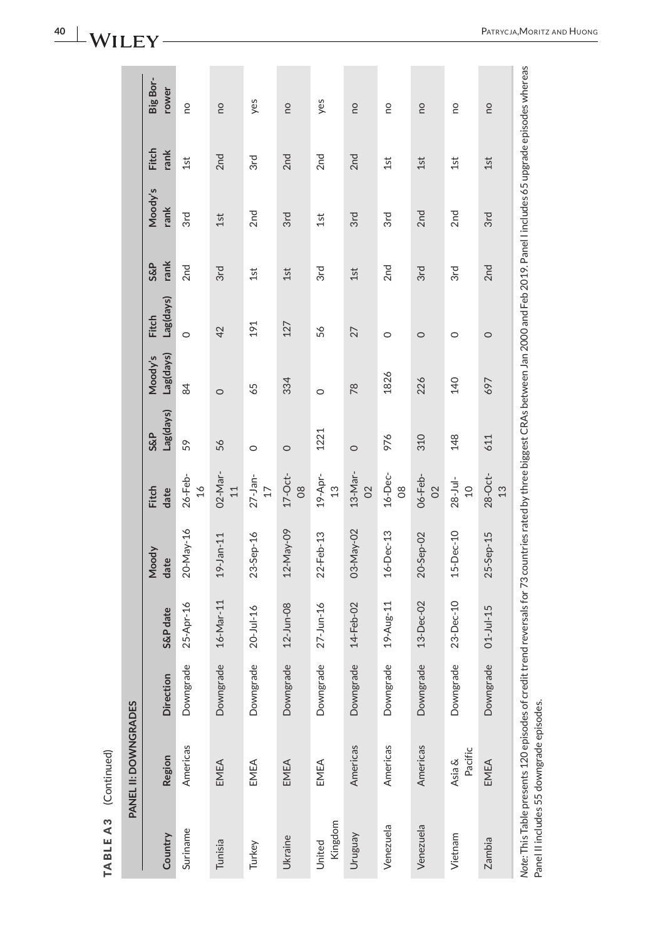|                      | Big Bor-<br>rower           | <b>DO</b>                     | <b>DU</b>                 | yes                           | <u>o</u>                    | yes                      | ou                        | œ                   | <b>DU</b>                 | œ                        | <b>DO</b>                                                                  |
|----------------------|-----------------------------|-------------------------------|---------------------------|-------------------------------|-----------------------------|--------------------------|---------------------------|---------------------|---------------------------|--------------------------|----------------------------------------------------------------------------|
|                      | <b>Fitch</b><br>rank        | 1st                           | 2nd                       | 3rd                           | 2nd                         | 2nd                      | 2nd                       | 1st                 | 1st                       | 1st                      | 1st                                                                        |
|                      | Moody's<br>rank             | 3rd                           | 1st                       | 2nd                           | 3rd                         | 1st                      | 3rd                       | 3rd                 | 2nd                       | 2 <sub>nd</sub>          | and Fall OOAO Data at the about any ZF .<br>3rd                            |
|                      | rank<br><b>S&amp;P</b>      | 2 <sub>nd</sub>               | 3rd                       | 1st                           | 1st                         | 3rd                      | 1st                       | 2nd                 | 3rd                       | 3rd                      | 2nd                                                                        |
|                      | Lag(days)<br><b>Fitch</b>   | $\circ$                       | 42                        | 191                           | 127                         | 56                       | 27                        | $\circ$             | $\circ$                   | O                        | $\circ$                                                                    |
|                      | Lag(days)<br>Moody's        | 84                            | $\circ$                   | 65                            | 334                         | $\circ$                  | 78                        | 1826                | 226                       | 140                      | 697                                                                        |
|                      | Lag(days)<br><b>S&amp;P</b> | 59                            | 56                        | $\circ$                       | $\circ$                     | 1221                     | $\circ$                   | 976                 | 310                       | 148                      | 611                                                                        |
|                      | Fitch<br>date               | $26 - Feb -$<br>$\frac{1}{6}$ | 02-Mar-<br>$\overline{1}$ | $27 - Jan-$<br>$\overline{1}$ | $17-Oct$ -<br>$\frac{8}{2}$ | 19-Apr-<br>$\frac{3}{2}$ | 13-Mar-<br>$\overline{O}$ | 16-Dec-<br>$\infty$ | 06-Feb-<br>$\overline{0}$ | $28 - Jul -$<br>$\Omega$ | $28-Oct-$<br>13                                                            |
|                      | Moody<br>date               | 20-May-16                     | $19 - Jan - 11$           | $23-5ep-16$                   | 12-May-09                   | 22-Feb-13                | 03-May-02                 | 16-Dec-13           | 20-Sep-02                 | 15-Dec-10                | $-1 - 2 = -70$ . The contract of the contract of $\sim$<br>$25 - 5ep - 15$ |
|                      | S&P date                    | 25-Apr-16                     | 16-Mar-11                 | $20 -$ Jul-16                 | $12 - Jun - 08$             | $27 - Jun - 16$          | 14-Feb-02                 | 19-Aug-11           | $13-Dec-02$               | 23-Dec-10                | $01 -$ Jul-15                                                              |
|                      | <b>Direction</b>            | Downgrade                     | Downgrade                 | Downgrade                     | Downgrade                   | Downgrade                | Downgrade                 | Downgrade           | Downgrade                 | Downgrade                | Downgrade                                                                  |
| PANEL II: DOWNGRADES | Region                      | Americas                      | EMEA                      | EMEA                          | EMEA                        | EMEA                     | Americas                  | Americas            | Americas                  | Pacific<br>Asia &        | EMEA                                                                       |
|                      | Country                     | Suriname                      | Tunisia                   | Turkey                        | Ukraine                     | Kingdom<br>United        | Vengnun                   | Venezuela           | Venezuela                 | Vietnam                  | あしょう エレン エートレー<br>Zambia                                                   |

Note: This Table presents 120 episodes of credit trend reversals for 73 countries rated by three biggest CRAs between Jan 2000 and Feb 2019. Panel I includes 65 upgrade episodes whereas<br>Panel II includes 55 downgrade episo *Note:* This Table presents 120 episodes of credit trend reversals for 73 countries rated by three biggest CRAs between Jan 2000 and Feb 2019. Panel I includes 65 upgrade episodes whereas Panel II includes 55 downgrade episodes.

# 40 | **WILEY** -

**TABLE A3** (Continued)

TABLEA3 (Continued)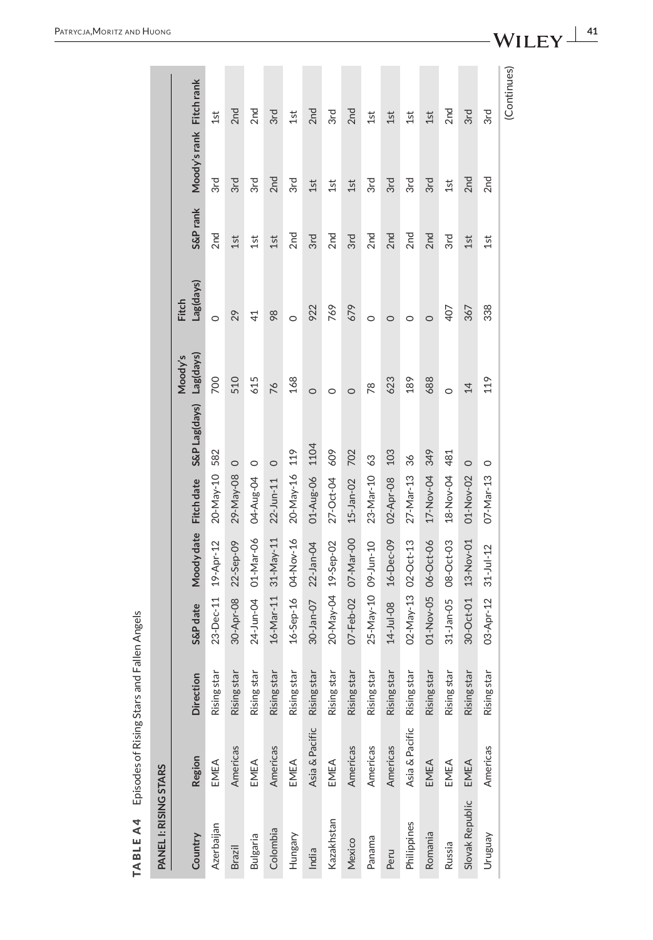<span id="page-40-0"></span>

| PANEL I: RISING STARS |                |                  |                     |                       |                      |                         |                |                           |                 |                         |                 |
|-----------------------|----------------|------------------|---------------------|-----------------------|----------------------|-------------------------|----------------|---------------------------|-----------------|-------------------------|-----------------|
| Country               | Region         | <b>Direction</b> | S&P date            | Moody date Fitch date |                      | S&P Lag(days) Lag(days) | Moody's        | Lag(days)<br><b>Fitch</b> | S&P rank        | Moody's rank Fitch rank |                 |
| Azerbaijan            | EMEA           | Rising star      | 23-Dec-11 19-Apr-12 |                       | 20-May-10 582        |                         | 700            | $\circ$                   | 2 <sub>nd</sub> | 3rd                     | 1st             |
| Brazil                | Americas       | Rising star      | 30-Apr-08           | 22-Sep-09             | $\circ$<br>29-May-08 |                         | 510            | 29                        | 1st             | 3rd                     | 2nd             |
| <b>Bulgaria</b>       | EMEA           | Rising star      |                     | 24-Jun-04 01-Mar-06   | 04-Aug-04 0          |                         | 615            | $\overline{4}$            | 1st             | 3rd                     | 2nd             |
| Colombia              | Americas       | Rising star      |                     | 16-Mar-11 31-May-11   | $22$ -Jun-11 0       |                         | 76             | 98                        | 1st             | 2 <sub>nd</sub>         | 3rd             |
| Hungary               | EMEA           | Rising star      |                     | 16-Sep-16 04-Nov-16   | 20-May-16 119        |                         | 168            | $\circ$                   | 2 <sub>nd</sub> | 3rd                     | 1st             |
| India                 | Asia & Pacific | Rising star      | 30-Jan-07 22-Jan-04 |                       | 01-Aug-06 1104       |                         | $\circ$        | 922                       | 3rd             | 1st                     | 2 <sub>nd</sub> |
| Kazakhstan            | EMEA           | Rising star      | 20-May-04 19-Sep-02 |                       | 27-Oct-04 609        |                         | $\circ$        | 769                       | 2 <sub>nd</sub> | 1st                     | 3rd             |
| Mexico                | Americas       | Rising star      | 07-Feb-02 07-Mar-00 |                       | 15-Jan-02 702        |                         | $\circ$        | 679                       | 3rd             | 1st                     | 2 <sub>nd</sub> |
| Panama                | Americas       | Rising star      | 25-May-10 09-Jun-10 |                       | 23-Mar-10 63         |                         | R <sub>8</sub> | $\circ$                   | 2 <sub>nd</sub> | 3rd                     | 1st             |
| Peru                  | Americas       | Rising star      | 14-Jul-08           | 16-Dec-09             | 02-Apr-08            | 103                     | 623            | $\circ$                   | 2nd             | 3rd                     | 1st             |
| Philippines           | Asia & Pacific | Rising star      | 02-May-13 02-Oct-13 |                       | 27-Mar-13 36         |                         | 189            | 0                         | 2 <sub>nd</sub> | 3rd                     | 1st             |
| Romania               | EMEA           | Rising star      | 01-Nov-05 06-Oct-06 |                       | 17-Nov-04 349        |                         | 688            | $\circ$                   | 2 <sub>nd</sub> | 3rd                     | 1st             |
| Russia                | EMEA           | Rising star      | $31$ -Jan-05        | 08-Oct-03             | 18-Nov-04 481        |                         | $\circ$        | 407                       | 3rd             | 1st                     | 2 <sub>nd</sub> |
| Slovak Republic       | EMEA           | Rising star      | $30 - Oct - 01$     | 13-Nov-01             | $\circ$<br>01-Nov-02 |                         | $\overline{4}$ | 367                       | 1st             | 2nd                     | 3rd             |
| Vengnun               | Americas       | Rising star      | 03-Apr-12           | $31 - Jul - 12$       | $\circ$<br>07-Mar-13 |                         | 119            | 338                       | 1st             | 2 <sub>nd</sub>         | 3rd             |
|                       |                |                  |                     |                       |                      |                         |                |                           |                 |                         | (Continues)     |

TABLE A4 Episodes of Rising Stars and Fallen Angels **TABLE A4** Episodes of Rising Stars and Fallen Angels